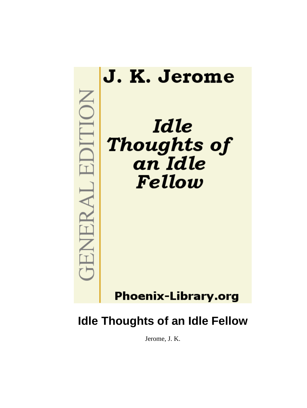

# **Idle Thoughts of an Idle Fellow**

Jerome, J. K.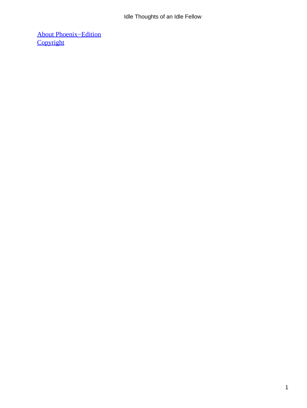[About Phoenix−Edition](#page-78-0) **[Copyright](#page-79-0)**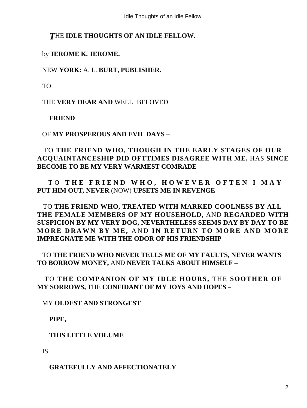Idle Thoughts of an Idle Fellow

# *T*HE **IDLE THOUGHTS OF AN IDLE FELLOW.**

## by **JEROME K. JEROME.**

NEW **YORK:** A. L. **BURT, PUBLISHER.**

TO

THE **VERY DEAR AND** WELL−BELOVED

# **FRIEND**

OF **MY PROSPEROUS AND EVIL DAYS** –

# TO **THE FRIEND WHO, THOUGH IN THE EARLY STAGES OF OUR ACQUAINTANCESHIP DID OFTTIMES DISAGREE WITH ME,** HAS **SINCE BECOME TO BE MY VERY WARMEST COMRADE** –

 TO **THE FRIEND WHO, HOWEVER OFTEN I MAY PUT HIM OUT, NEVER** (NOW) **UPSETS ME IN REVENGE** –

 TO **THE FRIEND WHO, TREATED WITH MARKED COOLNESS BY ALL THE FEMALE MEMBERS OF MY HOUSEHOLD,** AND **REGARDED WITH SUSPICION BY MY VERY DOG, NEVERTHELESS SEEMS DAY BY DAY TO BE MORE DRAWN BY ME,** AND **IN RETURN TO MORE AND MORE IMPREGNATE ME WITH THE ODOR OF HIS FRIENDSHIP** –

 TO **THE FRIEND WHO NEVER TELLS ME OF MY FAULTS, NEVER WANTS TO BORROW MONEY,** AND **NEVER TALKS ABOUT HIMSELF** –

 TO **THE COMPANION OF MY IDLE HOURS,** THE **SOOTHER OF MY SORROWS,** THE **CONFIDANT OF MY JOYS AND HOPES** –

# MY **OLDEST AND STRONGEST**

**PIPE,**

# **THIS LITTLE VOLUME**

IS

**GRATEFULLY AND AFFECTIONATELY**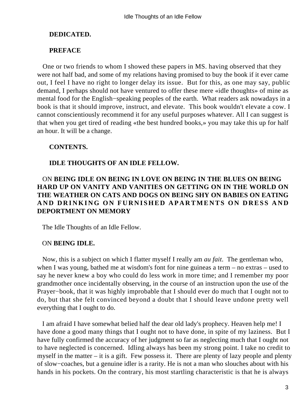## **DEDICATED.**

#### **PREFACE**

 One or two friends to whom I showed these papers in MS. having observed that they were not half bad, and some of my relations having promised to buy the book if it ever came out, I feel I have no right to longer delay its issue. But for this, as one may say, public demand, I perhaps should not have ventured to offer these mere «idle thoughts» of mine as mental food for the English−speaking peoples of the earth. What readers ask nowadays in a book is that it should improve, instruct, and elevate. This book wouldn't elevate a cow. I cannot conscientiously recommend it for any useful purposes whatever. All I can suggest is that when you get tired of reading «the best hundred books,» you may take this up for half an hour. It will be a change.

#### **CONTENTS.**

#### **IDLE THOUGHTS OF AN IDLE FELLOW.**

# ON **BEING IDLE ON BEING IN LOVE ON BEING IN THE BLUES ON BEING HARD UP ON VANITY AND VANITIES ON GETTING ON IN THE WORLD ON THE WEATHER ON CATS AND DOGS ON BEING SHY ON BABIES ON EATING AND DRINKING ON FURNISHED APARTMENTS ON DRESS AND DEPORTMENT ON MEMORY**

The Idle Thoughts of an Idle Fellow.

#### ON **BEING IDLE.**

 Now, this is a subject on which I flatter myself I really am *au fait*. The gentleman who, when I was young, bathed me at wisdom's font for nine guineas a term – no extras – used to say he never knew a boy who could do less work in more time; and I remember my poor grandmother once incidentally observing, in the course of an instruction upon the use of the Prayer−book, that it was highly improbable that I should ever do much that I ought not to do, but that she felt convinced beyond a doubt that I should leave undone pretty well everything that I ought to do.

 I am afraid I have somewhat belied half the dear old lady's prophecy. Heaven help me! I have done a good many things that I ought not to have done, in spite of my laziness. But I have fully confirmed the accuracy of her judgment so far as neglecting much that I ought not to have neglected is concerned. Idling always has been my strong point. I take no credit to myself in the matter – it is a gift. Few possess it. There are plenty of lazy people and plenty of slow−coaches, but a genuine idler is a rarity. He is not a man who slouches about with his hands in his pockets. On the contrary, his most startling characteristic is that he is always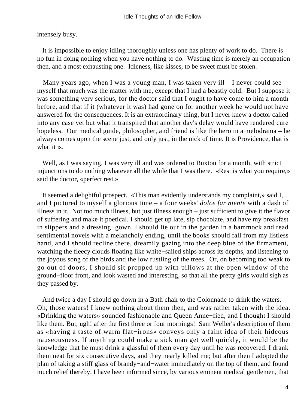intensely busy.

 It is impossible to enjoy idling thoroughly unless one has plenty of work to do. There is no fun in doing nothing when you have nothing to do. Wasting time is merely an occupation then, and a most exhausting one. Idleness, like kisses, to be sweet must be stolen.

 Many years ago, when I was a young man, I was taken very ill – I never could see myself that much was the matter with me, except that I had a beastly cold. But I suppose it was something very serious, for the doctor said that I ought to have come to him a month before, and that if it (whatever it was) had gone on for another week he would not have answered for the consequences. It is an extraordinary thing, but I never knew a doctor called into any case yet but what it transpired that another day's delay would have rendered cure hopeless. Our medical guide, philosopher, and friend is like the hero in a melodrama – he always comes upon the scene just, and only just, in the nick of time. It is Providence, that is what it is.

 Well, as I was saying, I was very ill and was ordered to Buxton for a month, with strict injunctions to do nothing whatever all the while that I was there. «Rest is what you require,» said the doctor, «perfect rest.»

 It seemed a delightful prospect. «This man evidently understands my complaint,» said I, and I pictured to myself a glorious time – a four weeks' *dolce far niente* with a dash of illness in it. Not too much illness, but just illness enough – just sufficient to give it the flavor of suffering and make it poetical. I should get up late, sip chocolate, and have my breakfast in slippers and a dressing−gown. I should lie out in the garden in a hammock and read sentimental novels with a melancholy ending, until the books should fall from my listless hand, and I should recline there, dreamily gazing into the deep blue of the firmament, watching the fleecy clouds floating like white−sailed ships across its depths, and listening to the joyous song of the birds and the low rustling of the trees. Or, on becoming too weak to go out of doors, I should sit propped up with pillows at the open window of the ground−floor front, and look wasted and interesting, so that all the pretty girls would sigh as they passed by.

 And twice a day I should go down in a Bath chair to the Colonnade to drink the waters. Oh, those waters! I knew nothing about them then, and was rather taken with the idea. «Drinking the waters» sounded fashionable and Queen Anne−fied, and I thought I should like them. But, ugh! after the first three or four mornings! Sam Weller's description of them as «having a taste of warm flat−irons» conveys only a faint idea of their hideous nauseousness. If anything could make a sick man get well quickly, it would be the knowledge that he must drink a glassful of them every day until he was recovered. I drank them neat for six consecutive days, and they nearly killed me; but after then I adopted the plan of taking a stiff glass of brandy−and−water immediately on the top of them, and found much relief thereby. I have been informed since, by various eminent medical gentlemen, that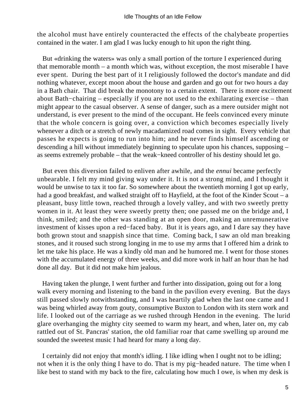the alcohol must have entirely counteracted the effects of the chalybeate properties contained in the water. I am glad I was lucky enough to hit upon the right thing.

 But «drinking the waters» was only a small portion of the torture I experienced during that memorable month – a month which was, without exception, the most miserable I have ever spent. During the best part of it I religiously followed the doctor's mandate and did nothing whatever, except moon about the house and garden and go out for two hours a day in a Bath chair. That did break the monotony to a certain extent. There is more excitement about Bath−chairing – especially if you are not used to the exhilarating exercise – than might appear to the casual observer. A sense of danger, such as a mere outsider might not understand, is ever present to the mind of the occupant. He feels convinced every minute that the whole concern is going over, a conviction which becomes especially lively whenever a ditch or a stretch of newly macadamized road comes in sight. Every vehicle that passes he expects is going to run into him; and he never finds himself ascending or descending a hill without immediately beginning to speculate upon his chances, supposing – as seems extremely probable – that the weak−kneed controller of his destiny should let go.

 But even this diversion failed to enliven after awhile, and the *ennui* became perfectly unbearable. I felt my mind giving way under it. It is not a strong mind, and I thought it would be unwise to tax it too far. So somewhere about the twentieth morning I got up early, had a good breakfast, and walked straight off to Hayfield, at the foot of the Kinder Scout – a pleasant, busy little town, reached through a lovely valley, and with two sweetly pretty women in it. At least they were sweetly pretty then; one passed me on the bridge and, I think, smiled; and the other was standing at an open door, making an unremunerative investment of kisses upon a red−faced baby. But it is years ago, and I dare say they have both grown stout and snappish since that time. Coming back, I saw an old man breaking stones, and it roused such strong longing in me to use my arms that I offered him a drink to let me take his place. He was a kindly old man and he humored me. I went for those stones with the accumulated energy of three weeks, and did more work in half an hour than he had done all day. But it did not make him jealous.

 Having taken the plunge, I went further and further into dissipation, going out for a long walk every morning and listening to the band in the pavilion every evening. But the days still passed slowly notwithstanding, and I was heartily glad when the last one came and I was being whirled away from gouty, consumptive Buxton to London with its stern work and life. I looked out of the carriage as we rushed through Hendon in the evening. The lurid glare overhanging the mighty city seemed to warm my heart, and when, later on, my cab rattled out of St. Pancras' station, the old familiar roar that came swelling up around me sounded the sweetest music I had heard for many a long day.

 I certainly did not enjoy that month's idling. I like idling when I ought not to be idling; not when it is the only thing I have to do. That is my pig−headed nature. The time when I like best to stand with my back to the fire, calculating how much I owe, is when my desk is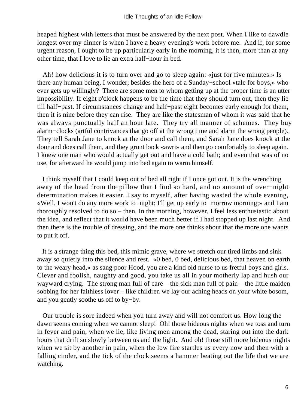heaped highest with letters that must be answered by the next post. When I like to dawdle longest over my dinner is when I have a heavy evening's work before me. And if, for some urgent reason, I ought to be up particularly early in the morning, it is then, more than at any other time, that I love to lie an extra half−hour in bed.

 Ah! how delicious it is to turn over and go to sleep again: «just for five minutes.» Is there any human being, I wonder, besides the hero of a Sunday−school «tale for boys,» who ever gets up willingly? There are some men to whom getting up at the proper time is an utter impossibility. If eight o'clock happens to be the time that they should turn out, then they lie till half−past. If circumstances change and half−past eight becomes early enough for them, then it is nine before they can rise. They are like the statesman of whom it was said that he was always punctually half an hour late. They try all manner of schemes. They buy alarm−clocks (artful contrivances that go off at the wrong time and alarm the wrong people). They tell Sarah Jane to knock at the door and call them, and Sarah Jane does knock at the door and does call them, and they grunt back «awri» and then go comfortably to sleep again. I knew one man who would actually get out and have a cold bath; and even that was of no use, for afterward he would jump into bed again to warm himself.

 I think myself that I could keep out of bed all right if I once got out. It is the wrenching away of the head from the pillow that I find so hard, and no amount of over−night determination makes it easier. I say to myself, after having wasted the whole evening, «Well, I won't do any more work to−night; I'll get up early to−morrow morning;» and I am thoroughly resolved to do so – then. In the morning, however, I feel less enthusiastic about the idea, and reflect that it would have been much better if I had stopped up last night. And then there is the trouble of dressing, and the more one thinks about that the more one wants to put it off.

 It is a strange thing this bed, this mimic grave, where we stretch our tired limbs and sink away so quietly into the silence and rest. «0 bed, 0 bed, delicious bed, that heaven on earth to the weary head,» as sang poor Hood, you are a kind old nurse to us fretful boys and girls. Clever and foolish, naughty and good, you take us all in your motherly lap and hush our wayward crying. The strong man full of care – the sick man full of pain – the little maiden sobbing for her faithless lover – like children we lay our aching heads on your white bosom, and you gently soothe us off to by−by.

 Our trouble is sore indeed when you turn away and will not comfort us. How long the dawn seems coming when we cannot sleep! Oh! those hideous nights when we toss and turn in fever and pain, when we lie, like living men among the dead, staring out into the dark hours that drift so slowly between us and the light. And oh! those still more hideous nights when we sit by another in pain, when the low fire startles us every now and then with a falling cinder, and the tick of the clock seems a hammer beating out the life that we are watching.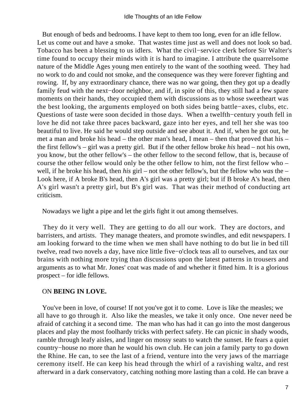But enough of beds and bedrooms. I have kept to them too long, even for an idle fellow. Let us come out and have a smoke. That wastes time just as well and does not look so bad. Tobacco has been a blessing to us idlers. What the civil−service clerk before Sir Walter's time found to occupy their minds with it is hard to imagine. I attribute the quarrelsome nature of the Middle Ages young men entirely to the want of the soothing weed. They had no work to do and could not smoke, and the consequence was they were forever fighting and rowing. If, by any extraordinary chance, there was no war going, then they got up a deadly family feud with the next−door neighbor, and if, in spite of this, they still had a few spare moments on their hands, they occupied them with discussions as to whose sweetheart was the best looking, the arguments employed on both sides being battle−axes, clubs, etc. Questions of taste were soon decided in those days. When a twelfth−century youth fell in love he did not take three paces backward, gaze into her eyes, and tell her she was too beautiful to live. He said he would step outside and see about it. And if, when he got out, he met a man and broke his head – the other man's head, I mean – then that proved that his – the first fellow's – girl was a pretty girl. But if the other fellow broke *his* head – not his own, you know, but the other fellow's – the other fellow to the second fellow, that is, because of course the other fellow would only be the other fellow to him, not the first fellow who – well, if he broke his head, then *his* girl – not the other fellow's, but the fellow who *was* the – Look here, if A broke B's head, then A's girl was a pretty girl; but if B broke A's head, then A's girl wasn't a pretty girl, but B's girl was. That was their method of conducting art criticism.

Nowadays we light a pipe and let the girls fight it out among themselves.

 They do it very well. They are getting to do all our work. They are doctors, and barristers, and artists. They manage theaters, and promote swindles, and edit newspapers. I am looking forward to the time when we men shall have nothing to do but lie in bed till twelve, read two novels a day, have nice little five−o'clock teas all to ourselves, and tax our brains with nothing more trying than discussions upon the latest patterns in trousers and arguments as to what Mr. Jones' coat was made of and whether it fitted him. It is a glorious prospect – for idle fellows.

# ON **BEING IN LOVE.**

 You've been in love, of course! If not you've got it to come. Love is like the measles; we all have to go through it. Also like the measles, we take it only once. One never need be afraid of catching it a second time. The man who has had it can go into the most dangerous places and play the most foolhardy tricks with perfect safety. He can picnic in shady woods, ramble through leafy aisles, and linger on mossy seats to watch the sunset. He fears a quiet country−house no more than he would his own club. He can join a family party to go down the Rhine. He can, to see the last of a friend, venture into the very jaws of the marriage ceremony itself. He can keep his head through the whirl of a ravishing waltz, and rest afterward in a dark conservatory, catching nothing more lasting than a cold. He can brave a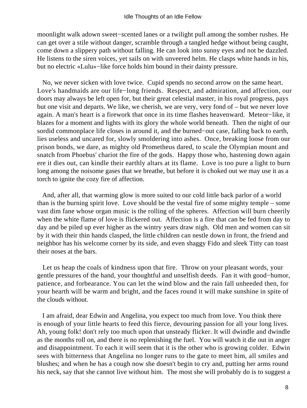moonlight walk adown sweet−scented lanes or a twilight pull among the somber rushes. He can get over a stile without danger, scramble through a tangled hedge without being caught, come down a slippery path without falling. He can look into sunny eyes and not be dazzled. He listens to the siren voices, yet sails on with unveered helm. He clasps white hands in his, but no electric «Lulu»−like force holds him bound in their dainty pressure.

 No, we never sicken with love twice. Cupid spends no second arrow on the same heart. Love's handmaids are our life−long friends. Respect, and admiration, and affection, our doors may always be left open for, but their great celestial master, in his royal progress, pays but one visit and departs. We like, we cherish, we are very, very fond of – but we never love again. A man's heart is a firework that once in its time flashes heavenward. Meteor−like, it blazes for a moment and lights with its glory the whole world beneath. Then the night of our sordid commonplace life closes in around it, and the burned−out case, falling back to earth, lies useless and uncared for, slowly smoldering into ashes. Once, breaking loose from our prison bonds, we dare, as mighty old Prometheus dared, to scale the Olympian mount and snatch from Phoebus' chariot the fire of the gods. Happy those who, hastening down again ere it dies out, can kindle their earthly altars at its flame. Love is too pure a light to burn long among the noisome gases that we breathe, but before it is choked out we may use it as a torch to ignite the cozy fire of affection.

 And, after all, that warming glow is more suited to our cold little back parlor of a world than is the burning spirit love. Love should be the vestal fire of some mighty temple – some vast dim fane whose organ music is the rolling of the spheres. Affection will burn cheerily when the white flame of love is flickered out. Affection is a fire that can be fed from day to day and be piled up ever higher as the wintry years draw nigh. Old men and women can sit by it with their thin hands clasped, the little children can nestle down in front, the friend and neighbor has his welcome corner by its side, and even shaggy Fido and sleek Titty can toast their noses at the bars.

 Let us heap the coals of kindness upon that fire. Throw on your pleasant words, your gentle pressures of the hand, your thoughtful and unselfish deeds. Fan it with good−humor, patience, and forbearance. You can let the wind blow and the rain fall unheeded then, for your hearth will be warm and bright, and the faces round it will make sunshine in spite of the clouds without.

 I am afraid, dear Edwin and Angelina, you expect too much from love. You think there is enough of your little hearts to feed this fierce, devouring passion for all your long lives. Ah, young folk! don't rely too much upon that unsteady flicker. It will dwindle and dwindle as the months roll on, and there is no replenishing the fuel. You will watch it die out in anger and disappointment. To each it will seem that it is the other who is growing colder. Edwin sees with bitterness that Angelina no longer runs to the gate to meet him, all smiles and blushes; and when he has a cough now she doesn't begin to cry and, putting her arms round his neck, say that she cannot live without him. The most she will probably do is to suggest a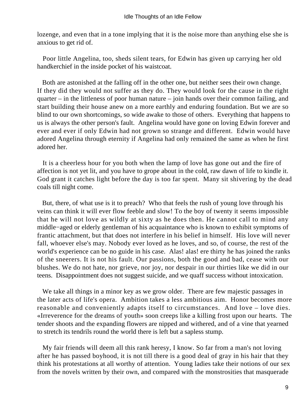lozenge, and even that in a tone implying that it is the noise more than anything else she is anxious to get rid of.

 Poor little Angelina, too, sheds silent tears, for Edwin has given up carrying her old handkerchief in the inside pocket of his waistcoat.

 Both are astonished at the falling off in the other one, but neither sees their own change. If they did they would not suffer as they do. They would look for the cause in the right quarter – in the littleness of poor human nature – join hands over their common failing, and start building their house anew on a more earthly and enduring foundation. But we are so blind to our own shortcomings, so wide awake to those of others. Everything that happens to us is always the other person's fault. Angelina would have gone on loving Edwin forever and ever and ever if only Edwin had not grown so strange and different. Edwin would have adored Angelina through eternity if Angelina had only remained the same as when he first adored her.

 It is a cheerless hour for you both when the lamp of love has gone out and the fire of affection is not yet lit, and you have to grope about in the cold, raw dawn of life to kindle it. God grant it catches light before the day is too far spent. Many sit shivering by the dead coals till night come.

 But, there, of what use is it to preach? Who that feels the rush of young love through his veins can think it will ever flow feeble and slow! To the boy of twenty it seems impossible that he will not love as wildly at sixty as he does then. He cannot call to mind any middle−aged or elderly gentleman of his acquaintance who is known to exhibit symptoms of frantic attachment, but that does not interfere in his belief in himself. His love will never fall, whoever else's may. Nobody ever loved as he loves, and so, of course, the rest of the world's experience can be no guide in his case. Alas! alas! ere thirty he has joined the ranks of the sneerers. It is not his fault. Our passions, both the good and bad, cease with our blushes. We do not hate, nor grieve, nor joy, nor despair in our thirties like we did in our teens. Disappointment does not suggest suicide, and we quaff success without intoxication.

We take all things in a minor key as we grow older. There are few majestic passages in the later acts of life's opera. Ambition takes a less ambitious aim. Honor becomes more reasonable and conveniently adapts itself to circumstances. And love – love dies. «Irreverence for the dreams of youth» soon creeps like a killing frost upon our hearts. The tender shoots and the expanding flowers are nipped and withered, and of a vine that yearned to stretch its tendrils round the world there is left but a sapless stump.

 My fair friends will deem all this rank heresy, I know. So far from a man's not loving after he has passed boyhood, it is not till there is a good deal of gray in his hair that they think his protestations at all worthy of attention. Young ladies take their notions of our sex from the novels written by their own, and compared with the monstrosities that masquerade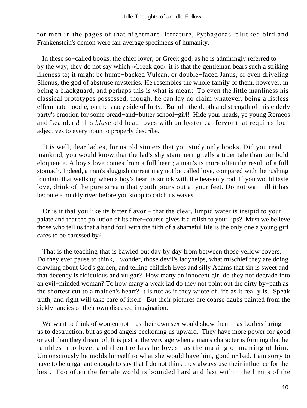for men in the pages of that nightmare literature, Pythagoras' plucked bird and Frankenstein's demon were fair average specimens of humanity.

 In these so−called books, the chief lover, or Greek god, as he is admiringly referred to – by the way, they do not say which «Greek god» it is that the gentleman bears such a striking likeness to; it might be hump−backed Vulcan, or double−faced Janus, or even driveling Silenus, the god of abstruse mysteries. He resembles the whole family of them, however, in being a blackguard, and perhaps this is what is meant. To even the little manliness his classical prototypes possessed, though, he can lay no claim whatever, being a listless effeminate noodle, on the shady side of forty. But oh! the depth and strength of this elderly party's emotion for some bread−and−butter school−girl! Hide your heads, ye young Romeos and Leanders! this *blase* old beau loves with an hysterical fervor that requires four adjectives to every noun to properly describe.

 It is well, dear ladies, for us old sinners that you study only books. Did you read mankind, you would know that the lad's shy stammering tells a truer tale than our bold eloquence. A boy's love comes from a full heart; a man's is more often the result of a full stomach. Indeed, a man's sluggish current may not be called love, compared with the rushing fountain that wells up when a boy's heart is struck with the heavenly rod. If you would taste love, drink of the pure stream that youth pours out at your feet. Do not wait till it has become a muddy river before you stoop to catch its waves.

 Or is it that you like its bitter flavor – that the clear, limpid water is insipid to your palate and that the pollution of its after−course gives it a relish to your lips? Must we believe those who tell us that a hand foul with the filth of a shameful life is the only one a young girl cares to be caressed by?

 That is the teaching that is bawled out day by day from between those yellow covers. Do they ever pause to think, I wonder, those devil's ladyhelps, what mischief they are doing crawling about God's garden, and telling childish Eves and silly Adams that sin is sweet and that decency is ridiculous and vulgar? How many an innocent girl do they not degrade into an evil−minded woman? To how many a weak lad do they not point out the dirty by−path as the shortest cut to a maiden's heart? It is not as if they wrote of life as it really is. Speak truth, and right will take care of itself. But their pictures are coarse daubs painted from the sickly fancies of their own diseased imagination.

We want to think of women not – as their own sex would show them – as Lorleis luring us to destruction, but as good angels beckoning us upward. They have more power for good or evil than they dream of. It is just at the very age when a man's character is forming that he tumbles into love, and then the lass he loves has the making or marring of him. Unconsciously he molds himself to what she would have him, good or bad. I am sorry to have to be ungallant enough to say that I do not think they always use their influence for the best. Too often the female world is bounded hard and fast within the limits of the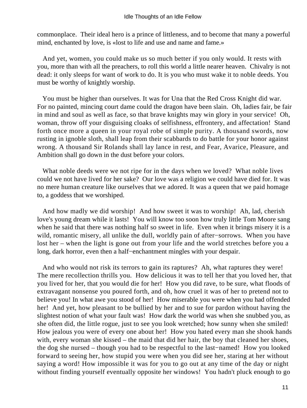#### Idle Thoughts of an Idle Fellow

commonplace. Their ideal hero is a prince of littleness, and to become that many a powerful mind, enchanted by love, is «lost to life and use and name and fame.»

 And yet, women, you could make us so much better if you only would. It rests with you, more than with all the preachers, to roll this world a little nearer heaven. Chivalry is not dead: it only sleeps for want of work to do. It is you who must wake it to noble deeds. You must be worthy of knightly worship.

 You must be higher than ourselves. It was for Una that the Red Cross Knight did war. For no painted, mincing court dame could the dragon have been slain. Oh, ladies fair, be fair in mind and soul as well as face, so that brave knights may win glory in your service! Oh, woman, throw off your disguising cloaks of selfishness, effrontery, and affectation! Stand forth once more a queen in your royal robe of simple purity. A thousand swords, now rusting in ignoble sloth, shall leap from their scabbards to do battle for your honor against wrong. A thousand Sir Rolands shall lay lance in rest, and Fear, Avarice, Pleasure, and Ambition shall go down in the dust before your colors.

 What noble deeds were we not ripe for in the days when we loved? What noble lives could we not have lived for her sake? Our love was a religion we could have died for. It was no mere human creature like ourselves that we adored. It was a queen that we paid homage to, a goddess that we worshiped.

 And how madly we did worship! And how sweet it was to worship! Ah, lad, cherish love's young dream while it lasts! You will know too soon how truly little Tom Moore sang when he said that there was nothing half so sweet in life. Even when it brings misery it is a wild, romantic misery, all unlike the dull, worldly pain of after−sorrows. When you have lost her – when the light is gone out from your life and the world stretches before you a long, dark horror, even then a half−enchantment mingles with your despair.

 And who would not risk its terrors to gain its raptures? Ah, what raptures they were! The mere recollection thrills you. How delicious it was to tell her that you loved her, that you lived for her, that you would die for her! How you did rave, to be sure, what floods of extravagant nonsense you poured forth, and oh, how cruel it was of her to pretend not to believe you! In what awe you stood of her! How miserable you were when you had offended her! And yet, how pleasant to be bullied by her and to sue for pardon without having the slightest notion of what your fault was! How dark the world was when she snubbed you, as she often did, the little rogue, just to see you look wretched; how sunny when she smiled! How jealous you were of every one about her! How you hated every man she shook hands with, every woman she kissed – the maid that did her hair, the boy that cleaned her shoes, the dog she nursed – though you had to be respectful to the last−named! How you looked forward to seeing her, how stupid you were when you did see her, staring at her without saying a word! How impossible it was for you to go out at any time of the day or night without finding yourself eventually opposite her windows! You hadn't pluck enough to go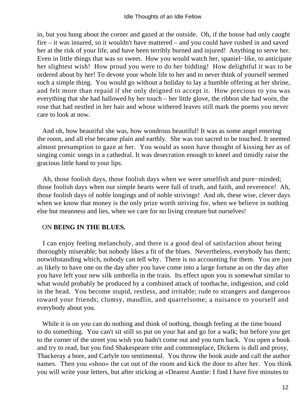in, but you hung about the corner and gazed at the outside. Oh, if the house had only caught fire – it was insured, so it wouldn't have mattered – and you could have rushed in and saved her at the risk of your life, and have been terribly burned and injured! Anything to serve her. Even in little things that was so sweet. How you would watch her, spaniel−like, to anticipate her slightest wish! How proud you were to do her bidding! How delightful it was to be ordered about by her! To devote your whole life to her and to never think of yourself seemed such a simple thing. You would go without a holiday to lay a humble offering at her shrine, and felt more than repaid if she only deigned to accept it. How precious to you was everything that she had hallowed by her touch – her little glove, the ribbon she had worn, the rose that had nestled in her hair and whose withered leaves still mark the poems you never care to look at now.

 And oh, how beautiful she was, how wondrous beautiful! It was as some angel entering the room, and all else became plain and earthly. She was too sacred to be touched. It seemed almost presumption to gaze at her. You would as soon have thought of kissing her as of singing comic songs in a cathedral. It was desecration enough to kneel and timidly raise the gracious little hand to your lips.

 Ah, those foolish days, those foolish days when we were unselfish and pure−minded; those foolish days when our simple hearts were full of truth, and faith, and reverence! Ah, those foolish days of noble longings and of noble strivings! And oh, these wise, clever days when we know that money is the only prize worth striving for, when we believe in nothing else but meanness and lies, when we care for no living creature but ourselves!

#### ON **BEING IN THE BLUES.**

 I can enjoy feeling melancholy, and there is a good deal of satisfaction about being thoroughly miserable; but nobody likes a fit of the blues. Nevertheless, everybody has them; notwithstanding which, nobody can tell why. There is no accounting for them. You are just as likely to have one on the day after you have come into a large fortune as on the day after you have left your new silk umbrella in the train. Its effect upon you is somewhat similar to what would probably be produced by a combined attack of toothache, indigestion, and cold in the head. You become stupid, restless, and irritable; rude to strangers and dangerous toward your friends; clumsy, maudlin, and quarrelsome; a nuisance to yourself and everybody about you.

While it is on you can do nothing and think of nothing, though feeling at the time bound to do something. You can't sit still so put on your hat and go for a walk; but before you get to the corner of the street you wish you hadn't come out and you turn back. You open a book and try to read, but you find Shakespeare trite and commonplace, Dickens is dull and prosy, Thackeray a bore, and Carlyle too sentimental. You throw the book aside and call the author names. Then you «shoo» the cat out of the room and kick the door to after her. You think you will write your letters, but after sticking at «Dearest Auntie: I find I have five minutes to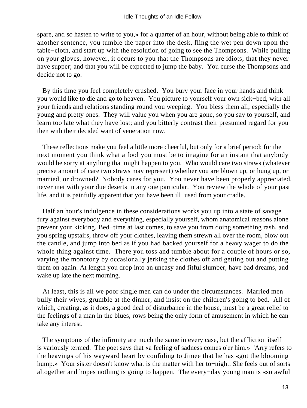spare, and so hasten to write to you,» for a quarter of an hour, without being able to think of another sentence, you tumble the paper into the desk, fling the wet pen down upon the table−cloth, and start up with the resolution of going to see the Thompsons. While pulling on your gloves, however, it occurs to you that the Thompsons are idiots; that they never have supper; and that you will be expected to jump the baby. You curse the Thompsons and decide not to go.

 By this time you feel completely crushed. You bury your face in your hands and think you would like to die and go to heaven. You picture to yourself your own sick−bed, with all your friends and relations standing round you weeping. You bless them all, especially the young and pretty ones. They will value you when you are gone, so you say to yourself, and learn too late what they have lost; and you bitterly contrast their presumed regard for you then with their decided want of veneration now.

 These reflections make you feel a little more cheerful, but only for a brief period; for the next moment you think what a fool you must be to imagine for an instant that anybody would be sorry at anything that might happen to you. Who would care two straws (whatever precise amount of care two straws may represent) whether you are blown up, or hung up, or married, or drowned? Nobody cares for you. You never have been properly appreciated, never met with your due deserts in any one particular. You review the whole of your past life, and it is painfully apparent that you have been ill−used from your cradle.

 Half an hour's indulgence in these considerations works you up into a state of savage fury against everybody and everything, especially yourself, whom anatomical reasons alone prevent your kicking. Bed−time at last comes, to save you from doing something rash, and you spring upstairs, throw off your clothes, leaving them strewn all over the room, blow out the candle, and jump into bed as if you had backed yourself for a heavy wager to do the whole thing against time. There you toss and tumble about for a couple of hours or so, varying the monotony by occasionally jerking the clothes off and getting out and putting them on again. At length you drop into an uneasy and fitful slumber, have bad dreams, and wake up late the next morning.

 At least, this is all we poor single men can do under the circumstances. Married men bully their wives, grumble at the dinner, and insist on the children's going to bed. All of which, creating, as it does, a good deal of disturbance in the house, must be a great relief to the feelings of a man in the blues, rows being the only form of amusement in which he can take any interest.

 The symptoms of the infirmity are much the same in every case, but the affliction itself is variously termed. The poet says that «a feeling of sadness comes o'er him.» 'Arry refers to the heavings of his wayward heart by confiding to Jimee that he has «got the blooming hump.» Your sister doesn't know what is the matter with her to−night. She feels out of sorts altogether and hopes nothing is going to happen. The every−day young man is «so awful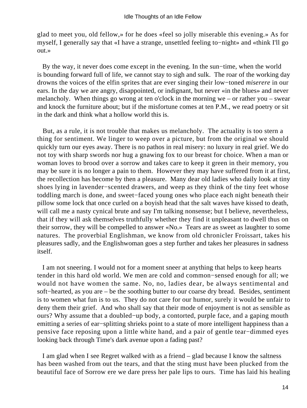glad to meet you, old fellow,» for he does «feel so jolly miserable this evening.» As for myself, I generally say that «I have a strange, unsettled feeling to−night» and «think I'll go out.»

 By the way, it never does come except in the evening. In the sun−time, when the world is bounding forward full of life, we cannot stay to sigh and sulk. The roar of the working day drowns the voices of the elfin sprites that are ever singing their low−toned *miserere* in our ears. In the day we are angry, disappointed, or indignant, but never «in the blues» and never melancholy. When things go wrong at ten o'clock in the morning we – or rather you – swear and knock the furniture about; but if the misfortune comes at ten P.M., we read poetry or sit in the dark and think what a hollow world this is.

 But, as a rule, it is not trouble that makes us melancholy. The actuality is too stern a thing for sentiment. We linger to weep over a picture, but from the original we should quickly turn our eyes away. There is no pathos in real misery: no luxury in real grief. We do not toy with sharp swords nor hug a gnawing fox to our breast for choice. When a man or woman loves to brood over a sorrow and takes care to keep it green in their memory, you may be sure it is no longer a pain to them. However they may have suffered from it at first, the recollection has become by then a pleasure. Many dear old ladies who daily look at tiny shoes lying in lavender−scented drawers, and weep as they think of the tiny feet whose toddling march is done, and sweet−faced young ones who place each night beneath their pillow some lock that once curled on a boyish head that the salt waves have kissed to death, will call me a nasty cynical brute and say I'm talking nonsense; but I believe, nevertheless, that if they will ask themselves truthfully whether they find it unpleasant to dwell thus on their sorrow, they will be compelled to answer «No.» Tears are as sweet as laughter to some natures. The proverbial Englishman, we know from old chronicler Froissart, takes his pleasures sadly, and the Englishwoman goes a step further and takes her pleasures in sadness itself.

 I am not sneering. I would not for a moment sneer at anything that helps to keep hearts tender in this hard old world. We men are cold and common−sensed enough for all; we would not have women the same. No, no, ladies dear, be always sentimental and soft−hearted, as you are – be the soothing butter to our coarse dry bread. Besides, sentiment is to women what fun is to us. They do not care for our humor, surely it would be unfair to deny them their grief. And who shall say that their mode of enjoyment is not as sensible as ours? Why assume that a doubled−up body, a contorted, purple face, and a gaping mouth emitting a series of ear−splitting shrieks point to a state of more intelligent happiness than a pensive face reposing upon a little white hand, and a pair of gentle tear−dimmed eyes looking back through Time's dark avenue upon a fading past?

 I am glad when I see Regret walked with as a friend – glad because I know the saltness has been washed from out the tears, and that the sting must have been plucked from the beautiful face of Sorrow ere we dare press her pale lips to ours. Time has laid his healing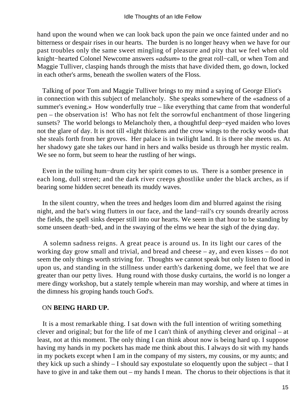hand upon the wound when we can look back upon the pain we once fainted under and no bitterness or despair rises in our hearts. The burden is no longer heavy when we have for our past troubles only the same sweet mingling of pleasure and pity that we feel when old knight−hearted Colonel Newcome answers «*adsum*» to the great roll−call, or when Tom and Maggie Tulliver, clasping hands through the mists that have divided them, go down, locked in each other's arms, beneath the swollen waters of the Floss.

 Talking of poor Tom and Maggie Tulliver brings to my mind a saying of George Eliot's in connection with this subject of melancholy. She speaks somewhere of the «sadness of a summer's evening.» How wonderfully true – like everything that came from that wonderful pen – the observation is! Who has not felt the sorrowful enchantment of those lingering sunsets? The world belongs to Melancholy then, a thoughtful deep−eyed maiden who loves not the glare of day. It is not till «light thickens and the crow wings to the rocky wood» that she steals forth from her groves. Her palace is in twilight land. It is there she meets us. At her shadowy gate she takes our hand in hers and walks beside us through her mystic realm. We see no form, but seem to hear the rustling of her wings.

 Even in the toiling hum−drum city her spirit comes to us. There is a somber presence in each long, dull street; and the dark river creeps ghostlike under the black arches, as if bearing some hidden secret beneath its muddy waves.

 In the silent country, when the trees and hedges loom dim and blurred against the rising night, and the bat's wing flutters in our face, and the land−rail's cry sounds drearily across the fields, the spell sinks deeper still into our hearts. We seem in that hour to be standing by some unseen death−bed, and in the swaying of the elms we hear the sigh of the dying day.

 A solemn sadness reigns. A great peace is around us. In its light our cares of the working day grow small and trivial, and bread and cheese – ay, and even kisses – do not seem the only things worth striving for. Thoughts we cannot speak but only listen to flood in upon us, and standing in the stillness under earth's darkening dome, we feel that we are greater than our petty lives. Hung round with those dusky curtains, the world is no longer a mere dingy workshop, but a stately temple wherein man may worship, and where at times in the dimness his groping hands touch God's.

#### ON **BEING HARD UP.**

 It is a most remarkable thing. I sat down with the full intention of writing something clever and original; but for the life of me I can't think of anything clever and original – at least, not at this moment. The only thing I can think about now is being hard up. I suppose having my hands in my pockets has made me think about this. I always do sit with my hands in my pockets except when I am in the company of my sisters, my cousins, or my aunts; and they kick up such a shindy – I should say expostulate so eloquently upon the subject – that I have to give in and take them out – my hands I mean. The chorus to their objections is that it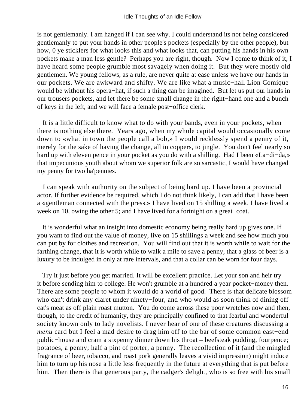is not gentlemanly. I am hanged if I can see why. I could understand its not being considered gentlemanly to put your hands in other people's pockets (especially by the other people), but how, 0 ye sticklers for what looks this and what looks that, can putting his hands in his own pockets make a man less gentle? Perhaps you are right, though. Now I come to think of it, I have heard some people grumble most savagely when doing it. But they were mostly old gentlemen. We young fellows, as a rule, are never quite at ease unless we have our hands in our pockets. We are awkward and shifty. We are like what a music−hall Lion Comique would be without his opera−hat, if such a thing can be imagined. But let us put our hands in our trousers pockets, and let there be some small change in the right−hand one and a bunch of keys in the left, and we will face a female post−office clerk.

 It is a little difficult to know what to do with your bands, even in your pockets, when there is nothing else there. Years ago, when my whole capital would occasionally come down to «what in town the people call a bob,» I would recklessly spend a penny of it, merely for the sake of having the change, all in coppers, to jingle. You don't feel nearly so hard up with eleven pence in your pocket as you do with a shilling. Had I been «La−di−da,» that impecunious youth about whom we superior folk are so sarcastic, I would have changed my penny for two ha'pennies.

 I can speak with authority on the subject of being hard up. I have been a provincial actor. If further evidence be required, which I do not think likely, I can add that I have been a «gentleman connected with the press.» I have lived on 15 shilling a week. I have lived a week on 10, owing the other 5; and I have lived for a fortnight on a great−coat.

 It is wonderful what an insight into domestic economy being really hard up gives one. If you want to find out the value of money, live on 15 shillings a week and see how much you can put by for clothes and recreation. You will find out that it is worth while to wait for the farthing change, that it is worth while to walk a mile to save a penny, that a glass of beer is a luxury to be indulged in only at rare intervals, and that a collar can be worn for four days.

 Try it just before you get married. It will be excellent practice. Let your son and heir try it before sending him to college. He won't grumble at a hundred a year pocket−money then. There are some people to whom it would do a world of good. There is that delicate blossom who can't drink any claret under ninety−four, and who would as soon think of dining off cat's meat as off plain roast mutton. You do come across these poor wretches now and then, though, to the credit of humanity, they are principally confined to that fearful and wonderful society known only to lady novelists. I never hear of one of these creatures discussing a *menu* card but I feel a mad desire to drag him off to the bar of some common east–end public−house and cram a sixpenny dinner down his throat – beefsteak pudding, fourpence; potatoes, a penny; half a pint of porter, a penny. The recollection of it (and the mingled fragrance of beer, tobacco, and roast pork generally leaves a vivid impression) might induce him to turn up his nose a little less frequently in the future at everything that is put before him. Then there is that generous party, the cadger's delight, who is so free with his small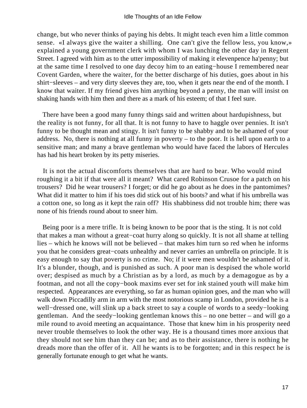change, but who never thinks of paying his debts. It might teach even him a little common sense. «I always give the waiter a shilling. One can't give the fellow less, you know,» explained a young government clerk with whom I was lunching the other day in Regent Street. I agreed with him as to the utter impossibility of making it elevenpence ha'penny; but at the same time I resolved to one day decoy him to an eating−house I remembered near Covent Garden, where the waiter, for the better discharge of his duties, goes about in his shirt−sleeves – and very dirty sleeves they are, too, when it gets near the end of the month. I know that waiter. If my friend gives him anything beyond a penny, the man will insist on shaking hands with him then and there as a mark of his esteem; of that I feel sure.

 There have been a good many funny things said and written about hardupishness, but the reality is not funny, for all that. It is not funny to have to haggle over pennies. It isn't funny to be thought mean and stingy. It isn't funny to be shabby and to be ashamed of your address. No, there is nothing at all funny in poverty – to the poor. It is hell upon earth to a sensitive man; and many a brave gentleman who would have faced the labors of Hercules has had his heart broken by its petty miseries.

 It is not the actual discomforts themselves that are hard to bear. Who would mind roughing it a bit if that were all it meant? What cared Robinson Crusoe for a patch on his trousers? Did he wear trousers? I forget; or did he go about as he does in the pantomimes? What did it matter to him if his toes did stick out of his boots? and what if his umbrella was a cotton one, so long as it kept the rain off? His shabbiness did not trouble him; there was none of his friends round about to sneer him.

 Being poor is a mere trifle. It is being known to be poor that is the sting. It is not cold that makes a man without a great−coat hurry along so quickly. It is not all shame at telling lies – which he knows will not be believed – that makes him turn so red when he informs you that he considers great−coats unhealthy and never carries an umbrella on principle. It is easy enough to say that poverty is no crime. No; if it were men wouldn't be ashamed of it. It's a blunder, though, and is punished as such. A poor man is despised the whole world over; despised as much by a Christian as by a lord, as much by a demagogue as by a footman, and not all the copy−book maxims ever set for ink stained youth will make him respected. Appearances are everything, so far as human opinion goes, and the man who will walk down Piccadilly arm in arm with the most notorious scamp in London, provided he is a well−dressed one, will slink up a back street to say a couple of words to a seedy−looking gentleman. And the seedy−looking gentleman knows this – no one better – and will go a mile round to avoid meeting an acquaintance. Those that knew him in his prosperity need never trouble themselves to look the other way. He is a thousand times more anxious that they should not see him than they can be; and as to their assistance, there is nothing he dreads more than the offer of it. All he wants is to be forgotten; and in this respect he is generally fortunate enough to get what he wants.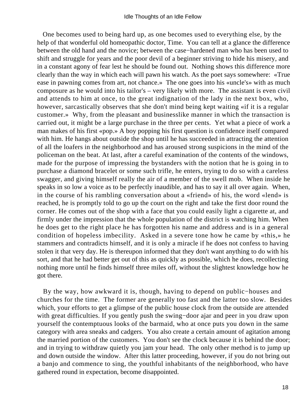One becomes used to being hard up, as one becomes used to everything else, by the help of that wonderful old homeopathic doctor, Time. You can tell at a glance the difference between the old hand and the novice; between the case−hardened man who has been used to shift and struggle for years and the poor devil of a beginner striving to hide his misery, and in a constant agony of fear lest he should be found out. Nothing shows this difference more clearly than the way in which each will pawn his watch. As the poet says somewhere: «True ease in pawning comes from art, not chance.» The one goes into his «uncle's» with as much composure as he would into his tailor's – very likely with more. The assistant is even civil and attends to him at once, to the great indignation of the lady in the next box, who, however, sarcastically observes that she don't mind being kept waiting «if it is a regular customer.» Why, from the pleasant and businesslike manner in which the transaction is carried out, it might be a large purchase in the three per cents. Yet what a piece of work a man makes of his first «pop.» A boy popping his first question is confidence itself compared with him. He hangs about outside the shop until he has succeeded in attracting the attention of all the loafers in the neighborhood and has aroused strong suspicions in the mind of the policeman on the beat. At last, after a careful examination of the contents of the windows, made for the purpose of impressing the bystanders with the notion that he is going in to purchase a diamond bracelet or some such trifle, he enters, trying to do so with a careless swagger, and giving himself really the air of a member of the swell mob. When inside he speaks in so low a voice as to be perfectly inaudible, and has to say it all over again. When, in the course of his rambling conversation about a «friend» of his, the word «lend» is reached, he is promptly told to go up the court on the right and take the first door round the corner. He comes out of the shop with a face that you could easily light a cigarette at, and firmly under the impression that the whole population of the district is watching him. When he does get to the right place he has forgotten his name and address and is in a general condition of hopeless imbecility. Asked in a severe tone how he came by «this,» he stammers and contradicts himself, and it is only a miracle if he does not confess to having stolen it that very day. He is thereupon informed that they don't want anything to do with his sort, and that he had better get out of this as quickly as possible, which he does, recollecting nothing more until he finds himself three miles off, without the slightest knowledge how he got there.

 By the way, how awkward it is, though, having to depend on public−houses and churches for the time. The former are generally too fast and the latter too slow. Besides which, your efforts to get a glimpse of the public house clock from the outside are attended with great difficulties. If you gently push the swing−door ajar and peer in you draw upon yourself the contemptuous looks of the barmaid, who at once puts you down in the same category with area sneaks and cadgers. You also create a certain amount of agitation among the married portion of the customers. You don't see the clock because it is behind the door; and in trying to withdraw quietly you jam your head. The only other method is to jump up and down outside the window. After this latter proceeding, however, if you do not bring out a banjo and commence to sing, the youthful inhabitants of the neighborhood, who have gathered round in expectation, become disappointed.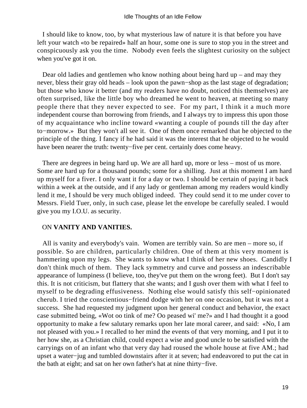I should like to know, too, by what mysterious law of nature it is that before you have left your watch «to be repaired» half an hour, some one is sure to stop you in the street and conspicuously ask you the time. Nobody even feels the slightest curiosity on the subject when you've got it on.

Dear old ladies and gentlemen who know nothing about being hard  $up$  – and may they never, bless their gray old heads – look upon the pawn−shop as the last stage of degradation; but those who know it better (and my readers have no doubt, noticed this themselves) are often surprised, like the little boy who dreamed he went to heaven, at meeting so many people there that they never expected to see. For my part, I think it a much more independent course than borrowing from friends, and I always try to impress this upon those of my acquaintance who incline toward «wanting a couple of pounds till the day after to−morrow.» But they won't all see it. One of them once remarked that he objected to the principle of the thing. I fancy if he had said it was the interest that he objected to he would have been nearer the truth: twenty−five per cent. certainly does come heavy.

 There are degrees in being hard up. We are all hard up, more or less – most of us more. Some are hard up for a thousand pounds; some for a shilling. Just at this moment I am hard up myself for a fiver. I only want it for a day or two. I should be certain of paying it back within a week at the outside, and if any lady or gentleman among my readers would kindly lend it me, I should be very much obliged indeed. They could send it to me under cover to Messrs. Field Tuer, only, in such case, please let the envelope be carefully sealed. I would give you my I.O.U. as security.

#### ON **VANITY AND VANITIES.**

 All is vanity and everybody's vain. Women are terribly vain. So are men – more so, if possible. So are children, particularly children. One of them at this very moment is hammering upon my legs. She wants to know what I think of her new shoes. Candidly I don't think much of them. They lack symmetry and curve and possess an indescribable appearance of lumpiness (I believe, too, they've put them on the wrong feet). But I don't say this. It is not criticism, but flattery that she wants; and I gush over them with what I feel to myself to be degrading effusiveness. Nothing else would satisfy this self−opinionated cherub. I tried the conscientious−friend dodge with her on one occasion, but it was not a success. She had requested my judgment upon her general conduct and behavior, the exact case submitted being, «Wot oo tink of me? Oo peased wi' me?» and I had thought it a good opportunity to make a few salutary remarks upon her late moral career, and said: «No, I am not pleased with you.» I recalled to her mind the events of that very morning, and I put it to her how she, as a Christian child, could expect a wise and good uncle to be satisfied with the carryings on of an infant who that very day had roused the whole house at five AM.; had upset a water−jug and tumbled downstairs after it at seven; had endeavored to put the cat in the bath at eight; and sat on her own father's hat at nine thirty−five.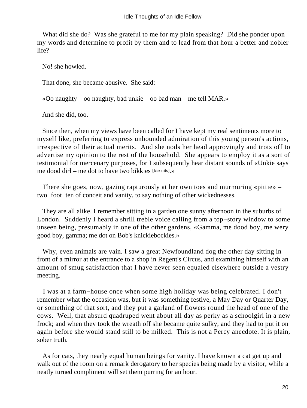What did she do? Was she grateful to me for my plain speaking? Did she ponder upon my words and determine to profit by them and to lead from that hour a better and nobler life?

No! she howled.

That done, she became abusive. She said:

«Oo naughty – oo naughty, bad unkie – oo bad man – me tell MAR.»

And she did, too.

 Since then, when my views have been called for I have kept my real sentiments more to myself like, preferring to express unbounded admiration of this young person's actions, irrespective of their actual merits. And she nods her head approvingly and trots off to advertise my opinion to the rest of the household. She appears to employ it as a sort of testimonial for mercenary purposes, for I subsequently hear distant sounds of «Unkie says me dood dirl – me dot to have two bikkies [biscuits].»

 There she goes, now, gazing rapturously at her own toes and murmuring «pittie» – two−foot−ten of conceit and vanity, to say nothing of other wickednesses.

 They are all alike. I remember sitting in a garden one sunny afternoon in the suburbs of London. Suddenly I heard a shrill treble voice calling from a top−story window to some unseen being, presumably in one of the other gardens, «Gamma, me dood boy, me wery good boy, gamma; me dot on Bob's knickiebockies.»

 Why, even animals are vain. I saw a great Newfoundland dog the other day sitting in front of a mirror at the entrance to a shop in Regent's Circus, and examining himself with an amount of smug satisfaction that I have never seen equaled elsewhere outside a vestry meeting.

 I was at a farm−house once when some high holiday was being celebrated. I don't remember what the occasion was, but it was something festive, a May Day or Quarter Day, or something of that sort, and they put a garland of flowers round the head of one of the cows. Well, that absurd quadruped went about all day as perky as a schoolgirl in a new frock; and when they took the wreath off she became quite sulky, and they had to put it on again before she would stand still to be milked. This is not a Percy anecdote. It is plain, sober truth.

 As for cats, they nearly equal human beings for vanity. I have known a cat get up and walk out of the room on a remark derogatory to her species being made by a visitor, while a neatly turned compliment will set them purring for an hour.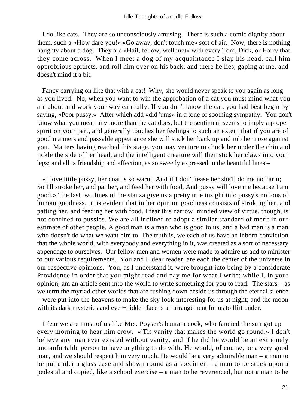I do like cats. They are so unconsciously amusing. There is such a comic dignity about them, such a «How dare you!» «Go away, don't touch me» sort of air. Now, there is nothing haughty about a dog. They are «Hail, fellow, well met» with every Tom, Dick, or Harry that they come across. When I meet a dog of my acquaintance I slap his head, call him opprobrious epithets, and roll him over on his back; and there he lies, gaping at me, and doesn't mind it a bit.

Fancy carrying on like that with a cat! Why, she would never speak to you again as long as you lived. No, when you want to win the approbation of a cat you must mind what you are about and work your way carefully. If you don't know the cat, you had best begin by saying, «Poor pussy.» After which add «did 'ums» in a tone of soothing sympathy. You don't know what you mean any more than the cat does, but the sentiment seems to imply a proper spirit on your part, and generally touches her feelings to such an extent that if you are of good manners and passable appearance she will stick her back up and rub her nose against you. Matters having reached this stage, you may venture to chuck her under the chin and tickle the side of her head, and the intelligent creature will then stick her claws into your legs; and all is friendship and affection, as so sweetly expressed in the beautiful lines –

 «I love little pussy, her coat is so warm, And if I don't tease her she'll do me no harm; So I'll stroke her, and pat her, and feed her with food, And pussy will love me because I am good.» The last two lines of the stanza give us a pretty true insight into pussy's notions of human goodness. it is evident that in her opinion goodness consists of stroking her, and patting her, and feeding her with food. I fear this narrow−minded view of virtue, though, is not confined to pussies. We are all inclined to adopt a similar standard of merit in our estimate of other people. A good man is a man who is good to us, and a bad man is a man who doesn't do what we want him to. The truth is, we each of us have an inborn conviction that the whole world, with everybody and everything in it, was created as a sort of necessary appendage to ourselves. Our fellow men and women were made to admire us and to minister to our various requirements. You and I, dear reader, are each the center of the universe in our respective opinions. You, as I understand it, were brought into being by a considerate Providence in order that you might read and pay me for what I write; while I, in your opinion, am an article sent into the world to write something for you to read. The stars – as we term the myriad other worlds that are rushing down beside us through the eternal silence – were put into the heavens to make the sky look interesting for us at night; and the moon with its dark mysteries and ever−hidden face is an arrangement for us to flirt under.

 I fear we are most of us like Mrs. Poyser's bantam cock, who fancied the sun got up every morning to hear him crow. «'Tis vanity that makes the world go round.» I don't believe any man ever existed without vanity, and if he did he would be an extremely uncomfortable person to have anything to do with. He would, of course, be a very good man, and we should respect him very much. He would be a very admirable man – a man to be put under a glass case and shown round as a specimen – a man to be stuck upon a pedestal and copied, like a school exercise – a man to be reverenced, but not a man to be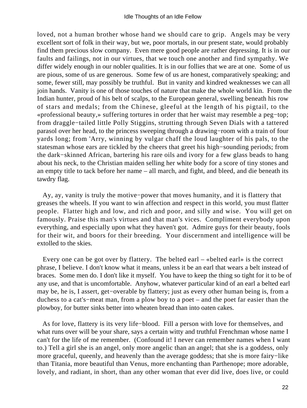loved, not a human brother whose hand we should care to grip. Angels may be very excellent sort of folk in their way, but we, poor mortals, in our present state, would probably find them precious slow company. Even mere good people are rather depressing. It is in our faults and failings, not in our virtues, that we touch one another and find sympathy. We differ widely enough in our nobler qualities. It is in our follies that we are at one. Some of us are pious, some of us are generous. Some few of us are honest, comparatively speaking; and some, fewer still, may possibly be truthful. But in vanity and kindred weaknesses we can all join hands. Vanity is one of those touches of nature that make the whole world kin. From the Indian hunter, proud of his belt of scalps, to the European general, swelling beneath his row of stars and medals; from the Chinese, gleeful at the length of his pigtail, to the «professional beauty,» suffering tortures in order that her waist may resemble a peg−top; from draggle−tailed little Polly Stiggins, strutting through Seven Dials with a tattered parasol over her head, to the princess sweeping through a drawing−room with a train of four yards long; from 'Arry, winning by vulgar chaff the loud laughter of his pals, to the statesman whose ears are tickled by the cheers that greet his high−sounding periods; from the dark−skinned African, bartering his rare oils and ivory for a few glass beads to hang about his neck, to the Christian maiden selling her white body for a score of tiny stones and an empty title to tack before her name – all march, and fight, and bleed, and die beneath its tawdry flag.

 Ay, ay, vanity is truly the motive−power that moves humanity, and it is flattery that greases the wheels. If you want to win affection and respect in this world, you must flatter people. Flatter high and low, and rich and poor, and silly and wise. You will get on famously. Praise this man's virtues and that man's vices. Compliment everybody upon everything, and especially upon what they haven't got. Admire guys for their beauty, fools for their wit, and boors for their breeding. Your discernment and intelligence will be extolled to the skies.

 Every one can be got over by flattery. The belted earl – «belted earl» is the correct phrase, I believe. I don't know what it means, unless it be an earl that wears a belt instead of braces. Some men do. I don't like it myself. You have to keep the thing so tight for it to be of any use, and that is uncomfortable. Anyhow, whatever particular kind of an earl a belted earl may be, he is, I assert, get−overable by flattery; just as every other human being is, from a duchess to a cat's−meat man, from a plow boy to a poet – and the poet far easier than the plowboy, for butter sinks better into wheaten bread than into oaten cakes.

 As for love, flattery is its very life−blood. Fill a person with love for themselves, and what runs over will be your share, says a certain witty and truthful Frenchman whose name I can't for the life of me remember. (Confound it! I never can remember names when I want to.) Tell a girl she is an angel, only more angelic than an angel; that she is a goddess, only more graceful, queenly, and heavenly than the average goddess; that she is more fairy−like than Titania, more beautiful than Venus, more enchanting than Parthenope; more adorable, lovely, and radiant, in short, than any other woman that ever did live, does live, or could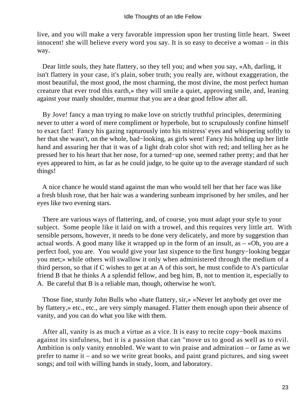live, and you will make a very favorable impression upon her trusting little heart. Sweet innocent! she will believe every word you say. It is so easy to deceive a woman – in this way.

 Dear little souls, they hate flattery, so they tell you; and when you say, «Ah, darling, it isn't flattery in your case, it's plain, sober truth; you really are, without exaggeration, the most beautiful, the most good, the most charming, the most divine, the most perfect human creature that ever trod this earth,» they will smile a quiet, approving smile, and, leaning against your manly shoulder, murmur that you are a dear good fellow after all.

 By Jove! fancy a man trying to make love on strictly truthful principles, determining never to utter a word of mere compliment or hyperbole, but to scrupulously confine himself to exact fact! Fancy his gazing rapturously into his mistress' eyes and whispering softly to her that she wasn't, on the whole, bad−looking, as girls went! Fancy his holding up her little hand and assuring her that it was of a light drab color shot with red; and telling her as he pressed her to his heart that her nose, for a turned−up one, seemed rather pretty; and that her eyes appeared to him, as far as he could judge, to be quite up to the average standard of such things!

 A nice chance he would stand against the man who would tell her that her face was like a fresh blush rose, that her hair was a wandering sunbeam imprisoned by her smiles, and her eyes like two evening stars.

 There are various ways of flattering, and, of course, you must adapt your style to your subject. Some people like it laid on with a trowel, and this requires very little art. With sensible persons, however, it needs to be done very delicately, and more by suggestion than actual words. A good many like it wrapped up in the form of an insult, as – «Oh, you are a perfect fool, you are. You would give your last sixpence to the first hungry−looking beggar you met;» while others will swallow it only when administered through the medium of a third person, so that if C wishes to get at an A of this sort, he must confide to A's particular friend B that he thinks A a splendid fellow, and beg him, B, not to mention it, especially to A. Be careful that B is a reliable man, though, otherwise he won't.

 Those fine, sturdy John Bulls who «hate flattery, sir,» «Never let anybody get over me by flattery,» etc., etc., are very simply managed. Flatter them enough upon their absence of vanity, and you can do what you like with them.

 After all, vanity is as much a virtue as a vice. It is easy to recite copy−book maxims against its sinfulness, but it is a passion that can "move us to good as well as to evil. Ambition is only vanity ennobled. We want to win praise and admiration – or fame as we prefer to name it – and so we write great books, and paint grand pictures, and sing sweet songs; and toil with willing hands in study, loom, and laboratory.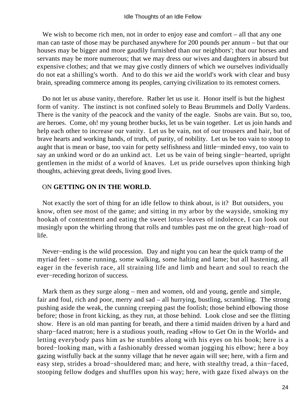We wish to become rich men, not in order to enjoy ease and comfort – all that any one man can taste of those may be purchased anywhere for 200 pounds per annum – but that our houses may be bigger and more gaudily furnished than our neighbors'; that our horses and servants may be more numerous; that we may dress our wives and daughters in absurd but expensive clothes; and that we may give costly dinners of which we ourselves individually do not eat a shilling's worth. And to do this we aid the world's work with clear and busy brain, spreading commerce among its peoples, carrying civilization to its remotest corners.

 Do not let us abuse vanity, therefore. Rather let us use it. Honor itself is but the highest form of vanity. The instinct is not confined solely to Beau Brummels and Dolly Vardens. There is the vanity of the peacock and the vanity of the eagle. Snobs are vain. But so, too, are heroes. Come, oh! my young brother bucks, let us be vain together. Let us join hands and help each other to increase our vanity. Let us be vain, not of our trousers and hair, but of brave hearts and working hands, of truth, of purity, of nobility. Let us be too vain to stoop to aught that is mean or base, too vain for petty selfishness and little−minded envy, too vain to say an unkind word or do an unkind act. Let us be vain of being single−hearted, upright gentlemen in the midst of a world of knaves. Let us pride ourselves upon thinking high thoughts, achieving great deeds, living good lives.

## ON **GETTING ON IN THE WORLD.**

 Not exactly the sort of thing for an idle fellow to think about, is it? But outsiders, you know, often see most of the game; and sitting in my arbor by the wayside, smoking my hookah of contentment and eating the sweet lotus−leaves of indolence, I can look out musingly upon the whirling throng that rolls and tumbles past me on the great high−road of life.

 Never−ending is the wild procession. Day and night you can hear the quick tramp of the myriad feet – some running, some walking, some halting and lame; but all hastening, all eager in the feverish race, all straining life and limb and heart and soul to reach the ever−receding horizon of success.

 Mark them as they surge along – men and women, old and young, gentle and simple, fair and foul, rich and poor, merry and sad – all hurrying, bustling, scrambling. The strong pushing aside the weak, the cunning creeping past the foolish; those behind elbowing those before; those in front kicking, as they run, at those behind. Look close and see the flitting show. Here is an old man panting for breath, and there a timid maiden driven by a hard and sharp−faced matron; here is a studious youth, reading «How to Get On in the World» and letting everybody pass him as he stumbles along with his eyes on his book; here is a bored−looking man, with a fashionably dressed woman jogging his elbow; here a boy gazing wistfully back at the sunny village that he never again will see; here, with a firm and easy step, strides a broad−shouldered man; and here, with stealthy tread, a thin−faced, stooping fellow dodges and shuffles upon his way; here, with gaze fixed always on the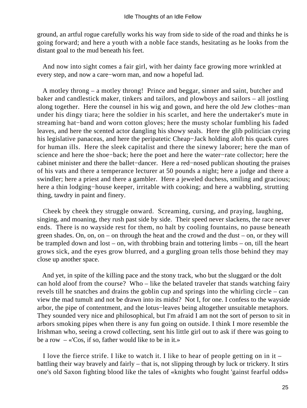ground, an artful rogue carefully works his way from side to side of the road and thinks he is going forward; and here a youth with a noble face stands, hesitating as he looks from the distant goal to the mud beneath his feet.

 And now into sight comes a fair girl, with her dainty face growing more wrinkled at every step, and now a care−worn man, and now a hopeful lad.

 A motley throng – a motley throng! Prince and beggar, sinner and saint, butcher and baker and candlestick maker, tinkers and tailors, and plowboys and sailors – all jostling along together. Here the counsel in his wig and gown, and here the old Jew clothes−man under his dingy tiara; here the soldier in his scarlet, and here the undertaker's mute in streaming hat−band and worn cotton gloves; here the musty scholar fumbling his faded leaves, and here the scented actor dangling his showy seals. Here the glib politician crying his legislative panaceas, and here the peripatetic Cheap−Jack holding aloft his quack cures for human ills. Here the sleek capitalist and there the sinewy laborer; here the man of science and here the shoe−back; here the poet and here the water−rate collector; here the cabinet minister and there the ballet−dancer. Here a red−nosed publican shouting the praises of his vats and there a temperance lecturer at 50 pounds a night; here a judge and there a swindler; here a priest and there a gambler. Here a jeweled duchess, smiling and gracious; here a thin lodging−house keeper, irritable with cooking; and here a wabbling, strutting thing, tawdry in paint and finery.

 Cheek by cheek they struggle onward. Screaming, cursing, and praying, laughing, singing, and moaning, they rush past side by side. Their speed never slackens, the race never ends. There is no wayside rest for them, no halt by cooling fountains, no pause beneath green shades. On, on, on – on through the heat and the crowd and the dust – on, or they will be trampled down and lost – on, with throbbing brain and tottering limbs – on, till the heart grows sick, and the eyes grow blurred, and a gurgling groan tells those behind they may close up another space.

 And yet, in spite of the killing pace and the stony track, who but the sluggard or the dolt can hold aloof from the course? Who – like the belated traveler that stands watching fairy revels till he snatches and drains the goblin cup and springs into the whirling circle – can view the mad tumult and not be drawn into its midst? Not I, for one. I confess to the wayside arbor, the pipe of contentment, and the lotus−leaves being altogether unsuitable metaphors. They sounded very nice and philosophical, but I'm afraid I am not the sort of person to sit in arbors smoking pipes when there is any fun going on outside. I think I more resemble the Irishman who, seeing a crowd collecting, sent his little girl out to ask if there was going to be a row  $-\alpha$  Cos, if so, father would like to be in it.»

 I love the fierce strife. I like to watch it. I like to hear of people getting on in it – battling their way bravely and fairly – that is, not slipping through by luck or trickery. It stirs one's old Saxon fighting blood like the tales of «knights who fought 'gainst fearful odds»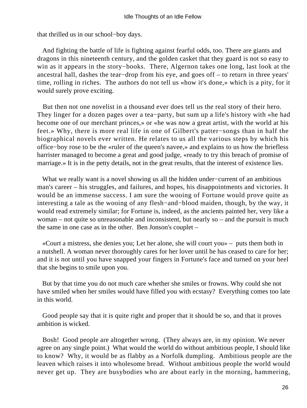that thrilled us in our school−boy days.

 And fighting the battle of life is fighting against fearful odds, too. There are giants and dragons in this nineteenth century, and the golden casket that they guard is not so easy to win as it appears in the story−books. There, Algernon takes one long, last look at the ancestral hall, dashes the tear−drop from his eye, and goes off – to return in three years' time, rolling in riches. The authors do not tell us «how it's done,» which is a pity, for it would surely prove exciting.

 But then not one novelist in a thousand ever does tell us the real story of their hero. They linger for a dozen pages over a tea−party, but sum up a life's history with «he had become one of our merchant princes,» or «he was now a great artist, with the world at his feet.» Why, there is more real life in one of Gilbert's patter−songs than in half the biographical novels ever written. He relates to us all the various steps by which his office−boy rose to be the «ruler of the queen's navee,» and explains to us how the briefless barrister managed to become a great and good judge, «ready to try this breach of promise of marriage.» It is in the petty details, not in the great results, that the interest of existence lies.

 What we really want is a novel showing us all the hidden under−current of an ambitious man's career – his struggles, and failures, and hopes, his disappointments and victories. It would be an immense success. I am sure the wooing of Fortune would prove quite as interesting a tale as the wooing of any flesh−and−blood maiden, though, by the way, it would read extremely similar; for Fortune is, indeed, as the ancients painted her, very like a woman – not quite so unreasonable and inconsistent, but nearly so – and the pursuit is much the same in one case as in the other. Ben Jonson's couplet –

 «Court a mistress, she denies you; Let her alone, she will court you» – puts them both in a nutshell. A woman never thoroughly cares for her lover until he has ceased to care for her; and it is not until you have snapped your fingers in Fortune's face and turned on your heel that she begins to smile upon you.

 But by that time you do not much care whether she smiles or frowns. Why could she not have smiled when her smiles would have filled you with ecstasy? Everything comes too late in this world.

 Good people say that it is quite right and proper that it should be so, and that it proves ambition is wicked.

 Bosh! Good people are altogether wrong. (They always are, in my opinion. We never agree on any single point.) What would the world do without ambitious people, I should like to know? Why, it would be as flabby as a Norfolk dumpling. Ambitious people are the leaven which raises it into wholesome bread. Without ambitious people the world would never get up. They are busybodies who are about early in the morning, hammering,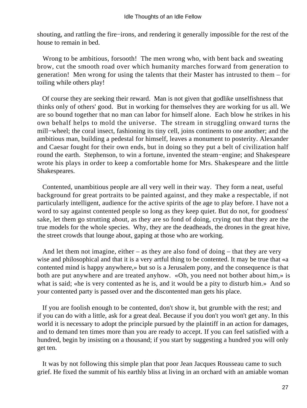shouting, and rattling the fire−irons, and rendering it generally impossible for the rest of the house to remain in bed.

 Wrong to be ambitious, forsooth! The men wrong who, with bent back and sweating brow, cut the smooth road over which humanity marches forward from generation to generation! Men wrong for using the talents that their Master has intrusted to them – for toiling while others play!

 Of course they are seeking their reward. Man is not given that godlike unselfishness that thinks only of others' good. But in working for themselves they are working for us all. We are so bound together that no man can labor for himself alone. Each blow he strikes in his own behalf helps to mold the universe. The stream in struggling onward turns the mill−wheel; the coral insect, fashioning its tiny cell, joins continents to one another; and the ambitious man, building a pedestal for himself, leaves a monument to posterity. Alexander and Caesar fought for their own ends, but in doing so they put a belt of civilization half round the earth. Stephenson, to win a fortune, invented the steam−engine; and Shakespeare wrote his plays in order to keep a comfortable home for Mrs. Shakespeare and the little Shakespeares.

 Contented, unambitious people are all very well in their way. They form a neat, useful background for great portraits to be painted against, and they make a respectable, if not particularly intelligent, audience for the active spirits of the age to play before. I have not a word to say against contented people so long as they keep quiet. But do not, for goodness' sake, let them go strutting about, as they are so fond of doing, crying out that they are the true models for the whole species. Why, they are the deadheads, the drones in the great hive, the street crowds that lounge about, gaping at those who are working.

 And let them not imagine, either – as they are also fond of doing – that they are very wise and philosophical and that it is a very artful thing to be contented. It may be true that «a contented mind is happy anywhere,» but so is a Jerusalem pony, and the consequence is that both are put anywhere and are treated anyhow. «Oh, you need not bother about him,» is what is said; «he is very contented as he is, and it would be a pity to disturb him.» And so your contented party is passed over and the discontented man gets his place.

 If you are foolish enough to be contented, don't show it, but grumble with the rest; and if you can do with a little, ask for a great deal. Because if you don't you won't get any. In this world it is necessary to adopt the principle pursued by the plaintiff in an action for damages, and to demand ten times more than you are ready to accept. If you can feel satisfied with a hundred, begin by insisting on a thousand; if you start by suggesting a hundred you will only get ten.

 It was by not following this simple plan that poor Jean Jacques Rousseau came to such grief. He fixed the summit of his earthly bliss at living in an orchard with an amiable woman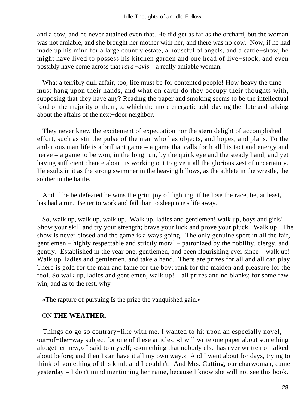and a cow, and he never attained even that. He did get as far as the orchard, but the woman was not amiable, and she brought her mother with her, and there was no cow. Now, if he had made up his mind for a large country estate, a houseful of angels, and a cattle−show, he might have lived to possess his kitchen garden and one head of live−stock, and even possibly have come across that *rara−avis* – a really amiable woman.

 What a terribly dull affair, too, life must be for contented people! How heavy the time must hang upon their hands, and what on earth do they occupy their thoughts with, supposing that they have any? Reading the paper and smoking seems to be the intellectual food of the majority of them, to which the more energetic add playing the flute and talking about the affairs of the next−door neighbor.

 They never knew the excitement of expectation nor the stern delight of accomplished effort, such as stir the pulse of the man who has objects, and hopes, and plans. To the ambitious man life is a brilliant game – a game that calls forth all his tact and energy and nerve – a game to be won, in the long run, by the quick eye and the steady hand, and yet having sufficient chance about its working out to give it all the glorious zest of uncertainty. He exults in it as the strong swimmer in the heaving billows, as the athlete in the wrestle, the soldier in the battle.

 And if he be defeated he wins the grim joy of fighting; if he lose the race, he, at least, has had a run. Better to work and fail than to sleep one's life away.

 So, walk up, walk up, walk up. Walk up, ladies and gentlemen! walk up, boys and girls! Show your skill and try your strength; brave your luck and prove your pluck. Walk up! The show is never closed and the game is always going. The only genuine sport in all the fair, gentlemen – highly respectable and strictly moral – patronized by the nobility, clergy, and gentry. Established in the year one, gentlemen, and been flourishing ever since – walk up! Walk up, ladies and gentlemen, and take a hand. There are prizes for all and all can play. There is gold for the man and fame for the boy; rank for the maiden and pleasure for the fool. So walk up, ladies and gentlemen, walk up! – all prizes and no blanks; for some few win, and as to the rest, why –

«The rapture of pursuing Is the prize the vanquished gain.»

#### ON **THE WEATHER.**

Things do go so contrary–like with me. I wanted to hit upon an especially novel, out−of−the−way subject for one of these articles. «I will write one paper about something altogether new,» I said to myself; «something that nobody else has ever written or talked about before; and then I can have it all my own way.» And I went about for days, trying to think of something of this kind; and I couldn't. And Mrs. Cutting, our charwoman, came yesterday – I don't mind mentioning her name, because I know she will not see this book.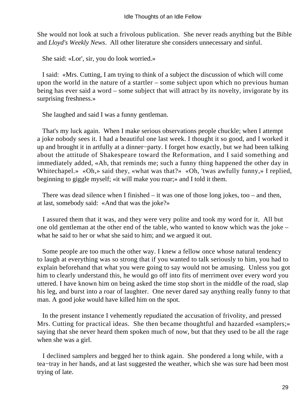She would not look at such a frivolous publication. She never reads anything but the Bible and *Lloyd's Weekly News*. All other literature she considers unnecessary and sinful.

She said: «Lor', sir, you do look worried.»

 I said: «Mrs. Cutting, I am trying to think of a subject the discussion of which will come upon the world in the nature of a startler – some subject upon which no previous human being has ever said a word – some subject that will attract by its novelty, invigorate by its surprising freshness.»

She laughed and said I was a funny gentleman.

 That's my luck again. When I make serious observations people chuckle; when I attempt a joke nobody sees it. I had a beautiful one last week. I thought it so good, and I worked it up and brought it in artfully at a dinner−party. I forget how exactly, but we had been talking about the attitude of Shakespeare toward the Reformation, and I said something and immediately added, «Ah, that reminds me; such a funny thing happened the other day in Whitechapel.» «Oh,» said they, «what was that?» «Oh, 'twas awfully funny,» I replied, beginning to giggle myself; «it will make you roar;» and I told it them.

There was dead silence when I finished – it was one of those long jokes, too – and then, at last, somebody said: «And that was the joke?»

 I assured them that it was, and they were very polite and took my word for it. All but one old gentleman at the other end of the table, who wanted to know which was the joke – what he said to her or what she said to him; and we argued it out.

 Some people are too much the other way. I knew a fellow once whose natural tendency to laugh at everything was so strong that if you wanted to talk seriously to him, you had to explain beforehand that what you were going to say would not be amusing. Unless you got him to clearly understand this, he would go off into fits of merriment over every word you uttered. I have known him on being asked the time stop short in the middle of the road, slap his leg, and burst into a roar of laughter. One never dared say anything really funny to that man. A good joke would have killed him on the spot.

 In the present instance I vehemently repudiated the accusation of frivolity, and pressed Mrs. Cutting for practical ideas. She then became thoughtful and hazarded «samplers;» saying that she never heard them spoken much of now, but that they used to be all the rage when she was a girl.

 I declined samplers and begged her to think again. She pondered a long while, with a tea−tray in her hands, and at last suggested the weather, which she was sure had been most trying of late.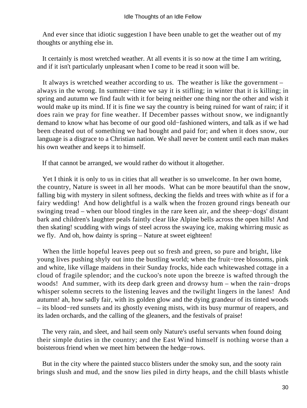And ever since that idiotic suggestion I have been unable to get the weather out of my thoughts or anything else in.

 It certainly is most wretched weather. At all events it is so now at the time I am writing, and if it isn't particularly unpleasant when I come to be read it soon will be.

 It always is wretched weather according to us. The weather is like the government – always in the wrong. In summer−time we say it is stifling; in winter that it is killing; in spring and autumn we find fault with it for being neither one thing nor the other and wish it would make up its mind. If it is fine we say the country is being ruined for want of rain; if it does rain we pray for fine weather. If December passes without snow, we indignantly demand to know what has become of our good old−fashioned winters, and talk as if we had been cheated out of something we had bought and paid for; and when it does snow, our language is a disgrace to a Christian nation. We shall never be content until each man makes his own weather and keeps it to himself.

If that cannot be arranged, we would rather do without it altogether.

 Yet I think it is only to us in cities that all weather is so unwelcome. In her own home, the country, Nature is sweet in all her moods. What can be more beautiful than the snow, falling big with mystery in silent softness, decking the fields and trees with white as if for a fairy wedding! And how delightful is a walk when the frozen ground rings beneath our swinging tread – when our blood tingles in the rare keen air, and the sheep−dogs' distant bark and children's laughter peals faintly clear like Alpine bells across the open hills! And then skating! scudding with wings of steel across the swaying ice, making whirring music as we fly. And oh, how dainty is spring – Nature at sweet eighteen!

 When the little hopeful leaves peep out so fresh and green, so pure and bright, like young lives pushing shyly out into the bustling world; when the fruit−tree blossoms, pink and white, like village maidens in their Sunday frocks, hide each whitewashed cottage in a cloud of fragile splendor; and the cuckoo's note upon the breeze is wafted through the woods! And summer, with its deep dark green and drowsy hum – when the rain−drops whisper solemn secrets to the listening leaves and the twilight lingers in the lanes! And autumn! ah, how sadly fair, with its golden glow and the dying grandeur of its tinted woods – its blood−red sunsets and its ghostly evening mists, with its busy murmur of reapers, and its laden orchards, and the calling of the gleaners, and the festivals of praise!

 The very rain, and sleet, and hail seem only Nature's useful servants when found doing their simple duties in the country; and the East Wind himself is nothing worse than a boisterous friend when we meet him between the hedge−rows.

 But in the city where the painted stucco blisters under the smoky sun, and the sooty rain brings slush and mud, and the snow lies piled in dirty heaps, and the chill blasts whistle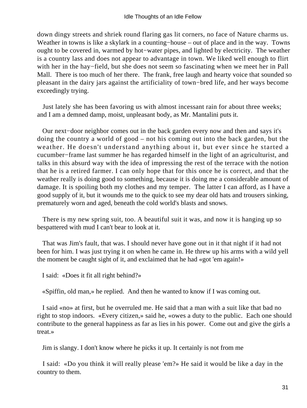down dingy streets and shriek round flaring gas lit corners, no face of Nature charms us. Weather in towns is like a skylark in a counting−house – out of place and in the way. Towns ought to be covered in, warmed by hot−water pipes, and lighted by electricity. The weather is a country lass and does not appear to advantage in town. We liked well enough to flirt with her in the hay−field, but she does not seem so fascinating when we meet her in Pall Mall. There is too much of her there. The frank, free laugh and hearty voice that sounded so pleasant in the dairy jars against the artificiality of town−bred life, and her ways become exceedingly trying.

 Just lately she has been favoring us with almost incessant rain for about three weeks; and I am a demned damp, moist, unpleasant body, as Mr. Mantalini puts it.

 Our next−door neighbor comes out in the back garden every now and then and says it's doing the country a world of good – not his coming out into the back garden, but the weather. He doesn't understand anything about it, but ever since he started a cucumber−frame last summer he has regarded himself in the light of an agriculturist, and talks in this absurd way with the idea of impressing the rest of the terrace with the notion that he is a retired farmer. I can only hope that for this once he is correct, and that the weather really is doing good to something, because it is doing me a considerable amount of damage. It is spoiling both my clothes and my temper. The latter I can afford, as I have a good supply of it, but it wounds me to the quick to see my dear old hats and trousers sinking, prematurely worn and aged, beneath the cold world's blasts and snows.

 There is my new spring suit, too. A beautiful suit it was, and now it is hanging up so bespattered with mud I can't bear to look at it.

 That was Jim's fault, that was. I should never have gone out in it that night if it had not been for him. I was just trying it on when he came in. He threw up his arms with a wild yell the moment be caught sight of it, and exclaimed that he had «got 'em again!»

I said: «Does it fit all right behind?»

«Spiffin, old man,» he replied. And then he wanted to know if I was coming out.

 I said «no» at first, but he overruled me. He said that a man with a suit like that bad no right to stop indoors. «Every citizen,» said he, «owes a duty to the public. Each one should contribute to the general happiness as far as lies in his power. Come out and give the girls a treat.»

Jim is slangy. I don't know where he picks it up. It certainly is not from me

 I said: «Do you think it will really please 'em?» He said it would be like a day in the country to them.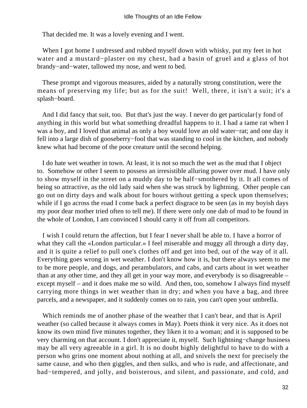That decided me. It was a lovely evening and I went.

When I got home I undressed and rubbed myself down with whisky, put my feet in hot water and a mustard−plaster on my chest, had a basin of gruel and a glass of hot brandy−and−water, tallowed my nose, and went to bed.

 These prompt and vigorous measures, aided by a naturally strong constitution, were the means of preserving my life; but as for the suit! Well, there, it isn't a suit; it's a splash−board.

And I did fancy that suit, too. But that's just the way. I never do get particular {y fond of anything in this world but what something dreadful happens to it. I had a tame rat when I was a boy, and I loved that animal as only a boy would love an old water−rat; and one day it fell into a large dish of gooseberry−fool that was standing to cool in the kitchen, and nobody knew what had become of the poor creature until the second helping.

 I do hate wet weather in town. At least, it is not so much the wet as the mud that I object to. Somehow or other I seem to possess an irresistible alluring power over mud. I have only to show myself in the street on a muddy day to be half−smothered by it. It all comes of being so attractive, as the old lady said when she was struck by lightning. Other people can go out on dirty days and walk about for hours without getting a speck upon themselves; while if I go across the road I come back a perfect disgrace to be seen (as in my boyish days my poor dear mother tried often to tell me). If there were only one dab of mud to be found in the whole of London, I am convinced I should carry it off from all competitors.

 I wish I could return the affection, but I fear I never shall be able to. I have a horror of what they call the «London particular.» I feel miserable and muggy all through a dirty day, and it is quite a relief to pull one's clothes off and get into bed, out of the way of it all. Everything goes wrong in wet weather. I don't know how it is, but there always seem to me to be more people, and dogs, and perambulators, and cabs, and carts about in wet weather than at any other time, and they all get in your way more, and everybody is so disagreeable – except myself – and it does make me so wild. And then, too, somehow I always find myself carrying more things in wet weather than in dry; and when you have a bag, and three parcels, and a newspaper, and it suddenly comes on to rain, you can't open your umbrella.

 Which reminds me of another phase of the weather that I can't bear, and that is April weather (so called because it always comes in May). Poets think it very nice. As it does not know its own mind five minutes together, they liken it to a woman; and it is supposed to be very charming on that account. I don't appreciate it, myself. Such lightning−change business may be all very agreeable in a girl. It is no doubt highly delightful to have to do with a person who grins one moment about nothing at all, and snivels the next for precisely the same cause, and who then giggles, and then sulks, and who is rude, and affectionate, and bad−tempered, and jolly, and boisterous, and silent, and passionate, and cold, and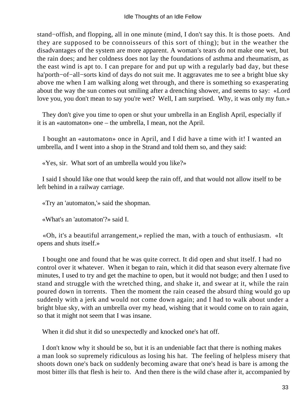stand−offish, and flopping, all in one minute (mind, I don't say this. It is those poets. And they are supposed to be connoisseurs of this sort of thing); but in the weather the disadvantages of the system are more apparent. A woman's tears do not make one wet, but the rain does; and her coldness does not lay the foundations of asthma and rheumatism, as the east wind is apt to. I can prepare for and put up with a regularly bad day, but these ha'porth−of−all−sorts kind of days do not suit me. It aggravates me to see a bright blue sky above me when I am walking along wet through, and there is something so exasperating about the way the sun comes out smiling after a drenching shower, and seems to say: «Lord love you, you don't mean to say you're wet? Well, I am surprised. Why, it was only my fun.»

 They don't give you time to open or shut your umbrella in an English April, especially if it is an «automaton» one – the umbrella, I mean, not the April.

 I bought an «automaton» once in April, and I did have a time with it! I wanted an umbrella, and I went into a shop in the Strand and told them so, and they said:

«Yes, sir. What sort of an umbrella would you like?»

 I said I should like one that would keep the rain off, and that would not allow itself to be left behind in a railway carriage.

«Try an 'automaton,'» said the shopman.

«What's an 'automaton'?» said I.

 «Oh, it's a beautiful arrangement,» replied the man, with a touch of enthusiasm. «It opens and shuts itself.»

 I bought one and found that he was quite correct. It did open and shut itself. I had no control over it whatever. When it began to rain, which it did that season every alternate five minutes, I used to try and get the machine to open, but it would not budge; and then I used to stand and struggle with the wretched thing, and shake it, and swear at it, while the rain poured down in torrents. Then the moment the rain ceased the absurd thing would go up suddenly with a jerk and would not come down again; and I had to walk about under a bright blue sky, with an umbrella over my head, wishing that it would come on to rain again, so that it might not seem that I was insane.

When it did shut it did so unexpectedly and knocked one's hat off.

 I don't know why it should be so, but it is an undeniable fact that there is nothing makes a man look so supremely ridiculous as losing his hat. The feeling of helpless misery that shoots down one's back on suddenly becoming aware that one's head is bare is among the most bitter ills that flesh is heir to. And then there is the wild chase after it, accompanied by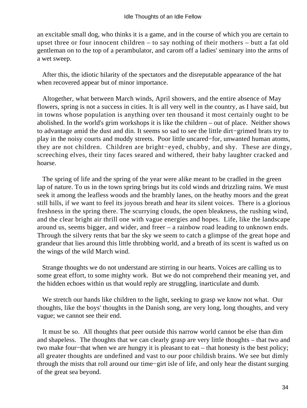an excitable small dog, who thinks it is a game, and in the course of which you are certain to upset three or four innocent children – to say nothing of their mothers – butt a fat old gentleman on to the top of a perambulator, and carom off a ladies' seminary into the arms of a wet sweep.

 After this, the idiotic hilarity of the spectators and the disreputable appearance of the hat when recovered appear but of minor importance.

 Altogether, what between March winds, April showers, and the entire absence of May flowers, spring is not a success in cities. It is all very well in the country, as I have said, but in towns whose population is anything over ten thousand it most certainly ought to be abolished. In the world's grim workshops it is like the children – out of place. Neither shows to advantage amid the dust and din. It seems so sad to see the little dirt−grimed brats try to play in the noisy courts and muddy streets. Poor little uncared−for, unwanted human atoms, they are not children. Children are bright−eyed, chubby, and shy. These are dingy, screeching elves, their tiny faces seared and withered, their baby laughter cracked and hoarse.

 The spring of life and the spring of the year were alike meant to be cradled in the green lap of nature. To us in the town spring brings but its cold winds and drizzling rains. We must seek it among the leafless woods and the brambly lanes, on the heathy moors and the great still hills, if we want to feel its joyous breath and hear its silent voices. There is a glorious freshness in the spring there. The scurrying clouds, the open bleakness, the rushing wind, and the clear bright air thrill one with vague energies and hopes. Life, like the landscape around us, seems bigger, and wider, and freer – a rainbow road leading to unknown ends. Through the silvery rents that bar the sky we seem to catch a glimpse of the great hope and grandeur that lies around this little throbbing world, and a breath of its scent is wafted us on the wings of the wild March wind.

 Strange thoughts we do not understand are stirring in our hearts. Voices are calling us to some great effort, to some mighty work. But we do not comprehend their meaning yet, and the hidden echoes within us that would reply are struggling, inarticulate and dumb.

 We stretch our hands like children to the light, seeking to grasp we know not what. Our thoughts, like the boys' thoughts in the Danish song, are very long, long thoughts, and very vague; we cannot see their end.

 It must be so. All thoughts that peer outside this narrow world cannot be else than dim and shapeless. The thoughts that we can clearly grasp are very little thoughts – that two and two make four−that when we are hungry it is pleasant to eat – that honesty is the best policy; all greater thoughts are undefined and vast to our poor childish brains. We see but dimly through the mists that roll around our time−girt isle of life, and only hear the distant surging of the great sea beyond.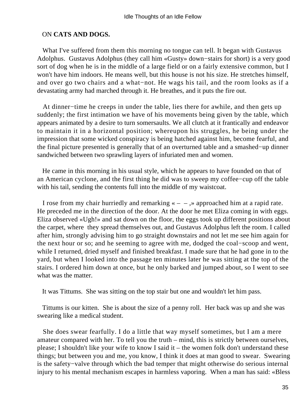#### ON **CATS AND DOGS.**

 What I've suffered from them this morning no tongue can tell. It began with Gustavus Adolphus. Gustavus Adolphus (they call him «Gusty» down−stairs for short) is a very good sort of dog when he is in the middle of a large field or on a fairly extensive common, but I won't have him indoors. He means well, but this house is not his size. He stretches himself, and over go two chairs and a what−not. He wags his tail, and the room looks as if a devastating army had marched through it. He breathes, and it puts the fire out.

 At dinner−time he creeps in under the table, lies there for awhile, and then gets up suddenly; the first intimation we have of his movements being given by the table, which appears animated by a desire to turn somersaults. We all clutch at it frantically and endeavor to maintain it in a horizontal position; whereupon his struggles, he being under the impression that some wicked conspiracy is being hatched against him, become fearful, and the final picture presented is generally that of an overturned table and a smashed−up dinner sandwiched between two sprawling layers of infuriated men and women.

 He came in this morning in his usual style, which he appears to have founded on that of an American cyclone, and the first thing he did was to sweep my coffee−cup off the table with his tail, sending the contents full into the middle of my waistcoat.

I rose from my chair hurriedly and remarking  $\langle - \rangle$  approached him at a rapid rate. He preceded me in the direction of the door. At the door he met Eliza coming in with eggs. Eliza observed «Ugh!» and sat down on the floor, the eggs took up different positions about the carpet, where they spread themselves out, and Gustavus Adolphus left the room. I called after him, strongly advising him to go straight downstairs and not let me see him again for the next hour or so; and he seeming to agree with me, dodged the coal−scoop and went, while I returned, dried myself and finished breakfast. I made sure that he had gone in to the yard, but when I looked into the passage ten minutes later he was sitting at the top of the stairs. I ordered him down at once, but he only barked and jumped about, so I went to see what was the matter.

It was Tittums. She was sitting on the top stair but one and wouldn't let him pass.

 Tittums is our kitten. She is about the size of a penny roll. Her back was up and she was swearing like a medical student.

 She does swear fearfully. I do a little that way myself sometimes, but I am a mere amateur compared with her. To tell you the truth – mind, this is strictly between ourselves, please; I shouldn't like your wife to know I said it – the women folk don't understand these things; but between you and me, you know, I think it does at man good to swear. Swearing is the safety−valve through which the bad temper that might otherwise do serious internal injury to his mental mechanism escapes in harmless vaporing. When a man has said: «Bless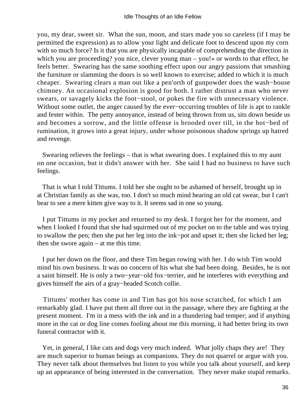you, my dear, sweet sir. What the sun, moon, and stars made you so careless (if I may be permitted the expression) as to allow your light and delicate foot to descend upon my corn with so much force? Is it that you are physically incapable of comprehending the direction in which you are proceeding? you nice, clever young man – you!» or words to that effect, he feels better. Swearing has the same soothing effect upon our angry passions that smashing the furniture or slamming the doors is so well known to exercise; added to which it is much cheaper. Swearing clears a man out like a pen'orth of gunpowder does the wash−house chimney. An occasional explosion is good for both. I rather distrust a man who never swears, or savagely kicks the foot−stool, or pokes the fire with unnecessary violence. Without some outlet, the anger caused by the ever−occurring troubles of life is apt to rankle and fester within. The petty annoyance, instead of being thrown from us, sits down beside us and becomes a sorrow, and the little offense is brooded over till, in the hot−bed of rumination, it grows into a great injury, under whose poisonous shadow springs up hatred and revenge.

 Swearing relieves the feelings – that is what swearing does. I explained this to my aunt on one occasion, but it didn't answer with her. She said I had no business to have such feelings.

 That is what I told Tittums. I told her she ought to be ashamed of herself, brought up in at Christian family as she was, too. I don't so much mind hearing an old cat swear, but I can't bear to see a mere kitten give way to it. It seems sad in one so young.

 I put Tittums in my pocket and returned to my desk. I forgot her for the moment, and when I looked I found that she had squirmed out of my pocket on to the table and was trying to swallow the pen; then she put her leg into the ink−pot and upset it; then she licked her leg; then she swore again – at me this time.

 I put her down on the floor, and there Tim began rowing with her. I do wish Tim would mind his own business. It was no concern of his what she had been doing. Besides, he is not a saint himself. He is only a two−year−old fox−terrier, and he interferes with everything and gives himself the airs of a gray−headed Scotch collie.

 Tittums' mother has come in and Tim has got his nose scratched, for which I am remarkably glad. I have put them all three out in the passage, where they are fighting at the present moment. I'm in a mess with the ink and in a thundering bad temper; and if anything more in the cat or dog line comes fooling about me this morning, it had better bring its own funeral contractor with it.

 Yet, in general, I like cats and dogs very much indeed. What jolly chaps they are! They are much superior to human beings as companions. They do not quarrel or argue with you. They never talk about themselves but listen to you while you talk about yourself, and keep up an appearance of being interested in the conversation. They never make stupid remarks.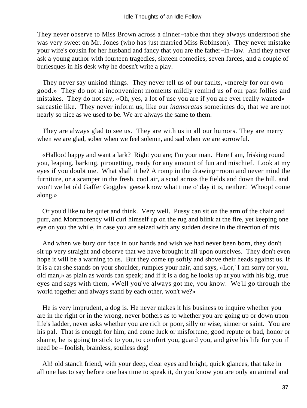They never observe to Miss Brown across a dinner−table that they always understood she was very sweet on Mr. Jones (who has just married Miss Robinson). They never mistake your wife's cousin for her husband and fancy that you are the father−in−law. And they never ask a young author with fourteen tragedies, sixteen comedies, seven farces, and a couple of burlesques in his desk why he doesn't write a play.

 They never say unkind things. They never tell us of our faults, «merely for our own good.» They do not at inconvenient moments mildly remind us of our past follies and mistakes. They do not say, «Oh, yes, a lot of use you are if you are ever really wanted» – sarcastic like. They never inform us, like our *inamoratas* sometimes do, that we are not nearly so nice as we used to be. We are always the same to them.

 They are always glad to see us. They are with us in all our humors. They are merry when we are glad, sober when we feel solemn, and sad when we are sorrowful.

 «Halloo! happy and want a lark? Right you are; I'm your man. Here I am, frisking round you, leaping, barking, pirouetting, ready for any amount of fun and mischief. Look at my eyes if you doubt me. What shall it be? A romp in the drawing−room and never mind the furniture, or a scamper in the fresh, cool air, a scud across the fields and down the hill, and won't we let old Gaffer Goggles' geese know what time o' day it is, neither! Whoop! come along.»

 Or you'd like to be quiet and think. Very well. Pussy can sit on the arm of the chair and purr, and Montmorency will curl himself up on the rug and blink at the fire, yet keeping one eye on you the while, in case you are seized with any sudden desire in the direction of rats.

 And when we bury our face in our hands and wish we had never been born, they don't sit up very straight and observe that we have brought it all upon ourselves. They don't even hope it will be a warning to us. But they come up softly and shove their heads against us. If it is a cat she stands on your shoulder, rumples your hair, and says, «Lor,' I am sorry for you, old man,» as plain as words can speak; and if it is a dog he looks up at you with his big, true eyes and says with them, «Well you've always got me, you know. We'll go through the world together and always stand by each other, won't we?»

 He is very imprudent, a dog is. He never makes it his business to inquire whether you are in the right or in the wrong, never bothers as to whether you are going up or down upon life's ladder, never asks whether you are rich or poor, silly or wise, sinner or saint. You are his pal. That is enough for him, and come luck or misfortune, good repute or bad, honor or shame, he is going to stick to you, to comfort you, guard you, and give his life for you if need be – foolish, brainless, soulless dog!

 Ah! old stanch friend, with your deep, clear eyes and bright, quick glances, that take in all one has to say before one has time to speak it, do you know you are only an animal and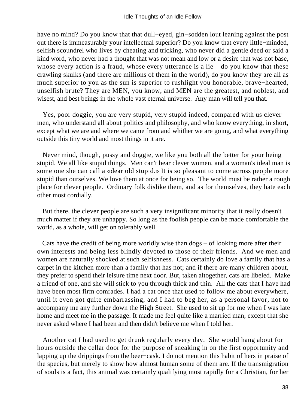have no mind? Do you know that that dull−eyed, gin−sodden lout leaning against the post out there is immeasurably your intellectual superior? Do you know that every little−minded, selfish scoundrel who lives by cheating and tricking, who never did a gentle deed or said a kind word, who never had a thought that was not mean and low or a desire that was not base, whose every action is a fraud, whose every utterance is a lie  $-$  do you know that these crawling skulks (and there are millions of them in the world), do you know they are all as much superior to you as the sun is superior to rushlight you honorable, brave−hearted, unselfish brute? They are MEN, you know, and MEN are the greatest, and noblest, and wisest, and best beings in the whole vast eternal universe. Any man will tell you that.

 Yes, poor doggie, you are very stupid, very stupid indeed, compared with us clever men, who understand all about politics and philosophy, and who know everything, in short, except what we are and where we came from and whither we are going, and what everything outside this tiny world and most things in it are.

 Never mind, though, pussy and doggie, we like you both all the better for your being stupid. We all like stupid things. Men can't bear clever women, and a woman's ideal man is some one she can call a «dear old stupid.» It is so pleasant to come across people more stupid than ourselves. We love them at once for being so. The world must be rather a rough place for clever people. Ordinary folk dislike them, and as for themselves, they hate each other most cordially.

 But there, the clever people are such a very insignificant minority that it really doesn't much matter if they are unhappy. So long as the foolish people can be made comfortable the world, as a whole, will get on tolerably well.

 Cats have the credit of being more worldly wise than dogs – of looking more after their own interests and being less blindly devoted to those of their friends. And we men and women are naturally shocked at such selfishness. Cats certainly do love a family that has a carpet in the kitchen more than a family that has not; and if there are many children about, they prefer to spend their leisure time next door. But, taken altogether, cats are libeled. Make a friend of one, and she will stick to you through thick and thin. All the cats that I have had have been most firm comrades. I had a cat once that used to follow me about everywhere, until it even got quite embarrassing, and I had to beg her, as a personal favor, not to accompany me any further down the High Street. She used to sit up for me when I was late home and meet me in the passage. It made me feel quite like a married man, except that she never asked where I had been and then didn't believe me when I told her.

 Another cat I had used to get drunk regularly every day. She would hang about for hours outside the cellar door for the purpose of sneaking in on the first opportunity and lapping up the drippings from the beer−cask. I do not mention this habit of hers in praise of the species, but merely to show how almost human some of them are. If the transmigration of souls is a fact, this animal was certainly qualifying most rapidly for a Christian, for her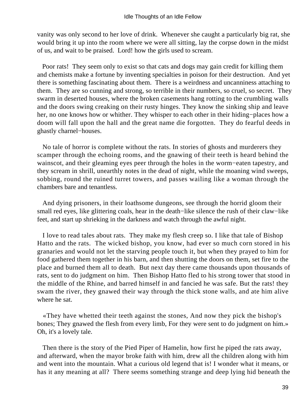vanity was only second to her love of drink. Whenever she caught a particularly big rat, she would bring it up into the room where we were all sitting, lay the corpse down in the midst of us, and wait to be praised. Lord! how the girls used to scream.

 Poor rats! They seem only to exist so that cats and dogs may gain credit for killing them and chemists make a fortune by inventing specialties in poison for their destruction. And yet there is something fascinating about them. There is a weirdness and uncanniness attaching to them. They are so cunning and strong, so terrible in their numbers, so cruel, so secret. They swarm in deserted houses, where the broken casements hang rotting to the crumbling walls and the doors swing creaking on their rusty hinges. They know the sinking ship and leave her, no one knows how or whither. They whisper to each other in their hiding−places how a doom will fall upon the hall and the great name die forgotten. They do fearful deeds in ghastly charnel−houses.

 No tale of horror is complete without the rats. In stories of ghosts and murderers they scamper through the echoing rooms, and the gnawing of their teeth is heard behind the wainscot, and their gleaming eyes peer through the holes in the worm−eaten tapestry, and they scream in shrill, unearthly notes in the dead of night, while the moaning wind sweeps, sobbing, round the ruined turret towers, and passes wailing like a woman through the chambers bare and tenantless.

 And dying prisoners, in their loathsome dungeons, see through the horrid gloom their small red eyes, like glittering coals, hear in the death−like silence the rush of their claw−like feet, and start up shrieking in the darkness and watch through the awful night.

 I love to read tales about rats. They make my flesh creep so. I like that tale of Bishop Hatto and the rats. The wicked bishop, you know, had ever so much corn stored in his granaries and would not let the starving people touch it, but when they prayed to him for food gathered them together in his barn, and then shutting the doors on them, set fire to the place and burned them all to death. But next day there came thousands upon thousands of rats, sent to do judgment on him. Then Bishop Hatto fled to his strong tower that stood in the middle of the Rhine, and barred himself in and fancied he was safe. But the rats! they swam the river, they gnawed their way through the thick stone walls, and ate him alive where he sat.

 «They have whetted their teeth against the stones, And now they pick the bishop's bones; They gnawed the flesh from every limb, For they were sent to do judgment on him.» Oh, it's a lovely tale.

 Then there is the story of the Pied Piper of Hamelin, how first he piped the rats away, and afterward, when the mayor broke faith with him, drew all the children along with him and went into the mountain. What a curious old legend that is! I wonder what it means, or has it any meaning at all? There seems something strange and deep lying hid beneath the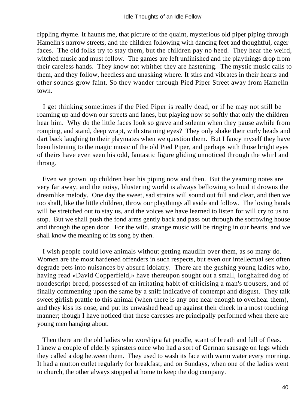rippling rhyme. It haunts me, that picture of the quaint, mysterious old piper piping through Hamelin's narrow streets, and the children following with dancing feet and thoughtful, eager faces. The old folks try to stay them, but the children pay no heed. They hear the weird, witched music and must follow. The games are left unfinished and the playthings drop from their careless hands. They know not whither they are hastening. The mystic music calls to them, and they follow, heedless and unasking where. It stirs and vibrates in their hearts and other sounds grow faint. So they wander through Pied Piper Street away from Hamelin town.

 I get thinking sometimes if the Pied Piper is really dead, or if he may not still be roaming up and down our streets and lanes, but playing now so softly that only the children hear him. Why do the little faces look so grave and solemn when they pause awhile from romping, and stand, deep wrapt, with straining eyes? They only shake their curly heads and dart back laughing to their playmates when we question them. But I fancy myself they have been listening to the magic music of the old Pied Piper, and perhaps with those bright eyes of theirs have even seen his odd, fantastic figure gliding unnoticed through the whirl and throng.

 Even we grown−up children hear his piping now and then. But the yearning notes are very far away, and the noisy, blustering world is always bellowing so loud it drowns the dreamlike melody. One day the sweet, sad strains will sound out full and clear, and then we too shall, like the little children, throw our playthings all aside and follow. The loving hands will be stretched out to stay us, and the voices we have learned to listen for will cry to us to stop. But we shall push the fond arms gently back and pass out through the sorrowing house and through the open door. For the wild, strange music will be ringing in our hearts, and we shall know the meaning of its song by then.

 I wish people could love animals without getting maudlin over them, as so many do. Women are the most hardened offenders in such respects, but even our intellectual sex often degrade pets into nuisances by absurd idolatry. There are the gushing young ladies who, having read «David Copperfield,» have thereupon sought out a small, longhaired dog of nondescript breed, possessed of an irritating habit of criticising a man's trousers, and of finally commenting upon the same by a sniff indicative of contempt and disgust. They talk sweet girlish prattle to this animal (when there is any one near enough to overhear them), and they kiss its nose, and put its unwashed head up against their cheek in a most touching manner; though I have noticed that these caresses are principally performed when there are young men hanging about.

 Then there are the old ladies who worship a fat poodle, scant of breath and full of fleas. I knew a couple of elderly spinsters once who had a sort of German sausage on legs which they called a dog between them. They used to wash its face with warm water every morning. It had a mutton cutlet regularly for breakfast; and on Sundays, when one of the ladies went to church, the other always stopped at home to keep the dog company.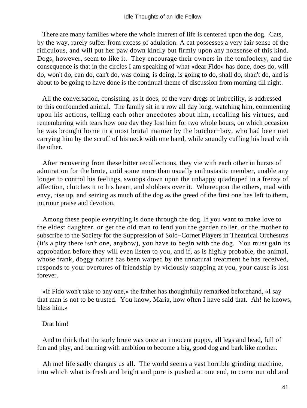There are many families where the whole interest of life is centered upon the dog. Cats, by the way, rarely suffer from excess of adulation. A cat possesses a very fair sense of the ridiculous, and will put her paw down kindly but firmly upon any nonsense of this kind. Dogs, however, seem to like it. They encourage their owners in the tomfoolery, and the consequence is that in the circles I am speaking of what «dear Fido» has done, does do, will do, won't do, can do, can't do, was doing, is doing, is going to do, shall do, shan't do, and is about to be going to have done is the continual theme of discussion from morning till night.

 All the conversation, consisting, as it does, of the very dregs of imbecility, is addressed to this confounded animal. The family sit in a row all day long, watching him, commenting upon his actions, telling each other anecdotes about him, recalling his virtues, and remembering with tears how one day they lost him for two whole hours, on which occasion he was brought home in a most brutal manner by the butcher−boy, who had been met carrying him by the scruff of his neck with one hand, while soundly cuffing his head with the other.

 After recovering from these bitter recollections, they vie with each other in bursts of admiration for the brute, until some more than usually enthusiastic member, unable any longer to control his feelings, swoops down upon the unhappy quadruped in a frenzy of affection, clutches it to his heart, and slobbers over it. Whereupon the others, mad with envy, rise up, and seizing as much of the dog as the greed of the first one has left to them, murmur praise and devotion.

 Among these people everything is done through the dog. If you want to make love to the eldest daughter, or get the old man to lend you the garden roller, or the mother to subscribe to the Society for the Suppression of Solo−Cornet Players in Theatrical Orchestras (it's a pity there isn't one, anyhow), you have to begin with the dog. You must gain its approbation before they will even listen to you, and if, as is highly probable, the animal, whose frank, doggy nature has been warped by the unnatural treatment he has received, responds to your overtures of friendship by viciously snapping at you, your cause is lost forever.

 «If Fido won't take to any one,» the father has thoughtfully remarked beforehand, «I say that man is not to be trusted. You know, Maria, how often I have said that. Ah! he knows, bless him.»

## Drat him!

 And to think that the surly brute was once an innocent puppy, all legs and head, full of fun and play, and burning with ambition to become a big, good dog and bark like mother.

 Ah me! life sadly changes us all. The world seems a vast horrible grinding machine, into which what is fresh and bright and pure is pushed at one end, to come out old and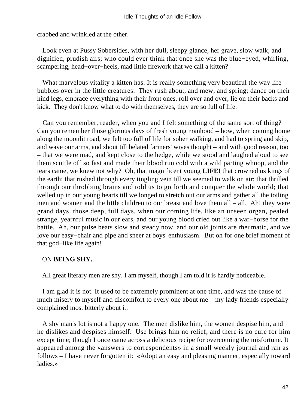crabbed and wrinkled at the other.

 Look even at Pussy Sobersides, with her dull, sleepy glance, her grave, slow walk, and dignified, prudish airs; who could ever think that once she was the blue−eyed, whirling, scampering, head−over−heels, mad little firework that we call a kitten?

 What marvelous vitality a kitten has. It is really something very beautiful the way life bubbles over in the little creatures. They rush about, and mew, and spring; dance on their hind legs, embrace everything with their front ones, roll over and over, lie on their backs and kick. They don't know what to do with themselves, they are so full of life.

 Can you remember, reader, when you and I felt something of the same sort of thing? Can you remember those glorious days of fresh young manhood – how, when coming home along the moonlit road, we felt too full of life for sober walking, and had to spring and skip, and wave our arms, and shout till belated farmers' wives thought – and with good reason, too – that we were mad, and kept close to the hedge, while we stood and laughed aloud to see them scuttle off so fast and made their blood run cold with a wild parting whoop, and the tears came, we knew not why? Oh, that magnificent young **LIFE!** that crowned us kings of the earth; that rushed through every tingling vein till we seemed to walk on air; that thrilled through our throbbing brains and told us to go forth and conquer the whole world; that welled up in our young hearts till we longed to stretch out our arms and gather all the toiling men and women and the little children to our breast and love them all – all. Ah! they were grand days, those deep, full days, when our coming life, like an unseen organ, pealed strange, yearnful music in our ears, and our young blood cried out like a war−horse for the battle. Ah, our pulse beats slow and steady now, and our old joints are rheumatic, and we love our easy−chair and pipe and sneer at boys' enthusiasm. But oh for one brief moment of that god−like life again!

# ON **BEING SHY.**

All great literary men are shy. I am myself, though I am told it is hardly noticeable.

 I am glad it is not. It used to be extremely prominent at one time, and was the cause of much misery to myself and discomfort to every one about me – my lady friends especially complained most bitterly about it.

 A shy man's lot is not a happy one. The men dislike him, the women despise him, and he dislikes and despises himself. Use brings him no relief, and there is no cure for him except time; though I once came across a delicious recipe for overcoming the misfortune. It appeared among the «answers to correspondents» in a small weekly journal and ran as follows – I have never forgotten it: «Adopt an easy and pleasing manner, especially toward ladies.»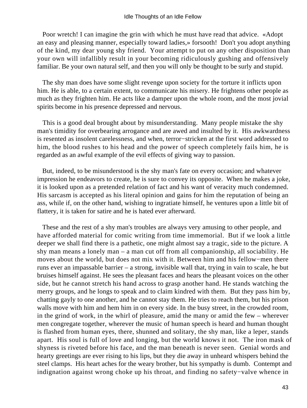Poor wretch! I can imagine the grin with which he must have read that advice. «Adopt an easy and pleasing manner, especially toward ladies,» forsooth! Don't you adopt anything of the kind, my dear young shy friend. Your attempt to put on any other disposition than your own will infallibly result in your becoming ridiculously gushing and offensively familiar. Be your own natural self, and then you will only be thought to be surly and stupid.

 The shy man does have some slight revenge upon society for the torture it inflicts upon him. He is able, to a certain extent, to communicate his misery. He frightens other people as much as they frighten him. He acts like a damper upon the whole room, and the most jovial spirits become in his presence depressed and nervous.

 This is a good deal brought about by misunderstanding. Many people mistake the shy man's timidity for overbearing arrogance and are awed and insulted by it. His awkwardness is resented as insolent carelessness, and when, terror−stricken at the first word addressed to him, the blood rushes to his head and the power of speech completely fails him, he is regarded as an awful example of the evil effects of giving way to passion.

 But, indeed, to be misunderstood is the shy man's fate on every occasion; and whatever impression he endeavors to create, he is sure to convey its opposite. When he makes a joke, it is looked upon as a pretended relation of fact and his want of veracity much condemned. His sarcasm is accepted as his literal opinion and gains for him the reputation of being an ass, while if, on the other hand, wishing to ingratiate himself, he ventures upon a little bit of flattery, it is taken for satire and he is hated ever afterward.

 These and the rest of a shy man's troubles are always very amusing to other people, and have afforded material for comic writing from time immemorial. But if we look a little deeper we shall find there is a pathetic, one might almost say a tragic, side to the picture. A shy man means a lonely man – a man cut off from all companionship, all sociability. He moves about the world, but does not mix with it. Between him and his fellow−men there runs ever an impassable barrier – a strong, invisible wall that, trying in vain to scale, he but bruises himself against. He sees the pleasant faces and hears the pleasant voices on the other side, but he cannot stretch his hand across to grasp another hand. He stands watching the merry groups, and he longs to speak and to claim kindred with them. But they pass him by, chatting gayly to one another, and he cannot stay them. He tries to reach them, but his prison walls move with him and hem him in on every side. In the busy street, in the crowded room, in the grind of work, in the whirl of pleasure, amid the many or amid the few – wherever men congregate together, wherever the music of human speech is heard and human thought is flashed from human eyes, there, shunned and solitary, the shy man, like a leper, stands apart. His soul is full of love and longing, but the world knows it not. The iron mask of shyness is riveted before his face, and the man beneath is never seen. Genial words and hearty greetings are ever rising to his lips, but they die away in unheard whispers behind the steel clamps. His heart aches for the weary brother, but his sympathy is dumb. Contempt and indignation against wrong choke up his throat, and finding no safety−valve whence in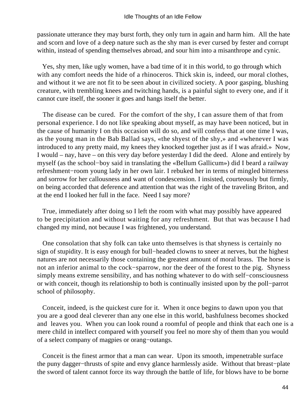passionate utterance they may burst forth, they only turn in again and harm him. All the hate and scorn and love of a deep nature such as the shy man is ever cursed by fester and corrupt within, instead of spending themselves abroad, and sour him into a misanthrope and cynic.

 Yes, shy men, like ugly women, have a bad time of it in this world, to go through which with any comfort needs the hide of a rhinoceros. Thick skin is, indeed, our moral clothes, and without it we are not fit to be seen about in civilized society. A poor gasping, blushing creature, with trembling knees and twitching hands, is a painful sight to every one, and if it cannot cure itself, the sooner it goes and hangs itself the better.

 The disease can be cured. For the comfort of the shy, I can assure them of that from personal experience. I do not like speaking about myself, as may have been noticed, but in the cause of humanity I on this occasion will do so, and will confess that at one time I was, as the young man in the Bab Ballad says, «the shyest of the shy,» and «whenever I was introduced to any pretty maid, my knees they knocked together just as if I was afraid.» Now, I would – nay, have – on this very day before yesterday I did the deed. Alone and entirely by myself (as the school−boy said in translating the «Bellum Gallicum») did I beard a railway refreshment−room young lady in her own lair. I rebuked her in terms of mingled bitterness and sorrow for her callousness and want of condescension. I insisted, courteously but firmly, on being accorded that deference and attention that was the right of the traveling Briton, and at the end I looked her full in the face. Need I say more?

 True, immediately after doing so I left the room with what may possibly have appeared to be precipitation and without waiting for any refreshment. But that was because I had changed my mind, not because I was frightened, you understand.

 One consolation that shy folk can take unto themselves is that shyness is certainly no sign of stupidity. It is easy enough for bull−headed clowns to sneer at nerves, but the highest natures are not necessarily those containing the greatest amount of moral brass. The horse is not an inferior animal to the cock−sparrow, nor the deer of the forest to the pig. Shyness simply means extreme sensibility, and has nothing whatever to do with self−consciousness or with conceit, though its relationship to both is continually insisted upon by the poll−parrot school of philosophy.

 Conceit, indeed, is the quickest cure for it. When it once begins to dawn upon you that you are a good deal cleverer than any one else in this world, bashfulness becomes shocked and leaves you. When you can look round a roomful of people and think that each one is a mere child in intellect compared with yourself you feel no more shy of them than you would of a select company of magpies or orang−outangs.

 Conceit is the finest armor that a man can wear. Upon its smooth, impenetrable surface the puny dagger−thrusts of spite and envy glance harmlessly aside. Without that breast−plate the sword of talent cannot force its way through the battle of life, for blows have to be borne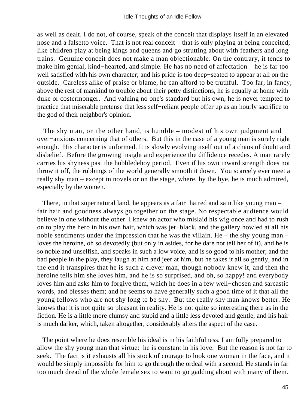as well as dealt. I do not, of course, speak of the conceit that displays itself in an elevated nose and a falsetto voice. That is not real conceit – that is only playing at being conceited; like children play at being kings and queens and go strutting about with feathers and long trains. Genuine conceit does not make a man objectionable. On the contrary, it tends to make him genial, kind−hearted, and simple. He has no need of affectation – he is far too well satisfied with his own character; and his pride is too deep−seated to appear at all on the outside. Careless alike of praise or blame, he can afford to be truthful. Too far, in fancy, above the rest of mankind to trouble about their petty distinctions, he is equally at home with duke or costermonger. And valuing no one's standard but his own, he is never tempted to practice that miserable pretense that less self−reliant people offer up as an hourly sacrifice to the god of their neighbor's opinion.

 The shy man, on the other hand, is humble – modest of his own judgment and over−anxious concerning that of others. But this in the case of a young man is surely right enough. His character is unformed. It is slowly evolving itself out of a chaos of doubt and disbelief. Before the growing insight and experience the diffidence recedes. A man rarely carries his shyness past the hobbledehoy period. Even if his own inward strength does not throw it off, the rubbings of the world generally smooth it down. You scarcely ever meet a really shy man – except in novels or on the stage, where, by the bye, he is much admired, especially by the women.

 There, in that supernatural land, he appears as a fair−haired and saintlike young man – fair hair and goodness always go together on the stage. No respectable audience would believe in one without the other. I knew an actor who mislaid his wig once and had to rush on to play the hero in his own hair, which was jet−black, and the gallery howled at all his noble sentiments under the impression that he was the villain. He – the shy young man – loves the heroine, oh so devotedly (but only in asides, for he dare not tell her of it), and he is so noble and unselfish, and speaks in such a low voice, and is so good to his mother; and the bad people in the play, they laugh at him and jeer at him, but he takes it all so gently, and in the end it transpires that he is such a clever man, though nobody knew it, and then the heroine tells him she loves him, and he is so surprised, and oh, so happy! and everybody loves him and asks him to forgive them, which he does in a few well−chosen and sarcastic words, and blesses them; and he seems to have generally such a good time of it that all the young fellows who are not shy long to be shy. But the really shy man knows better. He knows that it is not quite so pleasant in reality. He is not quite so interesting there as in the fiction. He is a little more clumsy and stupid and a little less devoted and gentle, and his hair is much darker, which, taken altogether, considerably alters the aspect of the case.

 The point where he does resemble his ideal is in his faithfulness. I am fully prepared to allow the shy young man that virtue: he is constant in his love. But the reason is not far to seek. The fact is it exhausts all his stock of courage to look one woman in the face, and it would be simply impossible for him to go through the ordeal with a second. He stands in far too much dread of the whole female sex to want to go gadding about with many of them.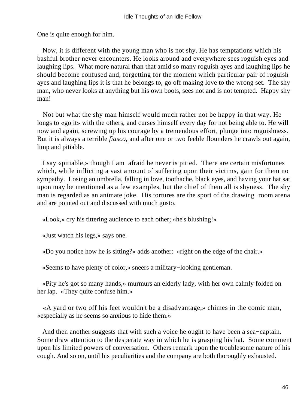One is quite enough for him.

 Now, it is different with the young man who is not shy. He has temptations which his bashful brother never encounters. He looks around and everywhere sees roguish eyes and laughing lips. What more natural than that amid so many roguish ayes and laughing lips he should become confused and, forgetting for the moment which particular pair of roguish ayes and laughing lips it is that he belongs to, go off making love to the wrong set. The shy man, who never looks at anything but his own boots, sees not and is not tempted. Happy shy man!

 Not but what the shy man himself would much rather not be happy in that way. He longs to «go it» with the others, and curses himself every day for not being able to. He will now and again, screwing up his courage by a tremendous effort, plunge into roguishness. But it is always a terrible *fiasco*, and after one or two feeble flounders he crawls out again, limp and pitiable.

 I say «pitiable,» though I am afraid he never is pitied. There are certain misfortunes which, while inflicting a vast amount of suffering upon their victims, gain for them no sympathy. Losing an umbrella, falling in love, toothache, black eyes, and having your hat sat upon may be mentioned as a few examples, but the chief of them all is shyness. The shy man is regarded as an animate joke. His tortures are the sport of the drawing−room arena and are pointed out and discussed with much gusto.

«Look,» cry his tittering audience to each other; «he's blushing!»

«Just watch his legs,» says one.

«Do you notice how he is sitting?» adds another: «right on the edge of the chair.»

«Seems to have plenty of color,» sneers a military−looking gentleman.

 «Pity he's got so many hands,» murmurs an elderly lady, with her own calmly folded on her lap. «They quite confuse him.»

 «A yard or two off his feet wouldn't be a disadvantage,» chimes in the comic man, «especially as he seems so anxious to hide them.»

 And then another suggests that with such a voice he ought to have been a sea−captain. Some draw attention to the desperate way in which he is grasping his hat. Some comment upon his limited powers of conversation. Others remark upon the troublesome nature of his cough. And so on, until his peculiarities and the company are both thoroughly exhausted.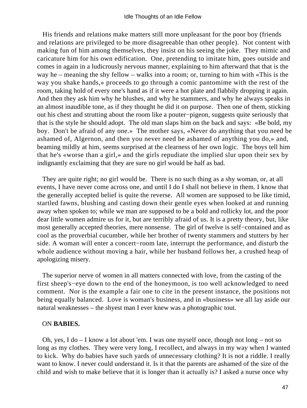His friends and relations make matters still more unpleasant for the poor boy (friends and relations are privileged to be more disagreeable than other people). Not content with making fun of him among themselves, they insist on his seeing the joke. They mimic and caricature him for his own edification. One, pretending to imitate him, goes outside and comes in again in a ludicrously nervous manner, explaining to him afterward that that is the way he – meaning the shy fellow – walks into a room; or, turning to him with «This is the way you shake hands,» proceeds to go through a comic pantomime with the rest of the room, taking hold of every one's hand as if it were a hot plate and flabbily dropping it again. And then they ask him why he blushes, and why he stammers, and why he always speaks in an almost inaudible tone, as if they thought he did it on purpose. Then one of them, sticking out his chest and strutting about the room like a pouter−pigeon, suggests quite seriously that that is the style he should adopt. The old man slaps him on the back and says: «Be bold, my boy. Don't be afraid of any one.» The mother says, «Never do anything that you need be ashamed of, Algernon, and then you never need be ashamed of anything you do,» and, beaming mildly at him, seems surprised at the clearness of her own logic. The boys tell him that he's «worse than a girl,» and the girls repudiate the implied slur upon their sex by indignantly exclaiming that they are sure no girl would be half as bad.

 They are quite right; no girl would be. There is no such thing as a shy woman, or, at all events, I have never come across one, and until I do I shall not believe in them. I know that the generally accepted belief is quite the reverse. All women are supposed to be like timid, startled fawns, blushing and casting down their gentle eyes when looked at and running away when spoken to; while we man are supposed to be a bold and rollicky lot, and the poor dear little women admire us for it, but are terribly afraid of us. It is a pretty theory, but, like most generally accepted theories, mere nonsense. The girl of twelve is self−contained and as cool as the proverbial cucumber, while her brother of twenty stammers and stutters by her side. A woman will enter a concert−room late, interrupt the performance, and disturb the whole audience without moving a hair, while her husband follows her, a crushed heap of apologizing misery.

 The superior nerve of women in all matters connected with love, from the casting of the first sheep's−eye down to the end of the honeymoon, is too well acknowledged to need comment. Nor is the example a fair one to cite in the present instance, the positions not being equally balanced. Love is woman's business, and in «business» we all lay aside our natural weaknesses – the shyest man I ever knew was a photographic tout.

### ON **BABIES.**

 Oh, yes, I do – I know a lot about 'em. I was one myself once, though not long – not so long as my clothes. They were very long, I recollect, and always in my way when I wanted to kick. Why do babies have such yards of unnecessary clothing? It is not a riddle. I really want to know. I never could understand it. Is it that the parents are ashamed of the size of the child and wish to make believe that it is longer than it actually is? I asked a nurse once why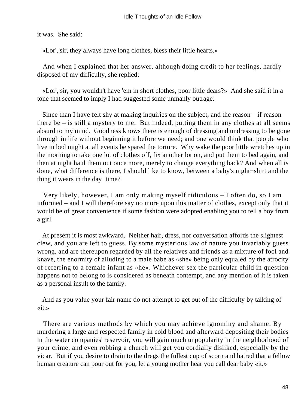it was. She said:

«Lor', sir, they always have long clothes, bless their little hearts.»

 And when I explained that her answer, although doing credit to her feelings, hardly disposed of my difficulty, she replied:

 «Lor', sir, you wouldn't have 'em in short clothes, poor little dears?» And she said it in a tone that seemed to imply I had suggested some unmanly outrage.

 Since than I have felt shy at making inquiries on the subject, and the reason – if reason there be  $-$  is still a mystery to me. But indeed, putting them in any clothes at all seems absurd to my mind. Goodness knows there is enough of dressing and undressing to be gone through in life without beginning it before we need; and one would think that people who live in bed might at all events be spared the torture. Why wake the poor little wretches up in the morning to take one lot of clothes off, fix another lot on, and put them to bed again, and then at night haul them out once more, merely to change everything back? And when all is done, what difference is there, I should like to know, between a baby's night−shirt and the thing it wears in the day−time?

 Very likely, however, I am only making myself ridiculous – I often do, so I am informed – and I will therefore say no more upon this matter of clothes, except only that it would be of great convenience if some fashion were adopted enabling you to tell a boy from a girl.

 At present it is most awkward. Neither hair, dress, nor conversation affords the slightest clew, and you are left to guess. By some mysterious law of nature you invariably guess wrong, and are thereupon regarded by all the relatives and friends as a mixture of fool and knave, the enormity of alluding to a male babe as «she» being only equaled by the atrocity of referring to a female infant as «he». Whichever sex the particular child in question happens not to belong to is considered as beneath contempt, and any mention of it is taken as a personal insult to the family.

 And as you value your fair name do not attempt to get out of the difficulty by talking of «it.»

 There are various methods by which you may achieve ignominy and shame. By murdering a large and respected family in cold blood and afterward depositing their bodies in the water companies' reservoir, you will gain much unpopularity in the neighborhood of your crime, and even robbing a church will get you cordially disliked, especially by the vicar. But if you desire to drain to the dregs the fullest cup of scorn and hatred that a fellow human creature can pour out for you, let a young mother hear you call dear baby «it.»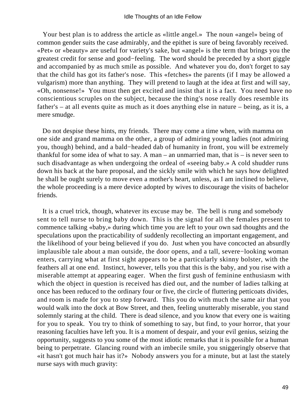Your best plan is to address the article as «little angel.» The noun «angel» being of common gender suits the case admirably, and the epithet is sure of being favorably received. «Pet» or «beauty» are useful for variety's sake, but «angel» is the term that brings you the greatest credit for sense and good−feeling. The word should be preceded by a short giggle and accompanied by as much smile as possible. And whatever you do, don't forget to say that the child has got its father's nose. This «fetches» the parents (if I may be allowed a vulgarism) more than anything. They will pretend to laugh at the idea at first and will say, «Oh, nonsense!» You must then get excited and insist that it is a fact. You need have no conscientious scruples on the subject, because the thing's nose really does resemble its father's – at all events quite as much as it does anything else in nature – being, as it is, a mere smudge.

 Do not despise these hints, my friends. There may come a time when, with mamma on one side and grand mamma on the other, a group of admiring young ladies (not admiring you, though) behind, and a bald−headed dab of humanity in front, you will be extremely thankful for some idea of what to say. A man – an unmarried man, that is – is never seen to such disadvantage as when undergoing the ordeal of «seeing baby.» A cold shudder runs down his back at the bare proposal, and the sickly smile with which he says how delighted he shall be ought surely to move even a mother's heart, unless, as I am inclined to believe, the whole proceeding is a mere device adopted by wives to discourage the visits of bachelor friends.

 It is a cruel trick, though, whatever its excuse may be. The bell is rung and somebody sent to tell nurse to bring baby down. This is the signal for all the females present to commence talking «baby,» during which time you are left to your own sad thoughts and the speculations upon the practicability of suddenly recollecting an important engagement, and the likelihood of your being believed if you do. Just when you have concocted an absurdly implausible tale about a man outside, the door opens, and a tall, severe−looking woman enters, carrying what at first sight appears to be a particularly skinny bolster, with the feathers all at one end. Instinct, however, tells you that this is the baby, and you rise with a miserable attempt at appearing eager. When the first gush of feminine enthusiasm with which the object in question is received has died out, and the number of ladies talking at once has been reduced to the ordinary four or five, the circle of fluttering petticoats divides, and room is made for you to step forward. This you do with much the same air that you would walk into the dock at Bow Street, and then, feeling unutterably miserable, you stand solemnly staring at the child. There is dead silence, and you know that every one is waiting for you to speak. You try to think of something to say, but find, to your horror, that your reasoning faculties have left you. It is a moment of despair, and your evil genius, seizing the opportunity, suggests to you some of the most idiotic remarks that it is possible for a human being to perpetrate. Glancing round with an imbecile smile, you sniggeringly observe that «it hasn't got much hair has it?» Nobody answers you for a minute, but at last the stately nurse says with much gravity: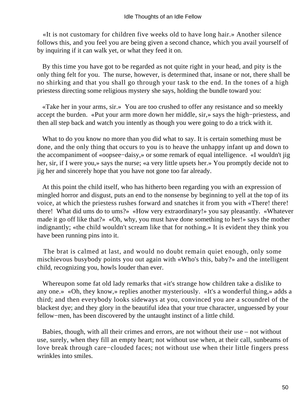«It is not customary for children five weeks old to have long hair.» Another silence follows this, and you feel you are being given a second chance, which you avail yourself of by inquiring if it can walk yet, or what they feed it on.

 By this time you have got to be regarded as not quite right in your head, and pity is the only thing felt for you. The nurse, however, is determined that, insane or not, there shall be no shirking and that you shall go through your task to the end. In the tones of a high priestess directing some religious mystery she says, holding the bundle toward you:

 «Take her in your arms, sir.» You are too crushed to offer any resistance and so meekly accept the burden. «Put your arm more down her middle, sir,» says the high−priestess, and then all step back and watch you intently as though you were going to do a trick with it.

 What to do you know no more than you did what to say. It is certain something must be done, and the only thing that occurs to you is to heave the unhappy infant up and down to the accompaniment of «oopsee−daisy,» or some remark of equal intelligence. «I wouldn't jig her, sir, if I were you,» says the nurse; «a very little upsets her.» You promptly decide not to jig her and sincerely hope that you have not gone too far already.

 At this point the child itself, who has hitherto been regarding you with an expression of mingled horror and disgust, puts an end to the nonsense by beginning to yell at the top of its voice, at which the priestess rushes forward and snatches it from you with «There! there! there! What did ums do to ums?» «How very extraordinary!» you say pleasantly. «Whatever made it go off like that?» «Oh, why, you must have done something to her!» says the mother indignantly; «the child wouldn't scream like that for nothing.» It is evident they think you have been running pins into it.

 The brat is calmed at last, and would no doubt remain quiet enough, only some mischievous busybody points you out again with «Who's this, baby?» and the intelligent child, recognizing you, howls louder than ever.

Whereupon some fat old lady remarks that «it's strange how children take a dislike to any one.» «Oh, they know,» replies another mysteriously. «It's a wonderful thing,» adds a third; and then everybody looks sideways at you, convinced you are a scoundrel of the blackest dye; and they glory in the beautiful idea that your true character, unguessed by your fellow−men, has been discovered by the untaught instinct of a little child.

 Babies, though, with all their crimes and errors, are not without their use – not without use, surely, when they fill an empty heart; not without use when, at their call, sunbeams of love break through care−clouded faces; not without use when their little fingers press wrinkles into smiles.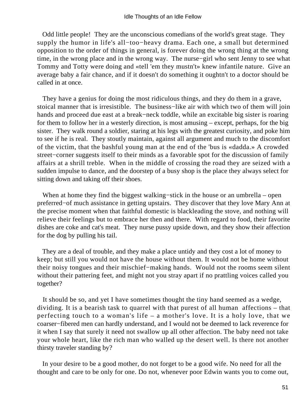Odd little people! They are the unconscious comedians of the world's great stage. They supply the humor in life's all−too−heavy drama. Each one, a small but determined opposition to the order of things in general, is forever doing the wrong thing at the wrong time, in the wrong place and in the wrong way. The nurse−girl who sent Jenny to see what Tommy and Totty were doing and «tell 'em they mustn't» knew infantile nature. Give an average baby a fair chance, and if it doesn't do something it oughtn't to a doctor should be called in at once.

 They have a genius for doing the most ridiculous things, and they do them in a grave, stoical manner that is irresistible. The business−like air with which two of them will join hands and proceed due east at a break−neck toddle, while an excitable big sister is roaring for them to follow her in a westerly direction, is most amusing – except, perhaps, for the big sister. They walk round a soldier, staring at his legs with the greatest curiosity, and poke him to see if he is real. They stoutly maintain, against all argument and much to the discomfort of the victim, that the bashful young man at the end of the 'bus is «dadda.» A crowded street−corner suggests itself to their minds as a favorable spot for the discussion of family affairs at a shrill treble. When in the middle of crossing the road they are seized with a sudden impulse to dance, and the doorstep of a busy shop is the place they always select for sitting down and taking off their shoes.

 When at home they find the biggest walking−stick in the house or an umbrella – open preferred−of much assistance in getting upstairs. They discover that they love Mary Ann at the precise moment when that faithful domestic is blackleading the stove, and nothing will relieve their feelings but to embrace her then and there. With regard to food, their favorite dishes are coke and cat's meat. They nurse pussy upside down, and they show their affection for the dog by pulling his tail.

 They are a deal of trouble, and they make a place untidy and they cost a lot of money to keep; but still you would not have the house without them. It would not be home without their noisy tongues and their mischief−making hands. Would not the rooms seem silent without their pattering feet, and might not you stray apart if no prattling voices called you together?

 It should be so, and yet I have sometimes thought the tiny hand seemed as a wedge, dividing. It is a bearish task to quarrel with that purest of all human affections – that perfecting touch to a woman's life – a mother's love. It is a holy love, that we coarser−fibered men can hardly understand, and I would not be deemed to lack reverence for it when I say that surely it need not swallow up all other affection. The baby need not take your whole heart, like the rich man who walled up the desert well. Is there not another thirsty traveler standing by?

 In your desire to be a good mother, do not forget to be a good wife. No need for all the thought and care to be only for one. Do not, whenever poor Edwin wants you to come out,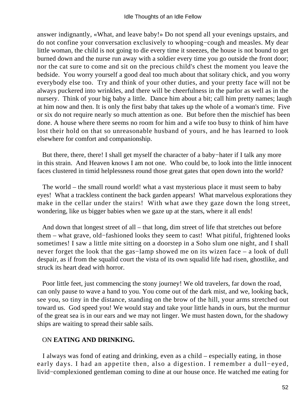answer indignantly, «What, and leave baby!» Do not spend all your evenings upstairs, and do not confine your conversation exclusively to whooping−cough and measles. My dear little woman, the child is not going to die every time it sneezes, the house is not bound to get burned down and the nurse run away with a soldier every time you go outside the front door; nor the cat sure to come and sit on the precious child's chest the moment you leave the bedside. You worry yourself a good deal too much about that solitary chick, and you worry everybody else too. Try and think of your other duties, and your pretty face will not be always puckered into wrinkles, and there will be cheerfulness in the parlor as well as in the nursery. Think of your big baby a little. Dance him about a bit; call him pretty names; laugh at him now and then. It is only the first baby that takes up the whole of a woman's time. Five or six do not require nearly so much attention as one. But before then the mischief has been done. A house where there seems no room for him and a wife too busy to think of him have lost their hold on that so unreasonable husband of yours, and he has learned to look elsewhere for comfort and companionship.

 But there, there, there! I shall get myself the character of a baby−hater if I talk any more in this strain. And Heaven knows I am not one. Who could be, to look into the little innocent faces clustered in timid helplessness round those great gates that open down into the world?

 The world – the small round world! what a vast mysterious place it must seem to baby eyes! What a trackless continent the back garden appears! What marvelous explorations they make in the cellar under the stairs! With what awe they gaze down the long street, wondering, like us bigger babies when we gaze up at the stars, where it all ends!

 And down that longest street of all – that long, dim street of life that stretches out before them – what grave, old−fashioned looks they seem to cast! What pitiful, frightened looks sometimes! I saw a little mite sitting on a doorstep in a Soho slum one night, and I shall never forget the look that the gas−lamp showed me on its wizen face – a look of dull despair, as if from the squalid court the vista of its own squalid life had risen, ghostlike, and struck its heart dead with horror.

 Poor little feet, just commencing the stony journey! We old travelers, far down the road, can only pause to wave a hand to you. You come out of the dark mist, and we, looking back, see you, so tiny in the distance, standing on the brow of the hill, your arms stretched out toward us. God speed you! We would stay and take your little hands in ours, but the murmur of the great sea is in our ears and we may not linger. We must hasten down, for the shadowy ships are waiting to spread their sable sails.

## ON **EATING AND DRINKING.**

 I always was fond of eating and drinking, even as a child – especially eating, in those early days. I had an appetite then, also a digestion. I remember a dull−eyed, livid−complexioned gentleman coming to dine at our house once. He watched me eating for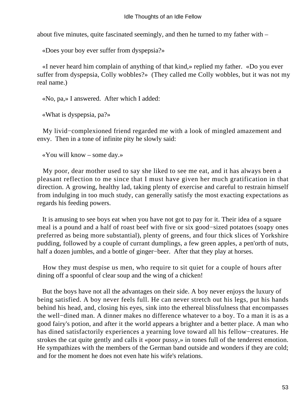about five minutes, quite fascinated seemingly, and then he turned to my father with –

«Does your boy ever suffer from dyspepsia?»

 «I never heard him complain of anything of that kind,» replied my father. «Do you ever suffer from dyspepsia, Colly wobbles?» (They called me Colly wobbles, but it was not my real name.)

«No, pa,» I answered. After which I added:

«What is dyspepsia, pa?»

 My livid−complexioned friend regarded me with a look of mingled amazement and envy. Then in a tone of infinite pity he slowly said:

«You will know – some day.»

 My poor, dear mother used to say she liked to see me eat, and it has always been a pleasant reflection to me since that I must have given her much gratification in that direction. A growing, healthy lad, taking plenty of exercise and careful to restrain himself from indulging in too much study, can generally satisfy the most exacting expectations as regards his feeding powers.

 It is amusing to see boys eat when you have not got to pay for it. Their idea of a square meal is a pound and a half of roast beef with five or six good−sized potatoes (soapy ones preferred as being more substantial), plenty of greens, and four thick slices of Yorkshire pudding, followed by a couple of currant dumplings, a few green apples, a pen'orth of nuts, half a dozen jumbles, and a bottle of ginger−beer. After that they play at horses.

 How they must despise us men, who require to sit quiet for a couple of hours after dining off a spoonful of clear soup and the wing of a chicken!

 But the boys have not all the advantages on their side. A boy never enjoys the luxury of being satisfied. A boy never feels full. He can never stretch out his legs, put his hands behind his head, and, closing his eyes, sink into the ethereal blissfulness that encompasses the well−dined man. A dinner makes no difference whatever to a boy. To a man it is as a good fairy's potion, and after it the world appears a brighter and a better place. A man who has dined satisfactorily experiences a yearning love toward all his fellow−creatures. He strokes the cat quite gently and calls it «poor pussy,» in tones full of the tenderest emotion. He sympathizes with the members of the German band outside and wonders if they are cold; and for the moment he does not even hate his wife's relations.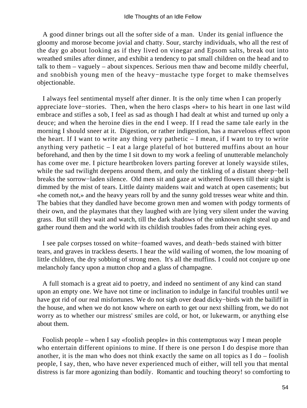A good dinner brings out all the softer side of a man. Under its genial influence the gloomy and morose become jovial and chatty. Sour, starchy individuals, who all the rest of the day go about looking as if they lived on vinegar and Epsom salts, break out into wreathed smiles after dinner, and exhibit a tendency to pat small children on the head and to talk to them – vaguely – about sixpences. Serious men thaw and become mildly cheerful, and snobbish young men of the heavy−mustache type forget to make themselves objectionable.

 I always feel sentimental myself after dinner. It is the only time when I can properly appreciate love−stories. Then, when the hero clasps «her» to his heart in one last wild embrace and stifles a sob, I feel as sad as though I had dealt at whist and turned up only a deuce; and when the heroine dies in the end I weep. If I read the same tale early in the morning I should sneer at it. Digestion, or rather indigestion, has a marvelous effect upon the heart. If I want to write any thing very pathetic – I mean, if I want to try to write anything very pathetic – I eat a large plateful of hot buttered muffins about an hour beforehand, and then by the time I sit down to my work a feeling of unutterable melancholy has come over me. I picture heartbroken lovers parting forever at lonely wayside stiles, while the sad twilight deepens around them, and only the tinkling of a distant sheep−bell breaks the sorrow−laden silence. Old men sit and gaze at withered flowers till their sight is dimmed by the mist of tears. Little dainty maidens wait and watch at open casements; but «he cometh not,» and the heavy years roll by and the sunny gold tresses wear white and thin. The babies that they dandled have become grown men and women with podgy torments of their own, and the playmates that they laughed with are lying very silent under the waving grass. But still they wait and watch, till the dark shadows of the unknown night steal up and gather round them and the world with its childish troubles fades from their aching eyes.

 I see pale corpses tossed on white−foamed waves, and death−beds stained with bitter tears, and graves in trackless deserts. I hear the wild wailing of women, the low moaning of little children, the dry sobbing of strong men. It's all the muffins. I could not conjure up one melancholy fancy upon a mutton chop and a glass of champagne.

 A full stomach is a great aid to poetry, and indeed no sentiment of any kind can stand upon an empty one. We have not time or inclination to indulge in fanciful troubles until we have got rid of our real misfortunes. We do not sigh over dead dicky−birds with the bailiff in the house, and when we do not know where on earth to get our next shilling from, we do not worry as to whether our mistress' smiles are cold, or hot, or lukewarm, or anything else about them.

 Foolish people – when I say «foolish people» in this contemptuous way I mean people who entertain different opinions to mine. If there is one person I do despise more than another, it is the man who does not think exactly the same on all topics as I do – foolish people, I say, then, who have never experienced much of either, will tell you that mental distress is far more agonizing than bodily. Romantic and touching theory! so comforting to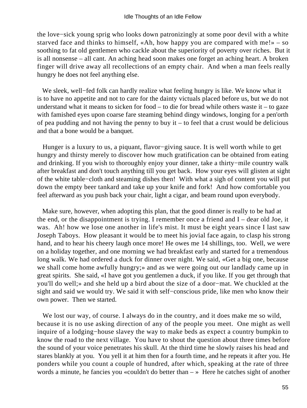the love−sick young sprig who looks down patronizingly at some poor devil with a white starved face and thinks to himself, «Ah, how happy you are compared with me!» – so soothing to fat old gentlemen who cackle about the superiority of poverty over riches. But it is all nonsense – all cant. An aching head soon makes one forget an aching heart. A broken finger will drive away all recollections of an empty chair. And when a man feels really hungry he does not feel anything else.

 We sleek, well−fed folk can hardly realize what feeling hungry is like. We know what it is to have no appetite and not to care for the dainty victuals placed before us, but we do not understand what it means to sicken for food – to die for bread while others waste it – to gaze with famished eyes upon coarse fare steaming behind dingy windows, longing for a pen'orth of pea pudding and not having the penny to buy it – to feel that a crust would be delicious and that a bone would be a banquet.

 Hunger is a luxury to us, a piquant, flavor−giving sauce. It is well worth while to get hungry and thirsty merely to discover how much gratification can be obtained from eating and drinking. If you wish to thoroughly enjoy your dinner, take a thirty−mile country walk after breakfast and don't touch anything till you get back. How your eyes will glisten at sight of the white table−cloth and steaming dishes then! With what a sigh of content you will put down the empty beer tankard and take up your knife and fork! And how comfortable you feel afterward as you push back your chair, light a cigar, and beam round upon everybody.

 Make sure, however, when adopting this plan, that the good dinner is really to be had at the end, or the disappointment is trying. I remember once a friend and I – dear old Joe, it was. Ah! how we lose one another in life's mist. It must be eight years since I last saw Joseph Taboys. How pleasant it would be to meet his jovial face again, to clasp his strong hand, and to hear his cheery laugh once more! He owes me 14 shillings, too. Well, we were on a holiday together, and one morning we had breakfast early and started for a tremendous long walk. We had ordered a duck for dinner over night. We said, «Get a big one, because we shall come home awfully hungry;» and as we were going out our landlady came up in great spirits. She said, «I have got you gentlemen a duck, if you like. If you get through that you'll do well;» and she held up a bird about the size of a door−mat. We chuckled at the sight and said we would try. We said it with self−conscious pride, like men who know their own power. Then we started.

We lost our way, of course. I always do in the country, and it does make me so wild, because it is no use asking direction of any of the people you meet. One might as well inquire of a lodging−house slavey the way to make beds as expect a country bumpkin to know the road to the next village. You have to shout the question about three times before the sound of your voice penetrates his skull. At the third time he slowly raises his head and stares blankly at you. You yell it at him then for a fourth time, and he repeats it after you. He ponders while you count a couple of hundred, after which, speaking at the rate of three words a minute, he fancies you «couldn't do better than – » Here he catches sight of another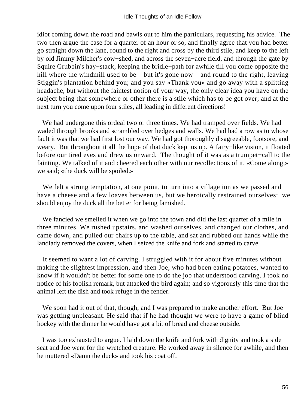idiot coming down the road and bawls out to him the particulars, requesting his advice. The two then argue the case for a quarter of an hour or so, and finally agree that you had better go straight down the lane, round to the right and cross by the third stile, and keep to the left by old Jimmy Milcher's cow−shed, and across the seven−acre field, and through the gate by Squire Grubbin's hay−stack, keeping the bridle−path for awhile till you come opposite the hill where the windmill used to be – but it's gone now – and round to the right, leaving Stiggin's plantation behind you; and you say «Thank you» and go away with a splitting headache, but without the faintest notion of your way, the only clear idea you have on the subject being that somewhere or other there is a stile which has to be got over; and at the next turn you come upon four stiles, all leading in different directions!

 We had undergone this ordeal two or three times. We had tramped over fields. We had waded through brooks and scrambled over hedges and walls. We had had a row as to whose fault it was that we had first lost our way. We had got thoroughly disagreeable, footsore, and weary. But throughout it all the hope of that duck kept us up. A fairy−like vision, it floated before our tired eyes and drew us onward. The thought of it was as a trumpet−call to the fainting. We talked of it and cheered each other with our recollections of it. «Come along,» we said; «the duck will be spoiled.»

We felt a strong temptation, at one point, to turn into a village inn as we passed and have a cheese and a few loaves between us, but we heroically restrained ourselves: we should enjoy the duck all the better for being famished.

 We fancied we smelled it when we go into the town and did the last quarter of a mile in three minutes. We rushed upstairs, and washed ourselves, and changed our clothes, and came down, and pulled our chairs up to the table, and sat and rubbed our hands while the landlady removed the covers, when I seized the knife and fork and started to carve.

 It seemed to want a lot of carving. I struggled with it for about five minutes without making the slightest impression, and then Joe, who had been eating potatoes, wanted to know if it wouldn't be better for some one to do the job that understood carving. I took no notice of his foolish remark, but attacked the bird again; and so vigorously this time that the animal left the dish and took refuge in the fender.

 We soon had it out of that, though, and I was prepared to make another effort. But Joe was getting unpleasant. He said that if he had thought we were to have a game of blind hockey with the dinner he would have got a bit of bread and cheese outside.

 I was too exhausted to argue. I laid down the knife and fork with dignity and took a side seat and Joe went for the wretched creature. He worked away in silence for awhile, and then he muttered «Damn the duck» and took his coat off.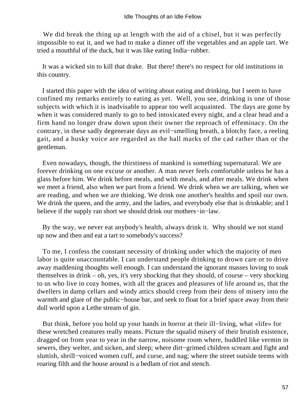We did break the thing up at length with the aid of a chisel, but it was perfectly impossible to eat it, and we had to make a dinner off the vegetables and an apple tart. We tried a mouthful of the duck, but it was like eating India−rubber.

 It was a wicked sin to kill that drake. But there! there's no respect for old institutions in this country.

 I started this paper with the idea of writing about eating and drinking, but I seem to have confined my remarks entirely to eating as yet. Well, you see, drinking is one of those subjects with which it is inadvisable to appear too well acquainted. The days are gone by when it was considered manly to go to bed intoxicated every night, and a clear head and a firm hand no longer draw down upon their owner the reproach of effeminacy. On the contrary, in these sadly degenerate days an evil−smelling breath, a blotchy face, a reeling gait, and a husky voice are regarded as the hall marks of the cad rather than or the gentleman.

 Even nowadays, though, the thirstiness of mankind is something supernatural. We are forever drinking on one excuse or another. A man never feels comfortable unless he has a glass before him. We drink before meals, and with meals, and after meals. We drink when we meet a friend, also when we part from a friend. We drink when we are talking, when we are reading, and when we are thinking. We drink one another's healths and spoil our own. We drink the queen, and the army, and the ladies, and everybody else that is drinkable; and I believe if the supply ran short we should drink our mothers−in−law.

 By the way, we never eat anybody's health, always drink it. Why should we not stand up now and then and eat a tart to somebody's success?

 To me, I confess the constant necessity of drinking under which the majority of men labor is quite unaccountable. I can understand people drinking to drown care or to drive away maddening thoughts well enough. I can understand the ignorant masses loving to soak themselves in drink – oh, yes, it's very shocking that they should, of course – very shocking to us who live in cozy homes, with all the graces and pleasures of life around us, that the dwellers in damp cellars and windy attics should creep from their dens of misery into the warmth and glare of the public−house bar, and seek to float for a brief space away from their dull world upon a Lethe stream of gin.

 But think, before you hold up your hands in horror at their ill−living, what «life» for these wretched creatures really means. Picture the squalid misery of their brutish existence, dragged on from year to year in the narrow, noisome room where, huddled like vermin in sewers, they welter, and sicken, and sleep; where dirt−grimed children scream and fight and sluttish, shrill−voiced women cuff, and curse, and nag; where the street outside teems with roaring filth and the house around is a bedlam of riot and stench.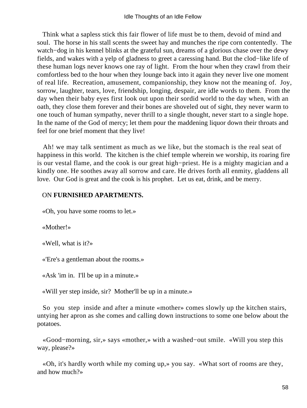Think what a sapless stick this fair flower of life must be to them, devoid of mind and soul. The horse in his stall scents the sweet hay and munches the ripe corn contentedly. The watch−dog in his kennel blinks at the grateful sun, dreams of a glorious chase over the dewy fields, and wakes with a yelp of gladness to greet a caressing hand. But the clod−like life of these human logs never knows one ray of light. From the hour when they crawl from their comfortless bed to the hour when they lounge back into it again they never live one moment of real life. Recreation, amusement, companionship, they know not the meaning of. Joy, sorrow, laughter, tears, love, friendship, longing, despair, are idle words to them. From the day when their baby eyes first look out upon their sordid world to the day when, with an oath, they close them forever and their bones are shoveled out of sight, they never warm to one touch of human sympathy, never thrill to a single thought, never start to a single hope. In the name of the God of mercy; let them pour the maddening liquor down their throats and feel for one brief moment that they live!

 Ah! we may talk sentiment as much as we like, but the stomach is the real seat of happiness in this world. The kitchen is the chief temple wherein we worship, its roaring fire is our vestal flame, and the cook is our great high−priest. He is a mighty magician and a kindly one. He soothes away all sorrow and care. He drives forth all enmity, gladdens all love. Our God is great and the cook is his prophet. Let us eat, drink, and be merry.

### ON **FURNISHED APARTMENTS.**

«Oh, you have some rooms to let.»

«Mother!»

«Well, what is it?»

«'Ere's a gentleman about the rooms.»

«Ask 'im in. I'll be up in a minute.»

«Will yer step inside, sir? Mother'll be up in a minute.»

 So you step inside and after a minute «mother» comes slowly up the kitchen stairs, untying her apron as she comes and calling down instructions to some one below about the potatoes.

 «Good−morning, sir,» says «mother,» with a washed−out smile. «Will you step this way, please?»

 «Oh, it's hardly worth while my coming up,» you say. «What sort of rooms are they, and how much?»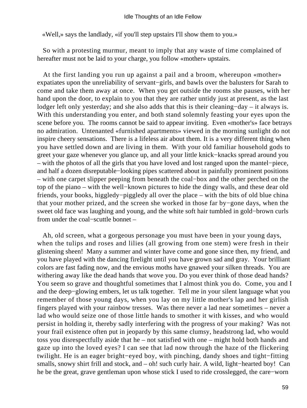«Well,» says the landlady, «if you'll step upstairs I'll show them to you.»

 So with a protesting murmur, meant to imply that any waste of time complained of hereafter must not be laid to your charge, you follow «mother» upstairs.

 At the first landing you run up against a pail and a broom, whereupon «mother» expatiates upon the unreliability of servant−girls, and bawls over the balusters for Sarah to come and take them away at once. When you get outside the rooms she pauses, with her hand upon the door, to explain to you that they are rather untidy just at present, as the last lodger left only yesterday; and she also adds that this is their cleaning−day – it always is. With this understanding you enter, and both stand solemnly feasting your eyes upon the scene before you. The rooms cannot be said to appear inviting. Even «mother's» face betrays no admiration. Untenanted «furnished apartments» viewed in the morning sunlight do not inspire cheery sensations. There is a lifeless air about them. It is a very different thing when you have settled down and are living in them. With your old familiar household gods to greet your gaze whenever you glance up, and all your little knick−knacks spread around you – with the photos of all the girls that you have loved and lost ranged upon the mantel−piece, and half a dozen disreputable−looking pipes scattered about in painfully prominent positions – with one carpet slipper peeping from beneath the coal−box and the other perched on the top of the piano – with the well−known pictures to hide the dingy walls, and these dear old friends, your books, higgledy−piggledy all over the place – with the bits of old blue china that your mother prized, and the screen she worked in those far by−gone days, when the sweet old face was laughing and young, and the white soft hair tumbled in gold−brown curls from under the coal−scuttle bonnet –

 Ah, old screen, what a gorgeous personage you must have been in your young days, when the tulips and roses and lilies (all growing from one stem) were fresh in their glistening sheen! Many a summer and winter have come and gone since then, my friend, and you have played with the dancing firelight until you have grown sad and gray. Your brilliant colors are fast fading now, and the envious moths have gnawed your silken threads. You are withering away like the dead hands that wove you. Do you ever think of those dead hands? You seem so grave and thoughtful sometimes that I almost think you do. Come, you and I and the deep−glowing embers, let us talk together. Tell me in your silent language what you remember of those young days, when you lay on my little mother's lap and her girlish fingers played with your rainbow tresses. Was there never a lad near sometimes – never a lad who would seize one of those little hands to smother it with kisses, and who would persist in holding it, thereby sadly interfering with the progress of your making? Was not your frail existence often put in jeopardy by this same clumsy, headstrong lad, who would toss you disrespectfully aside that he – not satisfied with one – might hold both hands and gaze up into the loved eyes? I can see that lad now through the haze of the flickering twilight. He is an eager bright−eyed boy, with pinching, dandy shoes and tight−fitting smalls, snowy shirt frill and stock, and – oh! such curly hair. A wild, light–hearted boy! Can he be the great, grave gentleman upon whose stick I used to ride crosslegged, the care−worn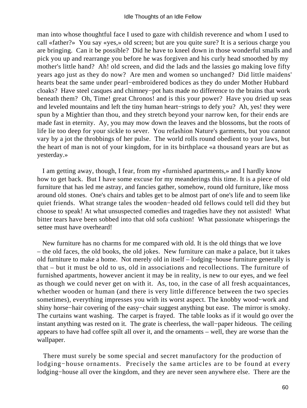man into whose thoughtful face I used to gaze with childish reverence and whom I used to call «father?» You say «yes,» old screen; but are you quite sure? It is a serious charge you are bringing. Can it be possible? Did he have to kneel down in those wonderful smalls and pick you up and rearrange you before he was forgiven and his curly head smoothed by my mother's little hand? Ah! old screen, and did the lads and the lassies go making love fifty years ago just as they do now? Are men and women so unchanged? Did little maidens' hearts beat the same under pearl−embroidered bodices as they do under Mother Hubbard cloaks? Have steel casques and chimney−pot hats made no difference to the brains that work beneath them? Oh, Time! great Chronos! and is this your power? Have you dried up seas and leveled mountains and left the tiny human heart−strings to defy you? Ah, yes! they were spun by a Mightier than thou, and they stretch beyond your narrow ken, for their ends are made fast in eternity. Ay, you may mow down the leaves and the blossoms, but the roots of life lie too deep for your sickle to sever. You refashion Nature's garments, but you cannot vary by a jot the throbbings of her pulse. The world rolls round obedient to your laws, but the heart of man is not of your kingdom, for in its birthplace «a thousand years are but as yesterday.»

 I am getting away, though, I fear, from my «furnished apartments,» and I hardly know how to get back. But I have some excuse for my meanderings this time. It is a piece of old furniture that has led me astray, and fancies gather, somehow, round old furniture, like moss around old stones. One's chairs and tables get to be almost part of one's life and to seem like quiet friends. What strange tales the wooden−headed old fellows could tell did they but choose to speak! At what unsuspected comedies and tragedies have they not assisted! What bitter tears have been sobbed into that old sofa cushion! What passionate whisperings the settee must have overheard!

 New furniture has no charms for me compared with old. It is the old things that we love – the old faces, the old books, the old jokes. New furniture can make a palace, but it takes old furniture to make a home. Not merely old in itself – lodging−house furniture generally is that – but it must be old to us, old in associations and recollections. The furniture of furnished apartments, however ancient it may be in reality, is new to our eyes, and we feel as though we could never get on with it. As, too, in the case of all fresh acquaintances, whether wooden or human (and there is very little difference between the two species sometimes), everything impresses you with its worst aspect. The knobby wood−work and shiny horse−hair covering of the easy−chair suggest anything but ease. The mirror is smoky. The curtains want washing. The carpet is frayed. The table looks as if it would go over the instant anything was rested on it. The grate is cheerless, the wall−paper hideous. The ceiling appears to have had coffee spilt all over it, and the ornaments – well, they are worse than the wallpaper.

 There must surely be some special and secret manufactory for the production of lodging−house ornaments. Precisely the same articles are to be found at every lodging−house all over the kingdom, and they are never seen anywhere else. There are the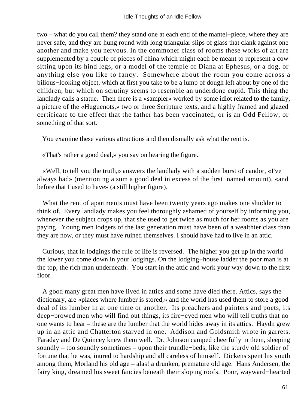two – what do you call them? they stand one at each end of the mantel−piece, where they are never safe, and they are hung round with long triangular slips of glass that clank against one another and make you nervous. In the commoner class of rooms these works of art are supplemented by a couple of pieces of china which might each be meant to represent a cow sitting upon its hind legs, or a model of the temple of Diana at Ephesus, or a dog, or anything else you like to fancy. Somewhere about the room you come across a bilious−looking object, which at first you take to be a lump of dough left about by one of the children, but which on scrutiny seems to resemble an underdone cupid. This thing the landlady calls a statue. Then there is a «sampler» worked by some idiot related to the family, a picture of the «Huguenots,» two or three Scripture texts, and a highly framed and glazed certificate to the effect that the father has been vaccinated, or is an Odd Fellow, or something of that sort.

You examine these various attractions and then dismally ask what the rent is.

«That's rather a good deal,» you say on hearing the figure.

 «Well, to tell you the truth,» answers the landlady with a sudden burst of candor, «I've always had» (mentioning a sum a good deal in excess of the first−named amount), «and before that I used to have» (a still higher figure).

 What the rent of apartments must have been twenty years ago makes one shudder to think of. Every landlady makes you feel thoroughly ashamed of yourself by informing you, whenever the subject crops up, that she used to get twice as much for her rooms as you are paying. Young men lodgers of the last generation must have been of a wealthier class than they are now, or they must have ruined themselves. I should have had to live in an attic.

 Curious, that in lodgings the rule of life is reversed. The higher you get up in the world the lower you come down in your lodgings. On the lodging−house ladder the poor man is at the top, the rich man underneath. You start in the attic and work your way down to the first floor.

 A good many great men have lived in attics and some have died there. Attics, says the dictionary, are «places where lumber is stored,» and the world has used them to store a good deal of its lumber in at one time or another. Its preachers and painters and poets, its deep−browed men who will find out things, its fire−eyed men who will tell truths that no one wants to hear – these are the lumber that the world hides away in its attics. Haydn grew up in an attic and Chatterton starved in one. Addison and Goldsmith wrote in garrets. Faraday and De Quincey knew them well. Dr. Johnson camped cheerfully in them, sleeping soundly – too soundly sometimes – upon their trundle−beds, like the sturdy old soldier of fortune that he was, inured to hardship and all careless of himself. Dickens spent his youth among them, Morland his old age – alas! a drunken, premature old age. Hans Andersen, the fairy king, dreamed his sweet fancies beneath their sloping roofs. Poor, wayward−hearted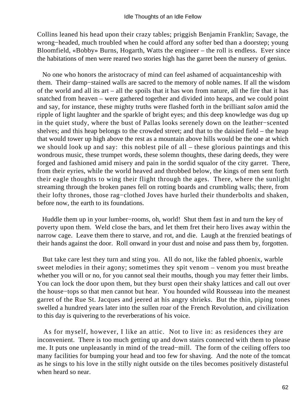Collins leaned his head upon their crazy tables; priggish Benjamin Franklin; Savage, the wrong−headed, much troubled when he could afford any softer bed than a doorstep; young Bloomfield, «Bobby» Burns, Hogarth, Watts the engineer – the roll is endless. Ever since the habitations of men were reared two stories high has the garret been the nursery of genius.

 No one who honors the aristocracy of mind can feel ashamed of acquaintanceship with them. Their damp−stained walls are sacred to the memory of noble names. If all the wisdom of the world and all its art – all the spoils that it has won from nature, all the fire that it has snatched from heaven – were gathered together and divided into heaps, and we could point and say, for instance, these mighty truths were flashed forth in the brilliant *salon* amid the ripple of light laughter and the sparkle of bright eyes; and this deep knowledge was dug up in the quiet study, where the bust of Pallas looks serenely down on the leather−scented shelves; and this heap belongs to the crowded street; and that to the daisied field – the heap that would tower up high above the rest as a mountain above hills would be the one at which we should look up and say: this noblest pile of all – these glorious paintings and this wondrous music, these trumpet words, these solemn thoughts, these daring deeds, they were forged and fashioned amid misery and pain in the sordid squalor of the city garret. There, from their eyries, while the world heaved and throbbed below, the kings of men sent forth their eagle thoughts to wing their flight through the ages. There, where the sunlight streaming through the broken panes fell on rotting boards and crumbling walls; there, from their lofty thrones, those rag−clothed Joves have hurled their thunderbolts and shaken, before now, the earth to its foundations.

 Huddle them up in your lumber−rooms, oh, world! Shut them fast in and turn the key of poverty upon them. Weld close the bars, and let them fret their hero lives away within the narrow cage. Leave them there to starve, and rot, and die. Laugh at the frenzied beatings of their hands against the door. Roll onward in your dust and noise and pass them by, forgotten.

 But take care lest they turn and sting you. All do not, like the fabled phoenix, warble sweet melodies in their agony; sometimes they spit venom – venom you must breathe whether you will or no, for you cannot seal their mouths, though you may fetter their limbs. You can lock the door upon them, but they burst open their shaky lattices and call out over the house−tops so that men cannot but hear. You hounded wild Rousseau into the meanest garret of the Rue St. Jacques and jeered at his angry shrieks. But the thin, piping tones swelled a hundred years later into the sullen roar of the French Revolution, and civilization to this day is quivering to the reverberations of his voice.

 As for myself, however, I like an attic. Not to live in: as residences they are inconvenient. There is too much getting up and down stairs connected with them to please me. It puts one unpleasantly in mind of the tread−mill. The form of the ceiling offers too many facilities for bumping your head and too few for shaving. And the note of the tomcat as he sings to his love in the stilly night outside on the tiles becomes positively distasteful when heard so near.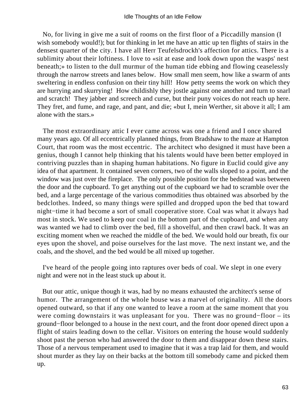No, for living in give me a suit of rooms on the first floor of a Piccadilly mansion (I wish somebody would!); but for thinking in let me have an attic up ten flights of stairs in the densest quarter of the city. I have all Herr Teufelsdrockh's affection for attics. There is a sublimity about their loftiness. I love to «sit at ease and look down upon the wasps' nest beneath;» to listen to the dull murmur of the human tide ebbing and flowing ceaselessly through the narrow streets and lanes below. How small men seem, how like a swarm of ants sweltering in endless confusion on their tiny hill! How petty seems the work on which they are hurrying and skurrying! How childishly they jostle against one another and turn to snarl and scratch! They jabber and screech and curse, but their puny voices do not reach up here. They fret, and fume, and rage, and pant, and die; «but I, mein Werther, sit above it all; I am alone with the stars.»

 The most extraordinary attic I ever came across was one a friend and I once shared many years ago. Of all eccentrically planned things, from Bradshaw to the maze at Hampton Court, that room was the most eccentric. The architect who designed it must have been a genius, though I cannot help thinking that his talents would have been better employed in contriving puzzles than in shaping human habitations. No figure in Euclid could give any idea of that apartment. It contained seven corners, two of the walls sloped to a point, and the window was just over the fireplace. The only possible position for the bedstead was between the door and the cupboard. To get anything out of the cupboard we had to scramble over the bed, and a large percentage of the various commodities thus obtained was absorbed by the bedclothes. Indeed, so many things were spilled and dropped upon the bed that toward night−time it had become a sort of small cooperative store. Coal was what it always had most in stock. We used to keep our coal in the bottom part of the cupboard, and when any was wanted we had to climb over the bed, fill a shovelful, and then crawl back. It was an exciting moment when we reached the middle of the bed. We would hold our breath, fix our eyes upon the shovel, and poise ourselves for the last move. The next instant we, and the coals, and the shovel, and the bed would be all mixed up together.

 I've heard of the people going into raptures over beds of coal. We slept in one every night and were not in the least stuck up about it.

 But our attic, unique though it was, had by no means exhausted the architect's sense of humor. The arrangement of the whole house was a marvel of originality. All the doors opened outward, so that if any one wanted to leave a room at the same moment that you were coming downstairs it was unpleasant for you. There was no ground−floor – its ground−floor belonged to a house in the next court, and the front door opened direct upon a flight of stairs leading down to the cellar. Visitors on entering the house would suddenly shoot past the person who had answered the door to them and disappear down these stairs. Those of a nervous temperament used to imagine that it was a trap laid for them, and would shout murder as they lay on their backs at the bottom till somebody came and picked them up.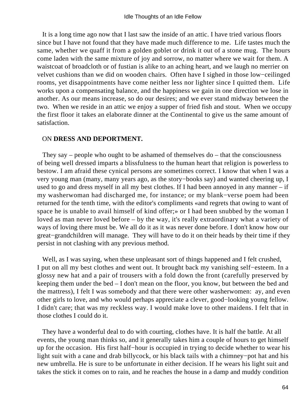It is a long time ago now that I last saw the inside of an attic. I have tried various floors since but I have not found that they have made much difference to me. Life tastes much the same, whether we quaff it from a golden goblet or drink it out of a stone mug. The hours come laden with the same mixture of joy and sorrow, no matter where we wait for them. A waistcoat of broadcloth or of fustian is alike to an aching heart, and we laugh no merrier on velvet cushions than we did on wooden chairs. Often have I sighed in those low−ceilinged rooms, yet disappointments have come neither less nor lighter since I quitted them. Life works upon a compensating balance, and the happiness we gain in one direction we lose in another. As our means increase, so do our desires; and we ever stand midway between the two. When we reside in an attic we enjoy a supper of fried fish and stout. When we occupy the first floor it takes an elaborate dinner at the Continental to give us the same amount of satisfaction.

### ON **DRESS AND DEPORTMENT.**

 They say – people who ought to be ashamed of themselves do – that the consciousness of being well dressed imparts a blissfulness to the human heart that religion is powerless to bestow. I am afraid these cynical persons are sometimes correct. I know that when I was a very young man (many, many years ago, as the story−books say) and wanted cheering up, I used to go and dress myself in all my best clothes. If I had been annoyed in any manner – if my washerwoman had discharged me, for instance; or my blank−verse poem had been returned for the tenth time, with the editor's compliments «and regrets that owing to want of space he is unable to avail himself of kind offer;» or I had been snubbed by the woman I loved as man never loved before – by the way, it's really extraordinary what a variety of ways of loving there must be. We all do it as it was never done before. I don't know how our great−grandchildren will manage. They will have to do it on their heads by their time if they persist in not clashing with any previous method.

 Well, as I was saying, when these unpleasant sort of things happened and I felt crushed, I put on all my best clothes and went out. It brought back my vanishing self−esteem. In a glossy new hat and a pair of trousers with a fold down the front (carefully preserved by keeping them under the bed – I don't mean on the floor, you know, but between the bed and the mattress), I felt I was somebody and that there were other washerwomen: ay, and even other girls to love, and who would perhaps appreciate a clever, good−looking young fellow. I didn't care; that was my reckless way. I would make love to other maidens. I felt that in those clothes I could do it.

 They have a wonderful deal to do with courting, clothes have. It is half the battle. At all events, the young man thinks so, and it generally takes him a couple of hours to get himself up for the occasion. His first half−hour is occupied in trying to decide whether to wear his light suit with a cane and drab billycock, or his black tails with a chimney−pot hat and his new umbrella. He is sure to be unfortunate in either decision. If he wears his light suit and takes the stick it comes on to rain, and he reaches the house in a damp and muddy condition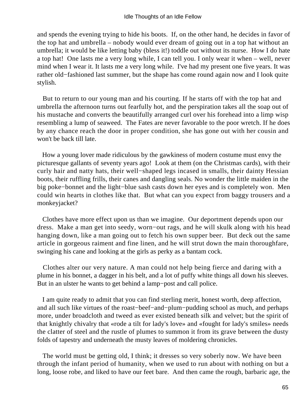and spends the evening trying to hide his boots. If, on the other hand, he decides in favor of the top hat and umbrella – nobody would ever dream of going out in a top hat without an umbrella; it would be like letting baby (bless it!) toddle out without its nurse. How I do hate a top hat! One lasts me a very long while, I can tell you. I only wear it when – well, never mind when I wear it. It lasts me a very long while. I've had my present one five years. It was rather old−fashioned last summer, but the shape has come round again now and I look quite stylish.

 But to return to our young man and his courting. If he starts off with the top hat and umbrella the afternoon turns out fearfully hot, and the perspiration takes all the soap out of his mustache and converts the beautifully arranged curl over his forehead into a limp wisp resembling a lump of seaweed. The Fates are never favorable to the poor wretch. If he does by any chance reach the door in proper condition, she has gone out with her cousin and won't be back till late.

 How a young lover made ridiculous by the gawkiness of modern costume must envy the picturesque gallants of seventy years ago! Look at them (on the Christmas cards), with their curly hair and natty hats, their well−shaped legs incased in smalls, their dainty Hessian boots, their ruffling frills, their canes and dangling seals. No wonder the little maiden in the big poke−bonnet and the light−blue sash casts down her eyes and is completely won. Men could win hearts in clothes like that. But what can you expect from baggy trousers and a monkeyjacket?

 Clothes have more effect upon us than we imagine. Our deportment depends upon our dress. Make a man get into seedy, worn−out rags, and he will skulk along with his head hanging down, like a man going out to fetch his own supper beer. But deck out the same article in gorgeous raiment and fine linen, and he will strut down the main thoroughfare, swinging his cane and looking at the girls as perky as a bantam cock.

 Clothes alter our very nature. A man could not help being fierce and daring with a plume in his bonnet, a dagger in his belt, and a lot of puffy white things all down his sleeves. But in an ulster he wants to get behind a lamp−post and call police.

 I am quite ready to admit that you can find sterling merit, honest worth, deep affection, and all such like virtues of the roast−beef−and−plum−pudding school as much, and perhaps more, under broadcloth and tweed as ever existed beneath silk and velvet; but the spirit of that knightly chivalry that «rode a tilt for lady's love» and «fought for lady's smiles» needs the clatter of steel and the rustle of plumes to summon it from its grave between the dusty folds of tapestry and underneath the musty leaves of moldering chronicles.

 The world must be getting old, I think; it dresses so very soberly now. We have been through the infant period of humanity, when we used to run about with nothing on but a long, loose robe, and liked to have our feet bare. And then came the rough, barbaric age, the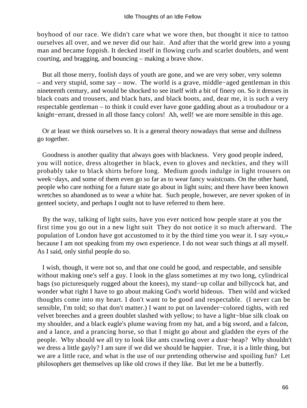boyhood of our race. We didn't care what we wore then, but thought it nice to tattoo ourselves all over, and we never did our hair. And after that the world grew into a young man and became foppish. It decked itself in flowing curls and scarlet doublets, and went courting, and bragging, and bouncing – making a brave show.

 But all those merry, foolish days of youth are gone, and we are very sober, very solemn – and very stupid, some say – now. The world is a grave, middle−aged gentleman in this nineteenth century, and would be shocked to see itself with a bit of finery on. So it dresses in black coats and trousers, and black hats, and black boots, and, dear me, it is such a very respectable gentleman – to think it could ever have gone gadding about as a troubadour or a knight−errant, dressed in all those fancy colors! Ah, well! we are more sensible in this age.

 Or at least we think ourselves so. It is a general theory nowadays that sense and dullness go together.

 Goodness is another quality that always goes with blackness. Very good people indeed, you will notice, dress altogether in black, even to gloves and neckties, and they will probably take to black shirts before long. Medium goods indulge in light trousers on week−days, and some of them even go so far as to wear fancy waistcoats. On the other hand, people who care nothing for a future state go about in light suits; and there have been known wretches so abandoned as to wear a white hat. Such people, however, are never spoken of in genteel society, and perhaps I ought not to have referred to them here.

 By the way, talking of light suits, have you ever noticed how people stare at you the first time you go out in a new light suit They do not notice it so much afterward. The population of London have got accustomed to it by the third time you wear it. I say «you,» because I am not speaking from my own experience. I do not wear such things at all myself. As I said, only sinful people do so.

 I wish, though, it were not so, and that one could be good, and respectable, and sensible without making one's self a guy. I look in the glass sometimes at my two long, cylindrical bags (so picturesquely rugged about the knees), my stand−up collar and billycock hat, and wonder what right I have to go about making God's world hideous. Then wild and wicked thoughts come into my heart. I don't want to be good and respectable. (I never can be sensible, I'm told; so that don't matter.) I want to put on lavender−colored tights, with red velvet breeches and a green doublet slashed with yellow; to have a light−blue silk cloak on my shoulder, and a black eagle's plume waving from my hat, and a big sword, and a falcon, and a lance, and a prancing horse, so that I might go about and gladden the eyes of the people. Why should we all try to look like ants crawling over a dust−heap? Why shouldn't we dress a little gayly? I am sure if we did we should be happier. True, it is a little thing, but we are a little race, and what is the use of our pretending otherwise and spoiling fun? Let philosophers get themselves up like old crows if they like. But let me be a butterfly.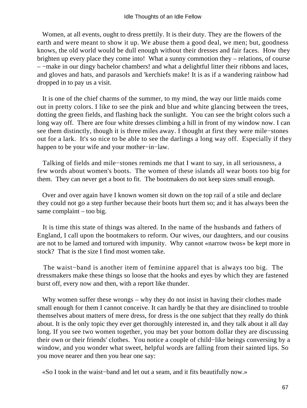Women, at all events, ought to dress prettily. It is their duty. They are the flowers of the earth and were meant to show it up. We abuse them a good deal, we men; but, goodness knows, the old world would be dull enough without their dresses and fair faces. How they brighten up every place they come into! What a sunny commotion they – relations, of course – −make in our dingy bachelor chambers! and what a delightful litter their ribbons and laces, and gloves and hats, and parasols and 'kerchiefs make! It is as if a wandering rainbow had dropped in to pay us a visit.

 It is one of the chief charms of the summer, to my mind, the way our little maids come out in pretty colors. I like to see the pink and blue and white glancing between the trees, dotting the green fields, and flashing back the sunlight. You can see the bright colors such a long way off. There are four white dresses climbing a hill in front of my window now. I can see them distinctly, though it is three miles away. I thought at first they were mile−stones out for a lark. It's so nice to be able to see the darlings a long way off. Especially if they happen to be your wife and your mother−in−law.

 Talking of fields and mile−stones reminds me that I want to say, in all seriousness, a few words about women's boots. The women of these islands all wear boots too big for them. They can never get a boot to fit. The bootmakers do not keep sizes small enough.

 Over and over again have I known women sit down on the top rail of a stile and declare they could not go a step further because their boots hurt them so; and it has always been the same complaint – too big.

 It is time this state of things was altered. In the name of the husbands and fathers of England, I call upon the bootmakers to reform. Our wives, our daughters, and our cousins are not to be lamed and tortured with impunity. Why cannot «narrow twos» be kept more in stock? That is the size I find most women take.

 The waist−band is another item of feminine apparel that is always too big. The dressmakers make these things so loose that the hooks and eyes by which they are fastened burst off, every now and then, with a report like thunder.

Why women suffer these wrongs – why they do not insist in having their clothes made small enough for them I cannot conceive. It can hardly be that they are disinclined to trouble themselves about matters of mere dress, for dress is the one subject that they really do think about. It is the only topic they ever get thoroughly interested in, and they talk about it all day long. If you see two women together, you may bet your bottom dollar they are discussing their own or their friends' clothes. You notice a couple of child−like beings conversing by a window, and you wonder what sweet, helpful words are falling from their sainted lips. So you move nearer and then you hear one say:

«So I took in the waist−band and let out a seam, and it fits beautifully now.»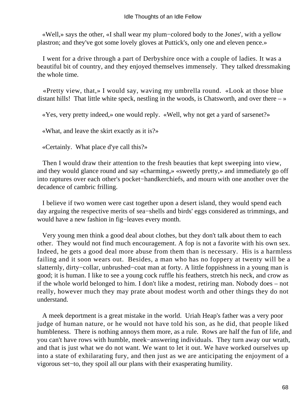«Well,» says the other, «I shall wear my plum−colored body to the Jones', with a yellow plastron; and they've got some lovely gloves at Puttick's, only one and eleven pence.»

 I went for a drive through a part of Derbyshire once with a couple of ladies. It was a beautiful bit of country, and they enjoyed themselves immensely. They talked dressmaking the whole time.

 «Pretty view, that,» I would say, waving my umbrella round. «Look at those blue distant hills! That little white speck, nestling in the woods, is Chatsworth, and over there  $-\infty$ 

«Yes, very pretty indeed,» one would reply. «Well, why not get a yard of sarsenet?»

«What, and leave the skirt exactly as it is?»

«Certainly. What place d'ye call this?»

 Then I would draw their attention to the fresh beauties that kept sweeping into view, and they would glance round and say «charming,» «sweetly pretty,» and immediately go off into raptures over each other's pocket−handkerchiefs, and mourn with one another over the decadence of cambric frilling.

 I believe if two women were cast together upon a desert island, they would spend each day arguing the respective merits of sea−shells and birds' eggs considered as trimmings, and would have a new fashion in fig−leaves every month.

 Very young men think a good deal about clothes, but they don't talk about them to each other. They would not find much encouragement. A fop is not a favorite with his own sex. Indeed, he gets a good deal more abuse from them than is necessary. His is a harmless failing and it soon wears out. Besides, a man who has no foppery at twenty will be a slatternly, dirty−collar, unbrushed−coat man at forty. A little foppishness in a young man is good; it is human. I like to see a young cock ruffle his feathers, stretch his neck, and crow as if the whole world belonged to him. I don't like a modest, retiring man. Nobody does – not really, however much they may prate about modest worth and other things they do not understand.

 A meek deportment is a great mistake in the world. Uriah Heap's father was a very poor judge of human nature, or he would not have told his son, as he did, that people liked humbleness. There is nothing annoys them more, as a rule. Rows are half the fun of life, and you can't have rows with humble, meek−answering individuals. They turn away our wrath, and that is just what we do not want. We want to let it out. We have worked ourselves up into a state of exhilarating fury, and then just as we are anticipating the enjoyment of a vigorous set−to, they spoil all our plans with their exasperating humility.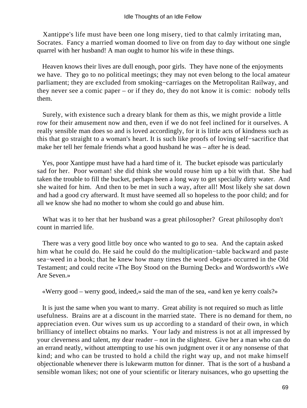Xantippe's life must have been one long misery, tied to that calmly irritating man, Socrates. Fancy a married woman doomed to live on from day to day without one single quarrel with her husband! A man ought to humor his wife in these things.

 Heaven knows their lives are dull enough, poor girls. They have none of the enjoyments we have. They go to no political meetings; they may not even belong to the local amateur parliament; they are excluded from smoking−carriages on the Metropolitan Railway, and they never see a comic paper – or if they do, they do not know it is comic: nobody tells them.

 Surely, with existence such a dreary blank for them as this, we might provide a little row for their amusement now and then, even if we do not feel inclined for it ourselves. A really sensible man does so and is loved accordingly, for it is little acts of kindness such as this that go straight to a woman's heart. It is such like proofs of loving self−sacrifice that make her tell her female friends what a good husband he was – after he is dead.

 Yes, poor Xantippe must have had a hard time of it. The bucket episode was particularly sad for her. Poor woman! she did think she would rouse him up a bit with that. She had taken the trouble to fill the bucket, perhaps been a long way to get specially dirty water. And she waited for him. And then to be met in such a way, after all! Most likely she sat down and had a good cry afterward. It must have seemed all so hopeless to the poor child; and for all we know she had no mother to whom she could go and abuse him.

 What was it to her that her husband was a great philosopher? Great philosophy don't count in married life.

 There was a very good little boy once who wanted to go to sea. And the captain asked him what he could do. He said he could do the multiplication−table backward and paste sea−weed in a book; that he knew how many times the word «begat» occurred in the Old Testament; and could recite «The Boy Stood on the Burning Deck» and Wordsworth's «We Are Seven.»

«Werry good – werry good, indeed,» said the man of the sea, «and ken ye kerry coals?»

 It is just the same when you want to marry. Great ability is not required so much as little usefulness. Brains are at a discount in the married state. There is no demand for them, no appreciation even. Our wives sum us up according to a standard of their own, in which brilliancy of intellect obtains no marks. Your lady and mistress is not at all impressed by your cleverness and talent, my dear reader – not in the slightest. Give her a man who can do an errand neatly, without attempting to use his own judgment over it or any nonsense of that kind; and who can be trusted to hold a child the right way up, and not make himself objectionable whenever there is lukewarm mutton for dinner. That is the sort of a husband a sensible woman likes; not one of your scientific or literary nuisances, who go upsetting the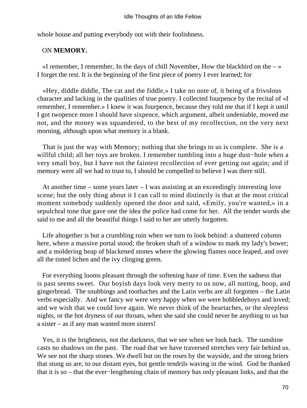whole house and putting everybody out with their foolishness.

### ON **MEMORY.**

 $\le$ I remember, I remember, In the days of chill November, How the blackbird on the  $-\infty$ I forget the rest. It is the beginning of the first piece of poetry I ever learned; for

 «Hey, diddle diddle, The cat and the fiddle,» I take no note of, it being of a frivolous character and lacking in the qualities of true poetry. I collected fourpence by the recital of «I remember, I remember.» I knew it was fourpence, because they told me that if I kept it until I got twopence more I should have sixpence, which argument, albeit undeniable, moved me not, and the money was squandered, to the best of my recollection, on the very next morning, although upon what memory is a blank.

 That is just the way with Memory; nothing that she brings to us is complete. She is a willful child; all her toys are broken. I remember tumbling into a huge dust−hole when a very small boy, but I have not the faintest recollection of ever getting out again; and if memory were all we had to trust to, I should be compelled to believe I was there still.

 At another time – some years later – I was assisting at an exceedingly interesting love scene; but the only thing about it I can call to mind distinctly is that at the most critical moment somebody suddenly opened the door and said, «Emily, you're wanted,» in a sepulchral tone that gave one the idea the police had come for her. All the tender words she said to me and all the beautiful things I said to her are utterly forgotten.

 Life altogether is but a crumbling ruin when we turn to look behind: a shattered column here, where a massive portal stood; the broken shaft of a window to mark my lady's bower; and a moldering heap of blackened stones where the glowing flames once leaped, and over all the tinted lichen and the ivy clinging green.

 For everything looms pleasant through the softening haze of time. Even the sadness that is past seems sweet. Our boyish days look very merry to us now, all nutting, hoop, and gingerbread. The snubbings and toothaches and the Latin verbs are all forgotten – the Latin verbs especially. And we fancy we were very happy when we were hobbledehoys and loved; and we wish that we could love again. We never think of the heartaches, or the sleepless nights, or the hot dryness of our throats, when she said she could never be anything to us but a sister – as if any man wanted more sisters!

 Yes, it is the brightness, not the darkness, that we see when we look back. The sunshine casts no shadows on the past. The road that we have traversed stretches very fair behind us. We see not the sharp stones. We dwell but on the roses by the wayside, and the strong briers that stung us are, to our distant eyes, but gentle tendrils waving in the wind. God be thanked that it is so – that the ever−lengthening chain of memory has only pleasant links, and that the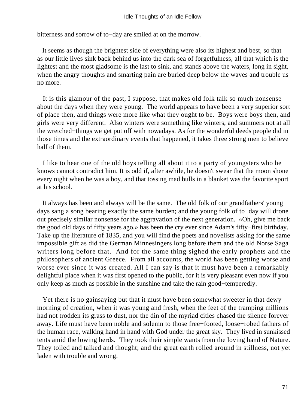bitterness and sorrow of to−day are smiled at on the morrow.

 It seems as though the brightest side of everything were also its highest and best, so that as our little lives sink back behind us into the dark sea of forgetfulness, all that which is the lightest and the most gladsome is the last to sink, and stands above the waters, long in sight, when the angry thoughts and smarting pain are buried deep below the waves and trouble us no more.

 It is this glamour of the past, I suppose, that makes old folk talk so much nonsense about the days when they were young. The world appears to have been a very superior sort of place then, and things were more like what they ought to be. Boys were boys then, and girls were very different. Also winters were something like winters, and summers not at all the wretched−things we get put off with nowadays. As for the wonderful deeds people did in those times and the extraordinary events that happened, it takes three strong men to believe half of them.

 I like to hear one of the old boys telling all about it to a party of youngsters who he knows cannot contradict him. It is odd if, after awhile, he doesn't swear that the moon shone every night when he was a boy, and that tossing mad bulls in a blanket was the favorite sport at his school.

 It always has been and always will be the same. The old folk of our grandfathers' young days sang a song bearing exactly the same burden; and the young folk of to−day will drone out precisely similar nonsense for the aggravation of the next generation. «Oh, give me back the good old days of fifty years ago,» has been the cry ever since Adam's fifty−first birthday. Take up the literature of 1835, and you will find the poets and novelists asking for the same impossible gift as did the German Minnesingers long before them and the old Norse Saga writers long before that. And for the same thing sighed the early prophets and the philosophers of ancient Greece. From all accounts, the world has been getting worse and worse ever since it was created. All I can say is that it must have been a remarkably delightful place when it was first opened to the public, for it is very pleasant even now if you only keep as much as possible in the sunshine and take the rain good−temperedly.

 Yet there is no gainsaying but that it must have been somewhat sweeter in that dewy morning of creation, when it was young and fresh, when the feet of the tramping millions had not trodden its grass to dust, nor the din of the myriad cities chased the silence forever away. Life must have been noble and solemn to those free−footed, loose−robed fathers of the human race, walking hand in hand with God under the great sky. They lived in sunkissed tents amid the lowing herds. They took their simple wants from the loving hand of Nature. They toiled and talked and thought; and the great earth rolled around in stillness, not yet laden with trouble and wrong.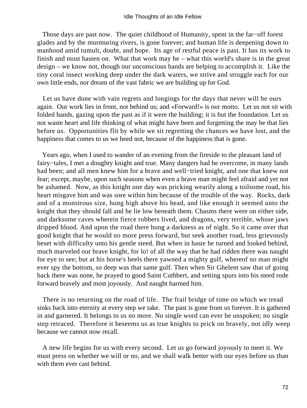Those days are past now. The quiet childhood of Humanity, spent in the far−off forest glades and by the murmuring rivers, is gone forever; and human life is deepening down to manhood amid tumult, doubt, and hope. Its age of restful peace is past. It has its work to finish and must hasten on. What that work may be – what this world's share is in the great design – we know not, though our unconscious hands are helping to accomplish it. Like the tiny coral insect working deep under the dark waters, we strive and struggle each for our own little ends, nor dream of the vast fabric we are building up for God.

 Let us have done with vain regrets and longings for the days that never will be ours again. Our work lies in front, not behind us; and «Forward!» is our motto. Let us not sit with folded hands, gazing upon the past as if it were the building; it is but the foundation. Let us not waste heart and life thinking of what might have been and forgetting the may be that lies before us. Opportunities flit by while we sit regretting the chances we have lost, and the happiness that comes to us we heed not, because of the happiness that is gone.

 Years ago, when I used to wander of an evening from the fireside to the pleasant land of fairy−tales, I met a doughty knight and true. Many dangers had he overcome, in many lands had been; and all men knew him for a brave and well−tried knight, and one that knew not fear; except, maybe, upon such seasons when even a brave man might feel afraid and yet not be ashamed. Now, as this knight one day was pricking wearily along a toilsome road, his heart misgave him and was sore within him because of the trouble of the way. Rocks, dark and of a monstrous size, hung high above his head, and like enough it seemed unto the knight that they should fall and he lie low beneath them. Chasms there were on either side, and darksome caves wherein fierce robbers lived, and dragons, very terrible, whose jaws dripped blood. And upon the road there hung a darkness as of night. So it came over that good knight that he would no more press forward, but seek another road, less grievously beset with difficulty unto his gentle steed. But when in haste he turned and looked behind, much marveled our brave knight, for lo! of all the way that he had ridden there was naught for eye to see; but at his horse's heels there yawned a mighty gulf, whereof no man might ever spy the bottom, so deep was that same gulf. Then when Sir Ghelent saw that of going back there was none, he prayed to good Saint Cuthbert, and setting spurs into his steed rode forward bravely and most joyously. And naught harmed him.

 There is no returning on the road of life. The frail bridge of time on which we tread sinks back into eternity at every step we take. The past is gone from us forever. It is gathered in and garnered. It belongs to us no more. No single word can ever be unspoken; no single step retraced. Therefore it beseems us as true knights to prick on bravely, not idly weep because we cannot now recall.

 A new life begins for us with every second. Let us go forward joyously to meet it. We must press on whether we will or no, and we shall walk better with our eyes before us than with them ever cast behind.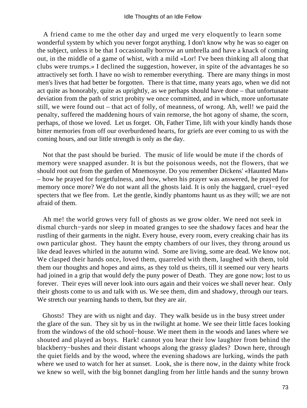A friend came to me the other day and urged me very eloquently to learn some wonderful system by which you never forgot anything. I don't know why he was so eager on the subject, unless it be that I occasionally borrow an umbrella and have a knack of coming out, in the middle of a game of whist, with a mild «Lor! I've been thinking all along that clubs were trumps.» I declined the suggestion, however, in spite of the advantages he so attractively set forth. I have no wish to remember everything. There are many things in most men's lives that had better be forgotten. There is that time, many years ago, when we did not act quite as honorably, quite as uprightly, as we perhaps should have done – that unfortunate deviation from the path of strict probity we once committed, and in which, more unfortunate still, we were found out – that act of folly, of meanness, of wrong. Ah, well! we paid the penalty, suffered the maddening hours of vain remorse, the hot agony of shame, the scorn, perhaps, of those we loved. Let us forget. Oh, Father Time, lift with your kindly hands those bitter memories from off our overburdened hearts, for griefs are ever coming to us with the coming hours, and our little strength is only as the day.

 Not that the past should be buried. The music of life would be mute if the chords of memory were snapped asunder. It is but the poisonous weeds, not the flowers, that we should root out from the garden of Mnemosyne. Do you remember Dickens' «Haunted Man» – how he prayed for forgetfulness, and how, when his prayer was answered, he prayed for memory once more? We do not want all the ghosts laid. It is only the haggard, cruel−eyed specters that we flee from. Let the gentle, kindly phantoms haunt us as they will; we are not afraid of them.

 Ah me! the world grows very full of ghosts as we grow older. We need not seek in dismal church−yards nor sleep in moated granges to see the shadowy faces and hear the rustling of their garments in the night. Every house, every room, every creaking chair has its own particular ghost. They haunt the empty chambers of our lives, they throng around us like dead leaves whirled in the autumn wind. Some are living, some are dead. We know not. We clasped their hands once, loved them, quarreled with them, laughed with them, told them our thoughts and hopes and aims, as they told us theirs, till it seemed our very hearts had joined in a grip that would defy the puny power of Death. They are gone now; lost to us forever. Their eyes will never look into ours again and their voices we shall never hear. Only their ghosts come to us and talk with us. We see them, dim and shadowy, through our tears. We stretch our yearning hands to them, but they are air.

 Ghosts! They are with us night and day. They walk beside us in the busy street under the glare of the sun. They sit by us in the twilight at home. We see their little faces looking from the windows of the old school−house. We meet them in the woods and lanes where we shouted and played as boys. Hark! cannot you hear their low laughter from behind the blackberry−bushes and their distant whoops along the grassy glades? Down here, through the quiet fields and by the wood, where the evening shadows are lurking, winds the path where we used to watch for her at sunset. Look, she is there now, in the dainty white frock we knew so well, with the big bonnet dangling from her little hands and the sunny brown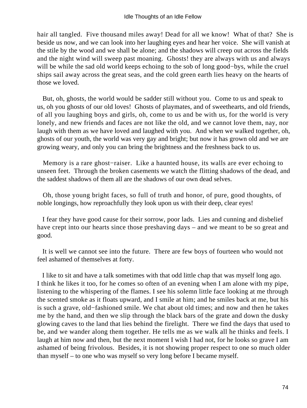hair all tangled. Five thousand miles away! Dead for all we know! What of that? She is beside us now, and we can look into her laughing eyes and hear her voice. She will vanish at the stile by the wood and we shall be alone; and the shadows will creep out across the fields and the night wind will sweep past moaning. Ghosts! they are always with us and always will be while the sad old world keeps echoing to the sob of long good−bys, while the cruel ships sail away across the great seas, and the cold green earth lies heavy on the hearts of those we loved.

 But, oh, ghosts, the world would be sadder still without you. Come to us and speak to us, oh you ghosts of our old loves! Ghosts of playmates, and of sweethearts, and old friends, of all you laughing boys and girls, oh, come to us and be with us, for the world is very lonely, and new friends and faces are not like the old, and we cannot love them, nay, nor laugh with them as we have loved and laughed with you. And when we walked together, oh, ghosts of our youth, the world was very gay and bright; but now it has grown old and we are growing weary, and only you can bring the brightness and the freshness back to us.

 Memory is a rare ghost−raiser. Like a haunted house, its walls are ever echoing to unseen feet. Through the broken casements we watch the flitting shadows of the dead, and the saddest shadows of them all are the shadows of our own dead selves.

 Oh, those young bright faces, so full of truth and honor, of pure, good thoughts, of noble longings, how reproachfully they look upon us with their deep, clear eyes!

 I fear they have good cause for their sorrow, poor lads. Lies and cunning and disbelief have crept into our hearts since those preshaving days – and we meant to be so great and good.

 It is well we cannot see into the future. There are few boys of fourteen who would not feel ashamed of themselves at forty.

 I like to sit and have a talk sometimes with that odd little chap that was myself long ago. I think he likes it too, for he comes so often of an evening when I am alone with my pipe, listening to the whispering of the flames. I see his solemn little face looking at me through the scented smoke as it floats upward, and I smile at him; and he smiles back at me, but his is such a grave, old−fashioned smile. We chat about old times; and now and then he takes me by the hand, and then we slip through the black bars of the grate and down the dusky glowing caves to the land that lies behind the firelight. There we find the days that used to be, and we wander along them together. He tells me as we walk all he thinks and feels. I laugh at him now and then, but the next moment I wish I had not, for he looks so grave I am ashamed of being frivolous. Besides, it is not showing proper respect to one so much older than myself – to one who was myself so very long before I became myself.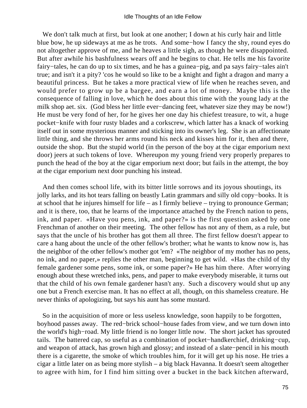We don't talk much at first, but look at one another; I down at his curly hair and little blue bow, he up sideways at me as he trots. And some−how I fancy the shy, round eyes do not altogether approve of me, and he heaves a little sigh, as though he were disappointed. But after awhile his bashfulness wears off and he begins to chat. He tells me his favorite fairy−tales, he can do up to six times, and he has a guinea−pig, and pa says fairy−tales ain't true; and isn't it a pity? 'cos he would so like to be a knight and fight a dragon and marry a beautiful princess. But he takes a more practical view of life when he reaches seven, and would prefer to grow up be a bargee, and earn a lot of money. Maybe this is the consequence of falling in love, which he does about this time with the young lady at the milk shop aet. six. (God bless her little ever−dancing feet, whatever size they may be now!) He must be very fond of her, for he gives her one day his chiefest treasure, to wit, a huge pocket−knife with four rusty blades and a corkscrew, which latter has a knack of working itself out in some mysterious manner and sticking into its owner's leg. She is an affectionate little thing, and she throws her arms round his neck and kisses him for it, then and there, outside the shop. But the stupid world (in the person of the boy at the cigar emporium next door) jeers at such tokens of love. Whereupon my young friend very properly prepares to punch the head of the boy at the cigar emporium next door; but fails in the attempt, the boy at the cigar emporium next door punching his instead.

 And then comes school life, with its bitter little sorrows and its joyous shoutings, its jolly larks, and its hot tears falling on beastly Latin grammars and silly old copy−books. It is at school that he injures himself for life – as I firmly believe – trying to pronounce German; and it is there, too, that he learns of the importance attached by the French nation to pens, ink, and paper. «Have you pens, ink, and paper?» is the first question asked by one Frenchman of another on their meeting. The other fellow has not any of them, as a rule, but says that the uncle of his brother has got them all three. The first fellow doesn't appear to care a hang about the uncle of the other fellow's brother; what he wants to know now is, has the neighbor of the other fellow's mother got 'em? «The neighbor of my mother has no pens, no ink, and no paper,» replies the other man, beginning to get wild. «Has the child of thy female gardener some pens, some ink, or some paper?» He has him there. After worrying enough about these wretched inks, pens, and paper to make everybody miserable, it turns out that the child of his own female gardener hasn't any. Such a discovery would shut up any one but a French exercise man. It has no effect at all, though, on this shameless creature. He never thinks of apologizing, but says his aunt has some mustard.

 So in the acquisition of more or less useless knowledge, soon happily to be forgotten, boyhood passes away. The red−brick school−house fades from view, and we turn down into the world's high−road. My little friend is no longer little now. The short jacket has sprouted tails. The battered cap, so useful as a combination of pocket−handkerchief, drinking−cup, and weapon of attack, has grown high and glossy; and instead of a slate−pencil in his mouth there is a cigarette, the smoke of which troubles him, for it will get up his nose. He tries a cigar a little later on as being more stylish – a big black Havanna. It doesn't seem altogether to agree with him, for I find him sitting over a bucket in the back kitchen afterward,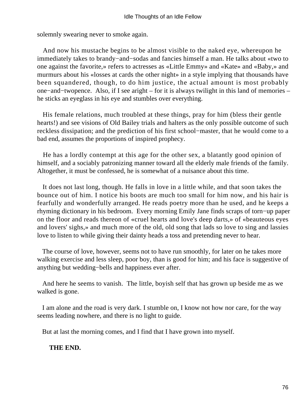solemnly swearing never to smoke again.

 And now his mustache begins to be almost visible to the naked eye, whereupon he immediately takes to brandy−and−sodas and fancies himself a man. He talks about «two to one against the favorite,» refers to actresses as «Little Emmy» and «Kate» and «Baby,» and murmurs about his «losses at cards the other night» in a style implying that thousands have been squandered, though, to do him justice, the actual amount is most probably one−and−twopence. Also, if I see aright – for it is always twilight in this land of memories – he sticks an eyeglass in his eye and stumbles over everything.

 His female relations, much troubled at these things, pray for him (bless their gentle hearts!) and see visions of Old Bailey trials and halters as the only possible outcome of such reckless dissipation; and the prediction of his first school−master, that he would come to a bad end, assumes the proportions of inspired prophecy.

 He has a lordly contempt at this age for the other sex, a blatantly good opinion of himself, and a sociably patronizing manner toward all the elderly male friends of the family. Altogether, it must be confessed, he is somewhat of a nuisance about this time.

 It does not last long, though. He falls in love in a little while, and that soon takes the bounce out of him. I notice his boots are much too small for him now, and his hair is fearfully and wonderfully arranged. He reads poetry more than he used, and he keeps a rhyming dictionary in his bedroom. Every morning Emily Jane finds scraps of torn−up paper on the floor and reads thereon of «cruel hearts and love's deep darts,» of «beauteous eyes and lovers' sighs,» and much more of the old, old song that lads so love to sing and lassies love to listen to while giving their dainty heads a toss and pretending never to hear.

 The course of love, however, seems not to have run smoothly, for later on he takes more walking exercise and less sleep, poor boy, than is good for him; and his face is suggestive of anything but wedding−bells and happiness ever after.

 And here he seems to vanish. The little, boyish self that has grown up beside me as we walked is gone.

 I am alone and the road is very dark. I stumble on, I know not how nor care, for the way seems leading nowhere, and there is no light to guide.

But at last the morning comes, and I find that I have grown into myself.

**THE END.**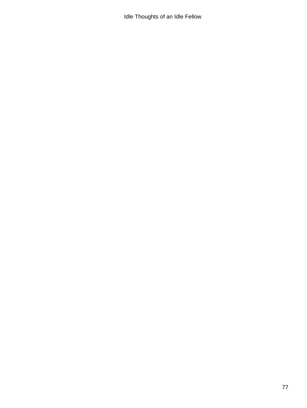Idle Thoughts of an Idle Fellow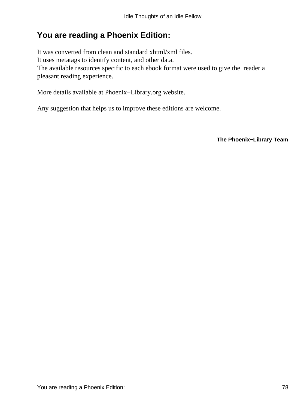## **You are reading a Phoenix Edition:**

It was converted from clean and standard xhtml/xml files. It uses metatags to identify content, and other data. The available resources specific to each ebook format were used to give the reader a pleasant reading experience.

More details available at Phoenix−Library.org website.

Any suggestion that helps us to improve these editions are welcome.

**The Phoenix−Library Team**